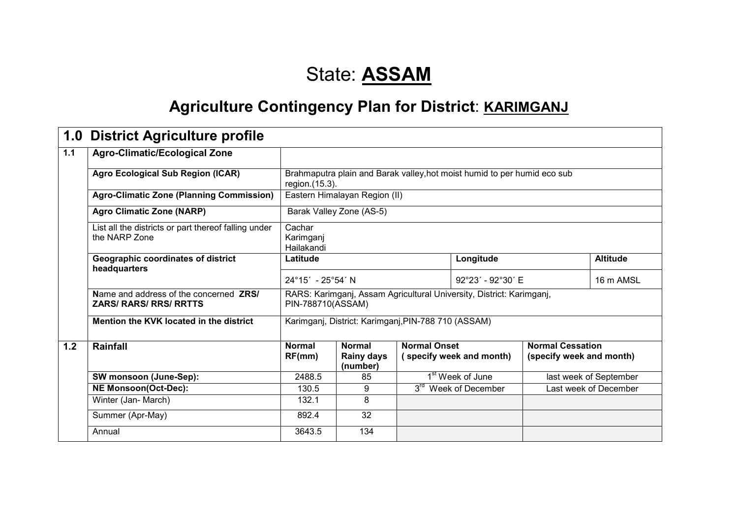## State: **ASSAM**

## **Agriculture Contingency Plan for District: KARIMGANJ**

| 1.0   | <b>District Agriculture profile</b>                                     |                                   |                                                                                           |                     |                                                                          |                                                     |                        |
|-------|-------------------------------------------------------------------------|-----------------------------------|-------------------------------------------------------------------------------------------|---------------------|--------------------------------------------------------------------------|-----------------------------------------------------|------------------------|
| $1.1$ | <b>Agro-Climatic/Ecological Zone</b>                                    |                                   |                                                                                           |                     |                                                                          |                                                     |                        |
|       | <b>Agro Ecological Sub Region (ICAR)</b>                                | region. (15.3).                   |                                                                                           |                     | Brahmaputra plain and Barak valley, hot moist humid to per humid eco sub |                                                     |                        |
|       | <b>Agro-Climatic Zone (Planning Commission)</b>                         |                                   | Eastern Himalayan Region (II)                                                             |                     |                                                                          |                                                     |                        |
|       | <b>Agro Climatic Zone (NARP)</b>                                        |                                   | Barak Valley Zone (AS-5)                                                                  |                     |                                                                          |                                                     |                        |
|       | List all the districts or part thereof falling under<br>the NARP Zone   | Cachar<br>Karimganj<br>Hailakandi |                                                                                           |                     |                                                                          |                                                     |                        |
|       | Geographic coordinates of district<br>headquarters                      | Latitude                          |                                                                                           |                     | Longitude                                                                | <b>Altitude</b>                                     |                        |
|       |                                                                         | $24^{\circ}15' - 25^{\circ}54'$ N |                                                                                           |                     | 92°23′ - 92°30′ E                                                        |                                                     | 16 m AMSL              |
|       | Name and address of the concerned ZRS/<br><b>ZARS/ RARS/ RRS/ RRTTS</b> |                                   | RARS: Karimganj, Assam Agricultural University, District: Karimganj,<br>PIN-788710(ASSAM) |                     |                                                                          |                                                     |                        |
|       | Mention the KVK located in the district                                 |                                   | Karimganj, District: Karimganj, PIN-788 710 (ASSAM)                                       |                     |                                                                          |                                                     |                        |
| 1.2   | Rainfall                                                                | <b>Normal</b><br>RF(mm)           | <b>Normal</b><br><b>Rainy days</b><br>(number)                                            | <b>Normal Onset</b> | (specify week and month)                                                 | <b>Normal Cessation</b><br>(specify week and month) |                        |
|       | <b>SW monsoon (June-Sep):</b>                                           | 2488.5                            | 85                                                                                        |                     | 1 <sup>st</sup> Week of June                                             |                                                     | last week of September |
|       | <b>NE Monsoon(Oct-Dec):</b>                                             | 130.5                             | 9                                                                                         |                     | 3 <sup>rd</sup> Week of December                                         |                                                     | Last week of December  |
|       | Winter (Jan- March)                                                     | 132.1                             | 8                                                                                         |                     |                                                                          |                                                     |                        |
|       | Summer (Apr-May)                                                        | 892.4                             | 32                                                                                        |                     |                                                                          |                                                     |                        |
|       | Annual                                                                  | 3643.5                            | 134                                                                                       |                     |                                                                          |                                                     |                        |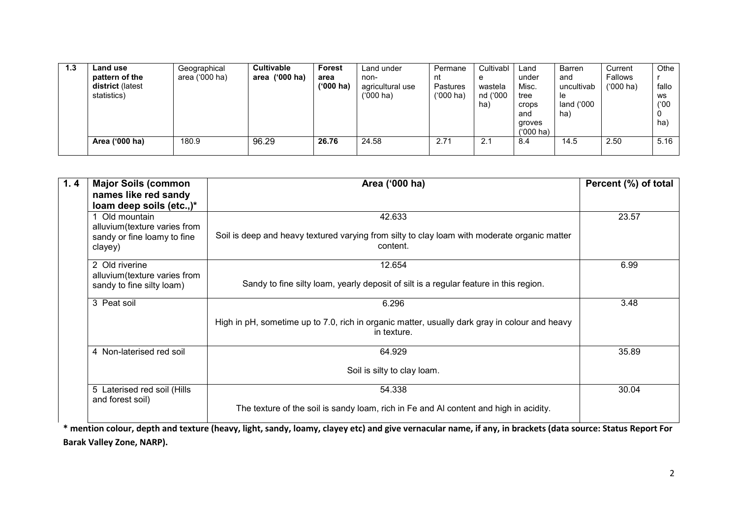| 1.3 | Land use         | Geographical   | <b>Cultivable</b> | <b>Forest</b> | Land under       | Permane         | Cultivabl | Land        | Barren     | Current     | Othe  |
|-----|------------------|----------------|-------------------|---------------|------------------|-----------------|-----------|-------------|------------|-------------|-------|
|     | pattern of the   | area ('000 ha) | area ('000 ha)    | area          | non-             | nt              | e         | under       | and        | Fallows     |       |
|     | district (latest |                |                   | ('000 ha)     | agricultural use | <b>Pastures</b> | wastela   | Misc.       | uncultivab | $(000)$ ha) | fallo |
|     | statistics)      |                |                   |               | ('000 ha)        | $(000)$ ha)     | nd ('000  | tree        | le         |             | WS    |
|     |                  |                |                   |               |                  |                 | ha)       | crops       | land ('000 |             | (100) |
|     |                  |                |                   |               |                  |                 |           | and         | ha)        |             | 0     |
|     |                  |                |                   |               |                  |                 |           | groves      |            |             | ha    |
|     |                  |                |                   |               |                  |                 |           | $(000)$ ha) |            |             |       |
|     | Area ('000 ha)   | 180.9          | 96.29             | 26.76         | 24.58            | 2.71            | 2.1       | 8.4         | 14.5       | 2.50        | 5.16  |
|     |                  |                |                   |               |                  |                 |           |             |            |             |       |

| 1.4 | <b>Major Soils (common</b>    | Area ('000 ha)                                                                                               | Percent (%) of total |
|-----|-------------------------------|--------------------------------------------------------------------------------------------------------------|----------------------|
|     | names like red sandy          |                                                                                                              |                      |
|     | loam deep soils (etc.,)*      |                                                                                                              |                      |
|     | Old mountain                  | 42.633                                                                                                       | 23.57                |
|     | alluvium (texture varies from |                                                                                                              |                      |
|     | sandy or fine loamy to fine   | Soil is deep and heavy textured varying from silty to clay loam with moderate organic matter<br>content.     |                      |
|     | clayey)                       |                                                                                                              |                      |
|     | 2 Old riverine                | 12.654                                                                                                       | 6.99                 |
|     | alluvium (texture varies from |                                                                                                              |                      |
|     | sandy to fine silty loam)     | Sandy to fine silty loam, yearly deposit of silt is a regular feature in this region.                        |                      |
|     | 3 Peat soil                   | 6.296                                                                                                        | 3.48                 |
|     |                               | High in pH, sometime up to 7.0, rich in organic matter, usually dark gray in colour and heavy<br>in texture. |                      |
|     | 4 Non-laterised red soil      | 64.929                                                                                                       | 35.89                |
|     |                               | Soil is silty to clay loam.                                                                                  |                      |
|     | 5 Laterised red soil (Hills   | 54.338                                                                                                       | 30.04                |
|     | and forest soil)              |                                                                                                              |                      |
|     |                               | The texture of the soil is sandy loam, rich in Fe and AI content and high in acidity.                        |                      |

\* mention colour, depth and texture (heavy, light, sandy, loamy, clayey etc) and give vernacular name, if any, in brackets (data source: Status Report For Barak Valley Zone, NARP).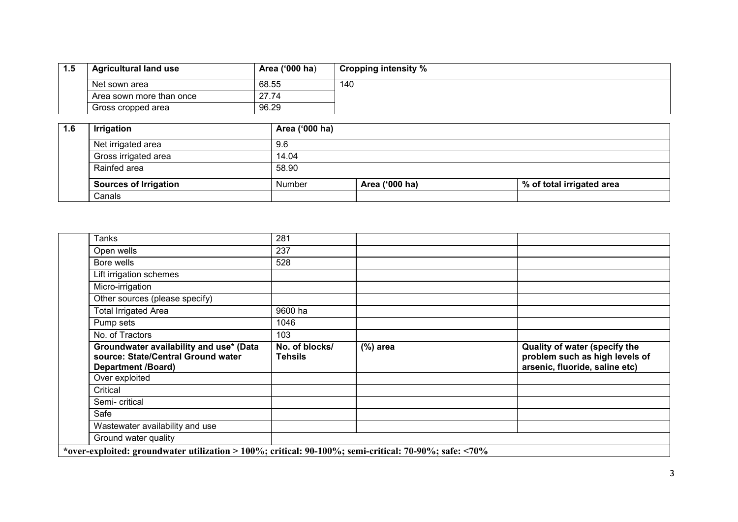| 1.5 | <b>Agricultural land use</b> | Area ('000 ha) | Cropping intensity % |
|-----|------------------------------|----------------|----------------------|
|     | Net sown area                | 68.55          | 140                  |
|     | Area sown more than once     | 27.74          |                      |
|     | Gross cropped area           | 96.29          |                      |

| 1.6 | <b>Irrigation</b>            | Area ('000 ha) |                |                           |
|-----|------------------------------|----------------|----------------|---------------------------|
|     | Net irrigated area           | 9.6            |                |                           |
|     | Gross irrigated area         | 14.04          |                |                           |
|     | Rainfed area                 | 58.90          |                |                           |
|     | <b>Sources of Irrigation</b> | Number         | Area ('000 ha) | % of total irrigated area |
|     | Canals                       |                |                |                           |

| <b>Tanks</b>                                                                                               | 281                              |            |                                                                                                   |
|------------------------------------------------------------------------------------------------------------|----------------------------------|------------|---------------------------------------------------------------------------------------------------|
| Open wells                                                                                                 | 237                              |            |                                                                                                   |
| Bore wells                                                                                                 | 528                              |            |                                                                                                   |
| Lift irrigation schemes                                                                                    |                                  |            |                                                                                                   |
| Micro-irrigation                                                                                           |                                  |            |                                                                                                   |
| Other sources (please specify)                                                                             |                                  |            |                                                                                                   |
| <b>Total Irrigated Area</b>                                                                                | 9600 ha                          |            |                                                                                                   |
| Pump sets                                                                                                  | 1046                             |            |                                                                                                   |
| No. of Tractors                                                                                            | 103                              |            |                                                                                                   |
|                                                                                                            |                                  |            |                                                                                                   |
| Groundwater availability and use* (Data<br>source: State/Central Ground water<br><b>Department /Board)</b> | No. of blocks/<br><b>Tehsils</b> | $(%)$ area | Quality of water (specify the<br>problem such as high levels of<br>arsenic, fluoride, saline etc) |
| Over exploited                                                                                             |                                  |            |                                                                                                   |
| Critical                                                                                                   |                                  |            |                                                                                                   |
| Semi-critical                                                                                              |                                  |            |                                                                                                   |
| Safe                                                                                                       |                                  |            |                                                                                                   |
| Wastewater availability and use                                                                            |                                  |            |                                                                                                   |
| Ground water quality                                                                                       |                                  |            |                                                                                                   |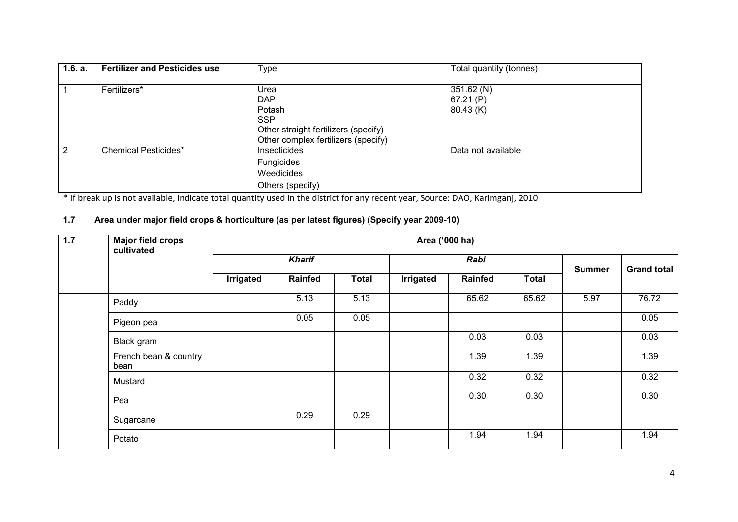| 1.6. a. | <b>Fertilizer and Pesticides use</b> | Type                                                                                                                      | Total quantity (tonnes)            |
|---------|--------------------------------------|---------------------------------------------------------------------------------------------------------------------------|------------------------------------|
|         | Fertilizers*                         | Urea<br><b>DAP</b><br>Potash<br><b>SSP</b><br>Other straight fertilizers (specify)<br>Other complex fertilizers (specify) | 351.62 (N)<br>67.21(P)<br>80.43(K) |
| 2       | <b>Chemical Pesticides*</b>          | Insecticides<br><b>Fungicides</b><br>Weedicides<br>Others (specify)                                                       | Data not available                 |

\* If break up is not available, indicate total quantity used in the district for any recent year, Source: DAO, Karimganj, 2010

#### 1.7 Area under major field crops & horticulture (as per latest figures) (Specify year 2009-10)

| $\overline{1.7}$ | <b>Major field crops</b><br>cultivated |           |                |              | Area ('000 ha) |         |              |               |                    |  |  |  |  |
|------------------|----------------------------------------|-----------|----------------|--------------|----------------|---------|--------------|---------------|--------------------|--|--|--|--|
|                  |                                        |           | <b>Kharif</b>  |              |                | Rabi    |              | <b>Summer</b> | <b>Grand total</b> |  |  |  |  |
|                  |                                        | Irrigated | <b>Rainfed</b> | <b>Total</b> | Irrigated      | Rainfed | <b>Total</b> |               |                    |  |  |  |  |
|                  | Paddy                                  |           | 5.13           | 5.13         |                | 65.62   | 65.62        | 5.97          | 76.72              |  |  |  |  |
|                  | Pigeon pea                             |           | 0.05           | 0.05         |                |         |              |               | 0.05               |  |  |  |  |
|                  | Black gram                             |           |                |              |                | 0.03    | 0.03         |               | 0.03               |  |  |  |  |
|                  | French bean & country<br>bean          |           |                |              |                | 1.39    | 1.39         |               | 1.39               |  |  |  |  |
|                  | Mustard                                |           |                |              |                | 0.32    | 0.32         |               | 0.32               |  |  |  |  |
|                  | Pea                                    |           |                |              |                | 0.30    | 0.30         |               | 0.30               |  |  |  |  |
|                  | Sugarcane                              |           | 0.29           | 0.29         |                |         |              |               |                    |  |  |  |  |
|                  | Potato                                 |           |                |              |                | 1.94    | 1.94         |               | 1.94               |  |  |  |  |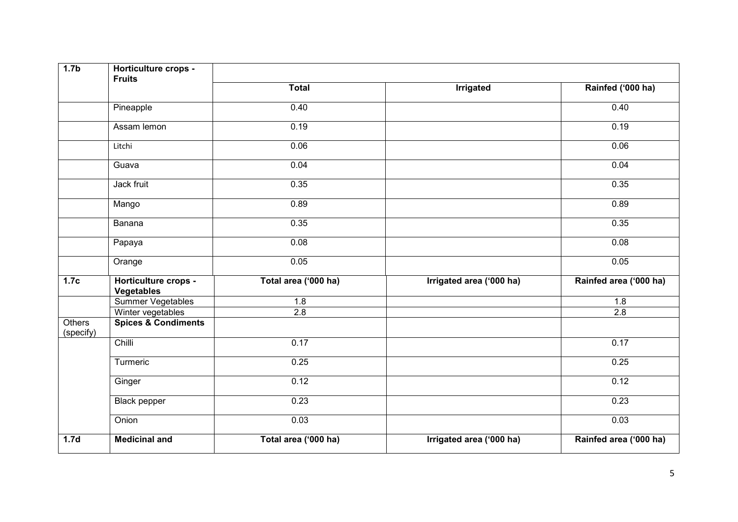| 1.7 <sub>b</sub>           | Horticulture crops -<br><b>Fruits</b>     |                      |                          |                        |
|----------------------------|-------------------------------------------|----------------------|--------------------------|------------------------|
|                            |                                           | <b>Total</b>         | <b>Irrigated</b>         | Rainfed ('000 ha)      |
|                            | Pineapple                                 | 0.40                 |                          | 0.40                   |
|                            | Assam lemon                               | 0.19                 |                          | 0.19                   |
|                            | Litchi                                    | 0.06                 |                          | 0.06                   |
|                            | Guava                                     | 0.04                 |                          | 0.04                   |
|                            | Jack fruit                                | 0.35                 |                          | 0.35                   |
|                            | Mango                                     | 0.89                 |                          | 0.89                   |
|                            | Banana                                    | 0.35                 |                          | 0.35                   |
|                            | Papaya                                    | 0.08                 |                          | 0.08                   |
|                            | Orange                                    | 0.05                 |                          | 0.05                   |
| 1.7c                       | Horticulture crops -<br><b>Vegetables</b> | Total area ('000 ha) | Irrigated area ('000 ha) | Rainfed area ('000 ha) |
|                            | Summer Vegetables                         | 1.8                  |                          | 1.8                    |
|                            | Winter vegetables                         | 2.8                  |                          | 2.8                    |
| <b>Others</b><br>(specify) | <b>Spices &amp; Condiments</b>            |                      |                          |                        |
|                            | Chilli                                    | 0.17                 |                          | 0.17                   |
|                            | Turmeric                                  | 0.25                 |                          | 0.25                   |
|                            | Ginger                                    | 0.12                 |                          | 0.12                   |
|                            | Black pepper                              | 0.23                 |                          | 0.23                   |
|                            | Onion                                     | 0.03                 |                          | 0.03                   |
| 1.7 <sub>d</sub>           | <b>Medicinal and</b>                      | Total area ('000 ha) | Irrigated area ('000 ha) | Rainfed area ('000 ha) |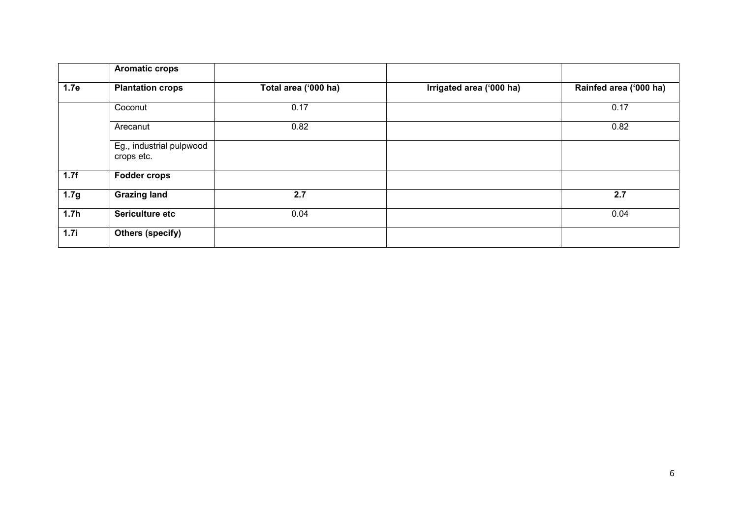|                  | <b>Aromatic crops</b>                  |                      |                          |                        |
|------------------|----------------------------------------|----------------------|--------------------------|------------------------|
| 1.7e             | <b>Plantation crops</b>                | Total area ('000 ha) | Irrigated area ('000 ha) | Rainfed area ('000 ha) |
|                  | Coconut                                | 0.17                 |                          | 0.17                   |
|                  | Arecanut                               | 0.82                 |                          | 0.82                   |
|                  | Eg., industrial pulpwood<br>crops etc. |                      |                          |                        |
| 1.7f             | <b>Fodder crops</b>                    |                      |                          |                        |
| 1.7 <sub>g</sub> | <b>Grazing land</b>                    | 2.7                  |                          | 2.7                    |
| 1.7h             | Sericulture etc                        | 0.04                 |                          | 0.04                   |
| 1.7i             | <b>Others (specify)</b>                |                      |                          |                        |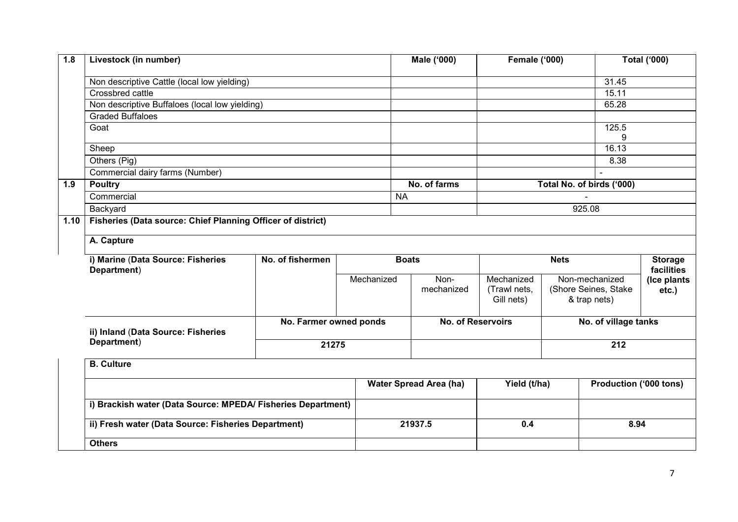| 1.8  | Livestock (in number)                                                                                                                                                                                                     |                        |            | Male ('000)                   | <b>Female ('000)</b>                     |  |                                                        | <b>Total ('000)</b>          |
|------|---------------------------------------------------------------------------------------------------------------------------------------------------------------------------------------------------------------------------|------------------------|------------|-------------------------------|------------------------------------------|--|--------------------------------------------------------|------------------------------|
|      | Non descriptive Cattle (local low yielding)                                                                                                                                                                               |                        |            |                               |                                          |  | 31.45                                                  |                              |
|      | Crossbred cattle                                                                                                                                                                                                          |                        |            |                               |                                          |  | 15.11                                                  |                              |
|      | Non descriptive Buffaloes (local low yielding)                                                                                                                                                                            |                        |            |                               |                                          |  | 65.28                                                  |                              |
|      | <b>Graded Buffaloes</b>                                                                                                                                                                                                   |                        |            |                               |                                          |  |                                                        |                              |
|      | Goat                                                                                                                                                                                                                      |                        |            |                               |                                          |  | 125.5<br>9                                             |                              |
|      | Sheep                                                                                                                                                                                                                     |                        |            |                               |                                          |  | 16.13                                                  |                              |
|      | Others (Pig)                                                                                                                                                                                                              |                        |            |                               |                                          |  | 8.38                                                   |                              |
|      | Commercial dairy farms (Number)                                                                                                                                                                                           |                        |            |                               |                                          |  | $\sim$                                                 |                              |
| 1.9  | <b>Poultry</b>                                                                                                                                                                                                            |                        |            | No. of farms                  |                                          |  | Total No. of birds ('000)                              |                              |
|      | Commercial<br>Backyard<br>A. Capture<br>i) Marine (Data Source: Fisheries<br>Department)<br>ii) Inland (Data Source: Fisheries<br>Department)<br><b>B.</b> Culture<br>ii) Fresh water (Data Source: Fisheries Department) |                        |            | <b>NA</b>                     |                                          |  |                                                        |                              |
|      |                                                                                                                                                                                                                           |                        |            |                               | 925.08                                   |  |                                                        |                              |
| 1.10 | Fisheries (Data source: Chief Planning Officer of district)                                                                                                                                                               |                        |            |                               |                                          |  |                                                        |                              |
|      |                                                                                                                                                                                                                           |                        |            |                               |                                          |  |                                                        |                              |
|      |                                                                                                                                                                                                                           |                        |            |                               |                                          |  |                                                        |                              |
|      |                                                                                                                                                                                                                           | No. of fishermen       |            | <b>Boats</b>                  | <b>Nets</b>                              |  |                                                        | <b>Storage</b><br>facilities |
|      |                                                                                                                                                                                                                           |                        | Mechanized | Non-<br>mechanized            | Mechanized<br>(Trawl nets,<br>Gill nets) |  | Non-mechanized<br>(Shore Seines, Stake<br>& trap nets) | (Ice plants<br>etc.)         |
|      |                                                                                                                                                                                                                           | No. Farmer owned ponds |            | No. of Reservoirs             |                                          |  | No. of village tanks                                   |                              |
|      |                                                                                                                                                                                                                           | 21275                  |            |                               |                                          |  | 212                                                    |                              |
|      |                                                                                                                                                                                                                           |                        |            |                               |                                          |  |                                                        |                              |
|      |                                                                                                                                                                                                                           |                        |            | <b>Water Spread Area (ha)</b> | Yield (t/ha)                             |  | Production ('000 tons)                                 |                              |
|      | i) Brackish water (Data Source: MPEDA/ Fisheries Department)                                                                                                                                                              |                        |            |                               |                                          |  |                                                        |                              |
|      | <b>Others</b>                                                                                                                                                                                                             |                        |            | 21937.5                       | 0.4                                      |  | 8.94                                                   |                              |
|      |                                                                                                                                                                                                                           |                        |            |                               |                                          |  |                                                        |                              |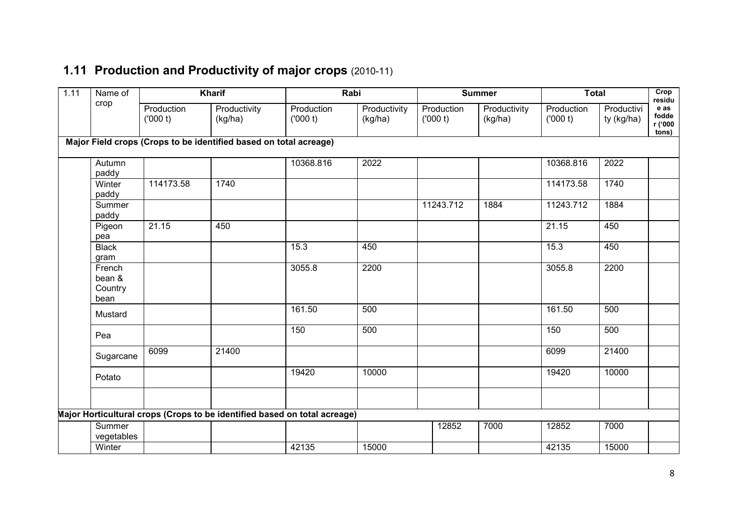#### 1.11 Production and Productivity of major crops (2010-11)

| Name of                             |                       | <b>Kharif</b>                                                             |                       | Rabi                    |                       | <b>Summer</b>           |                       | <b>Total</b>             | Crop<br>residu                    |
|-------------------------------------|-----------------------|---------------------------------------------------------------------------|-----------------------|-------------------------|-----------------------|-------------------------|-----------------------|--------------------------|-----------------------------------|
| crop                                | Production<br>(000 t) | Productivity<br>(kg/ha)                                                   | Production<br>(000 t) | Productivity<br>(kg/ha) | Production<br>(000 t) | Productivity<br>(kg/ha) | Production<br>(000 t) | Productivi<br>ty (kg/ha) | e as<br>fodde<br>r ('000<br>tons) |
|                                     |                       | Major Field crops (Crops to be identified based on total acreage)         |                       |                         |                       |                         |                       |                          |                                   |
| Autumn<br>paddy                     |                       |                                                                           | 10368.816             | 2022                    |                       |                         | 10368.816             | 2022                     |                                   |
| Winter<br>paddy                     | 114173.58             | 1740                                                                      |                       |                         |                       |                         | 114173.58             | 1740                     |                                   |
| Summer<br>paddy                     |                       |                                                                           |                       |                         | 11243.712             | 1884                    | 11243.712             | 1884                     |                                   |
| Pigeon<br>pea                       | 21.15                 | 450                                                                       |                       |                         |                       |                         | 21.15                 | 450                      |                                   |
| <b>Black</b><br>gram                |                       |                                                                           | 15.3                  | 450                     |                       |                         | 15.3                  | 450                      |                                   |
| French<br>bean &<br>Country<br>bean |                       |                                                                           | 3055.8                | 2200                    |                       |                         | 3055.8                | 2200                     |                                   |
| Mustard                             |                       |                                                                           | 161.50                | 500                     |                       |                         | 161.50                | 500                      |                                   |
| Pea                                 |                       |                                                                           | 150                   | 500                     |                       |                         | 150                   | 500                      |                                   |
| Sugarcane                           | 6099                  | 21400                                                                     |                       |                         |                       |                         | 6099                  | 21400                    |                                   |
| Potato                              |                       |                                                                           | 19420                 | 10000                   |                       |                         | 19420                 | 10000                    |                                   |
|                                     |                       |                                                                           |                       |                         |                       |                         |                       |                          |                                   |
|                                     |                       | Major Horticultural crops (Crops to be identified based on total acreage) |                       |                         |                       |                         |                       |                          |                                   |
| Summer<br>vegetables                |                       |                                                                           |                       |                         | 12852                 | 7000                    | 12852                 | 7000                     |                                   |
| Winter                              |                       |                                                                           | 42135                 | 15000                   |                       |                         | 42135                 | 15000                    |                                   |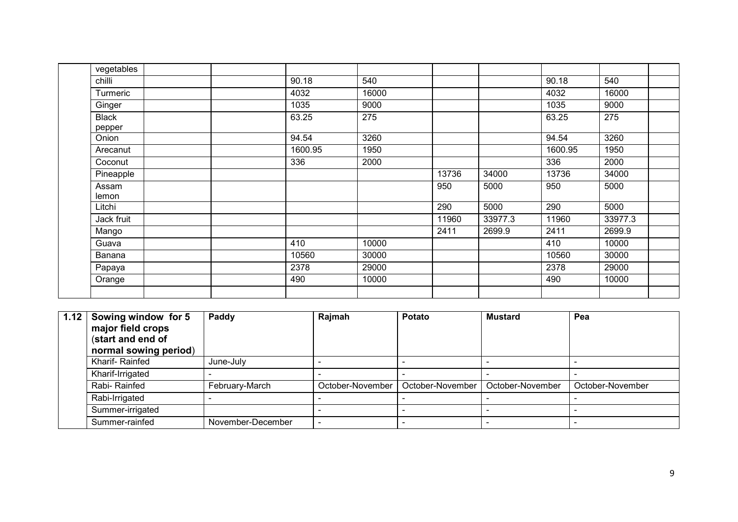| vegetables             |         |       |       |         |         |         |
|------------------------|---------|-------|-------|---------|---------|---------|
| chilli                 | 90.18   | 540   |       |         | 90.18   | 540     |
| Turmeric               | 4032    | 16000 |       |         | 4032    | 16000   |
| Ginger                 | 1035    | 9000  |       |         | 1035    | 9000    |
| <b>Black</b><br>pepper | 63.25   | 275   |       |         | 63.25   | 275     |
| Onion                  | 94.54   | 3260  |       |         | 94.54   | 3260    |
| Arecanut               | 1600.95 | 1950  |       |         | 1600.95 | 1950    |
| Coconut                | 336     | 2000  |       |         | 336     | 2000    |
| Pineapple              |         |       | 13736 | 34000   | 13736   | 34000   |
| Assam<br>lemon         |         |       | 950   | 5000    | 950     | 5000    |
| Litchi                 |         |       | 290   | 5000    | 290     | 5000    |
| Jack fruit             |         |       | 11960 | 33977.3 | 11960   | 33977.3 |
| Mango                  |         |       | 2411  | 2699.9  | 2411    | 2699.9  |
| Guava                  | 410     | 10000 |       |         | 410     | 10000   |
| Banana                 | 10560   | 30000 |       |         | 10560   | 30000   |
| Papaya                 | 2378    | 29000 |       |         | 2378    | 29000   |
| Orange                 | 490     | 10000 |       |         | 490     | 10000   |
|                        |         |       |       |         |         |         |

| 1.12 | Sowing window for 5<br>major field crops<br>(start and end of<br>normal sowing period) | Paddy             | Rajmah           | Potato           | <b>Mustard</b>   | Pea              |
|------|----------------------------------------------------------------------------------------|-------------------|------------------|------------------|------------------|------------------|
|      | Kharif-Rainfed                                                                         | June-July         |                  |                  |                  |                  |
|      | Kharif-Irrigated                                                                       |                   |                  |                  |                  |                  |
|      | Rabi-Rainfed                                                                           | February-March    | October-November | October-November | October-November | October-November |
|      | Rabi-Irrigated                                                                         |                   |                  |                  |                  |                  |
|      | Summer-irrigated                                                                       |                   |                  |                  |                  |                  |
|      | Summer-rainfed                                                                         | November-December |                  |                  |                  |                  |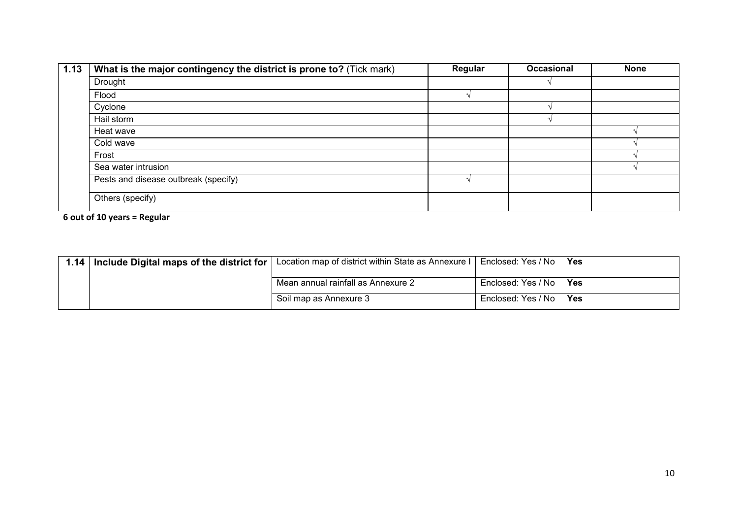| 1.13 | What is the major contingency the district is prone to? (Tick mark) | Regular | <b>Occasional</b> | <b>None</b> |
|------|---------------------------------------------------------------------|---------|-------------------|-------------|
|      | Drought                                                             |         |                   |             |
|      | Flood                                                               |         |                   |             |
|      | Cyclone                                                             |         |                   |             |
|      | Hail storm                                                          |         |                   |             |
|      | Heat wave                                                           |         |                   |             |
|      | Cold wave                                                           |         |                   |             |
|      | Frost                                                               |         |                   |             |
|      | Sea water intrusion                                                 |         |                   |             |
|      | Pests and disease outbreak (specify)                                |         |                   |             |
|      | Others (specify)                                                    |         |                   |             |

6 out of 10 years = Regular

| 1.14   Include Digital maps of the district for | Location map of district within State as Annexure I | Enclosed: Yes / No | Yes |
|-------------------------------------------------|-----------------------------------------------------|--------------------|-----|
|                                                 | Mean annual rainfall as Annexure 2                  | Enclosed: Yes / No | Yes |
|                                                 | Soil map as Annexure 3                              | Enclosed: Yes / No | Yes |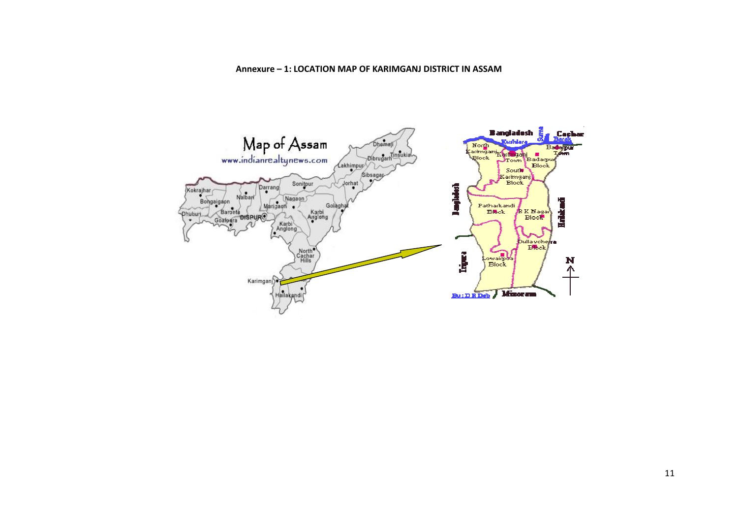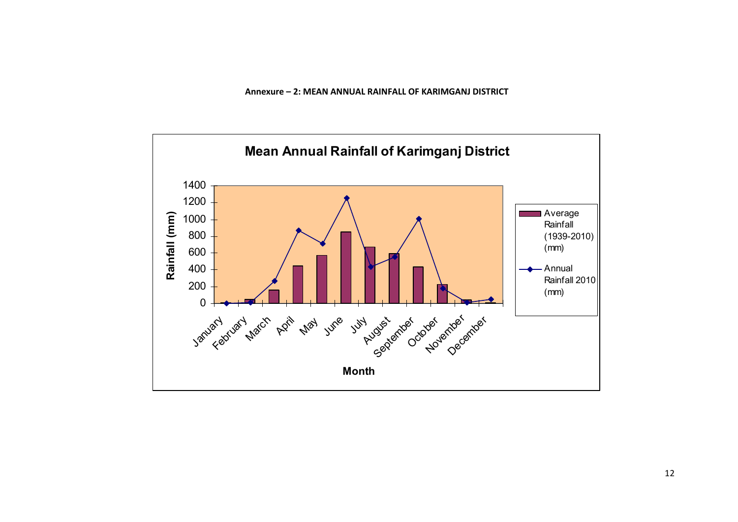Annexure – 2: MEAN ANNUAL RAINFALL OF KARIMGANJ DISTRICT

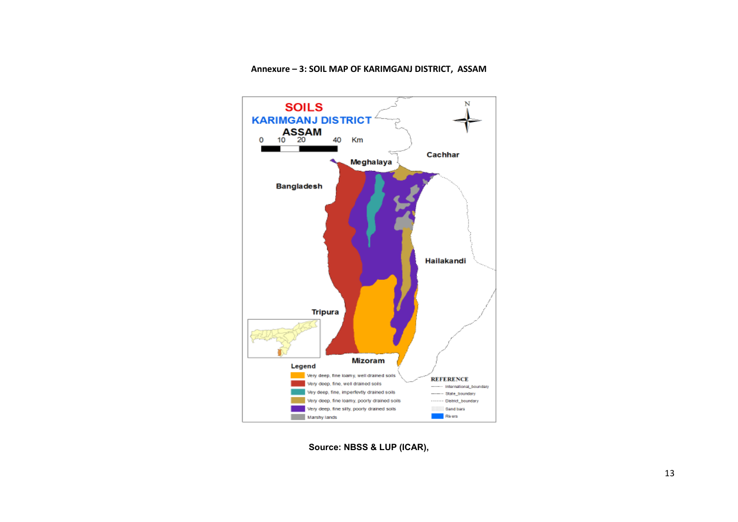

#### Annexure – 3: SOIL MAP OF KARIMGANJ DISTRICT, ASSAM

Source: NBSS & LUP (ICAR),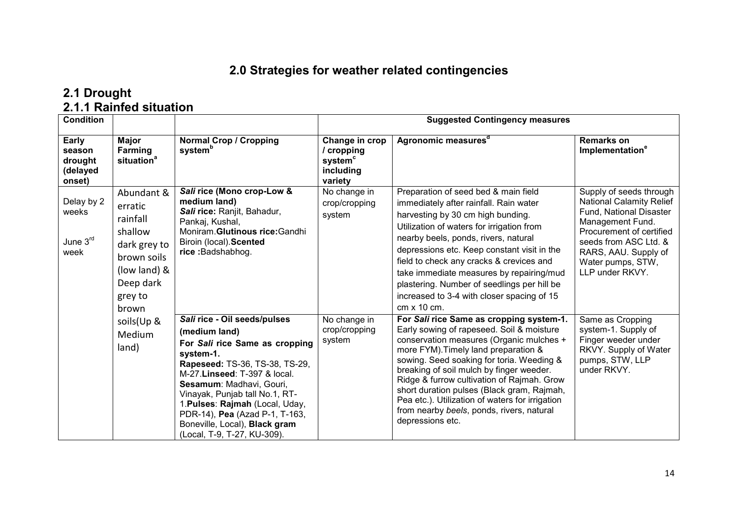#### 2.0 Strategies for weather related contingencies

# 2.1 Drought<br>2.1.1 Rainfed situation

| <b>Condition</b>                                    |                                                                                                                              |                                                                                                                                                                                                                                                                                                                                                                   | <b>Suggested Contingency measures</b>                                       |                                                                                                                                                                                                                                                                                                                                                                                                                                                                                    |                                                                                                                                                                                                                                |  |
|-----------------------------------------------------|------------------------------------------------------------------------------------------------------------------------------|-------------------------------------------------------------------------------------------------------------------------------------------------------------------------------------------------------------------------------------------------------------------------------------------------------------------------------------------------------------------|-----------------------------------------------------------------------------|------------------------------------------------------------------------------------------------------------------------------------------------------------------------------------------------------------------------------------------------------------------------------------------------------------------------------------------------------------------------------------------------------------------------------------------------------------------------------------|--------------------------------------------------------------------------------------------------------------------------------------------------------------------------------------------------------------------------------|--|
| Early<br>season<br>drought<br>(delayed<br>onset)    | Major<br>Farming<br>situation <sup>a</sup>                                                                                   | <b>Normal Crop / Cropping</b><br>system <sup>b</sup>                                                                                                                                                                                                                                                                                                              | Change in crop<br>/ cropping<br>system <sup>c</sup><br>including<br>variety | Agronomic measures <sup>a</sup>                                                                                                                                                                                                                                                                                                                                                                                                                                                    | <b>Remarks on</b><br>Implementation <sup>e</sup>                                                                                                                                                                               |  |
| Delay by 2<br>weeks<br>June 3 <sup>rd</sup><br>week | Abundant &<br>erratic<br>rainfall<br>shallow<br>dark grey to<br>brown soils<br>(low land) &<br>Deep dark<br>grey to<br>brown | Sali rice (Mono crop-Low &<br>medium land)<br>Sali rice: Ranjit, Bahadur,<br>Pankaj, Kushal,<br>Moniram. Glutinous rice: Gandhi<br>Biroin (local). Scented<br>rice: Badshabhog.                                                                                                                                                                                   | No change in<br>crop/cropping<br>system                                     | Preparation of seed bed & main field<br>immediately after rainfall. Rain water<br>harvesting by 30 cm high bunding.<br>Utilization of waters for irrigation from<br>nearby beels, ponds, rivers, natural<br>depressions etc. Keep constant visit in the<br>field to check any cracks & crevices and<br>take immediate measures by repairing/mud<br>plastering. Number of seedlings per hill be<br>increased to 3-4 with closer spacing of 15<br>$cm \times 10$ cm.                 | Supply of seeds through<br><b>National Calamity Relief</b><br>Fund, National Disaster<br>Management Fund.<br>Procurement of certified<br>seeds from ASC Ltd. &<br>RARS, AAU. Supply of<br>Water pumps, STW,<br>LLP under RKVY. |  |
|                                                     | soils(Up &<br><b>Medium</b><br>land)                                                                                         | Sali rice - Oil seeds/pulses<br>(medium land)<br>For Sali rice Same as cropping<br>system-1.<br>Rapeseed: TS-36, TS-38, TS-29,<br>M-27.Linseed: T-397 & local.<br>Sesamum: Madhavi, Gouri,<br>Vinayak, Punjab tall No.1, RT-<br>1. Pulses: Rajmah (Local, Uday,<br>PDR-14), Pea (Azad P-1, T-163,<br>Boneville, Local), Black gram<br>(Local, T-9, T-27, KU-309). | No change in<br>crop/cropping<br>system                                     | For Sali rice Same as cropping system-1.<br>Early sowing of rapeseed. Soil & moisture<br>conservation measures (Organic mulches +<br>more FYM). Timely land preparation &<br>sowing. Seed soaking for toria. Weeding &<br>breaking of soil mulch by finger weeder.<br>Ridge & furrow cultivation of Rajmah. Grow<br>short duration pulses (Black gram, Rajmah,<br>Pea etc.). Utilization of waters for irrigation<br>from nearby beels, ponds, rivers, natural<br>depressions etc. | Same as Cropping<br>system-1. Supply of<br>Finger weeder under<br>RKVY. Supply of Water<br>pumps, STW, LLP<br>under RKVY.                                                                                                      |  |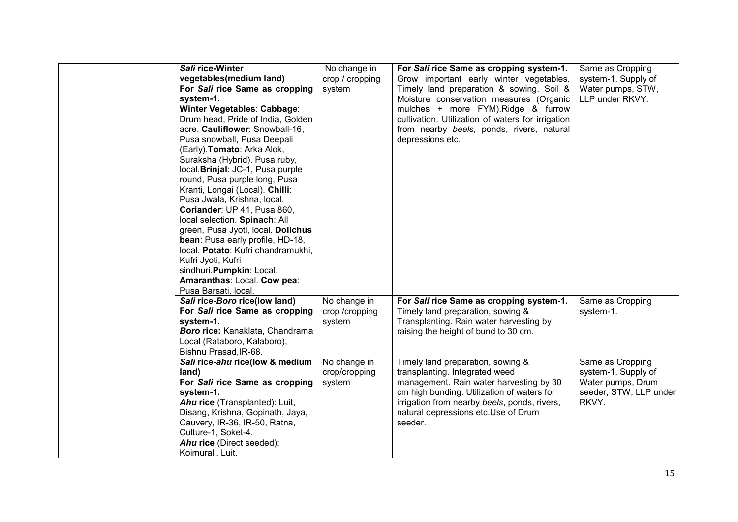| Sali rice-Winter<br>vegetables(medium land)<br>For Sali rice Same as cropping<br>system-1.<br>Winter Vegetables: Cabbage:<br>Drum head, Pride of India, Golden<br>acre. Cauliflower: Snowball-16,<br>Pusa snowball, Pusa Deepali<br>(Early). Tomato: Arka Alok,<br>Suraksha (Hybrid), Pusa ruby,<br>local. Brinjal: JC-1, Pusa purple<br>round, Pusa purple long, Pusa<br>Kranti, Longai (Local). Chilli:<br>Pusa Jwala, Krishna, local.<br>Coriander: UP 41, Pusa 860,<br>local selection. Spinach: All<br>green, Pusa Jyoti, local. Dolichus<br>bean: Pusa early profile, HD-18,<br>local. Potato: Kufri chandramukhi,<br>Kufri Jyoti, Kufri<br>sindhuri. Pumpkin: Local.<br>Amaranthas: Local. Cow pea:<br>Pusa Barsati, local. | No change in<br>crop / cropping<br>system | For Sali rice Same as cropping system-1.<br>Grow important early winter vegetables.<br>Timely land preparation & sowing. Soil &<br>Moisture conservation measures (Organic<br>mulches + more FYM).Ridge & furrow<br>cultivation. Utilization of waters for irrigation<br>from nearby beels, ponds, rivers, natural<br>depressions etc. | Same as Cropping<br>system-1. Supply of<br>Water pumps, STW,<br>LLP under RKVY.                 |
|------------------------------------------------------------------------------------------------------------------------------------------------------------------------------------------------------------------------------------------------------------------------------------------------------------------------------------------------------------------------------------------------------------------------------------------------------------------------------------------------------------------------------------------------------------------------------------------------------------------------------------------------------------------------------------------------------------------------------------|-------------------------------------------|----------------------------------------------------------------------------------------------------------------------------------------------------------------------------------------------------------------------------------------------------------------------------------------------------------------------------------------|-------------------------------------------------------------------------------------------------|
| Sali rice-Boro rice(low land)<br>For Sali rice Same as cropping<br>system-1.<br>Boro rice: Kanaklata, Chandrama<br>Local (Rataboro, Kalaboro),<br>Bishnu Prasad, IR-68.                                                                                                                                                                                                                                                                                                                                                                                                                                                                                                                                                            | No change in<br>crop /cropping<br>system  | For Sali rice Same as cropping system-1.<br>Timely land preparation, sowing &<br>Transplanting. Rain water harvesting by<br>raising the height of bund to 30 cm.                                                                                                                                                                       | Same as Cropping<br>system-1.                                                                   |
| Sali rice-ahu rice(low & medium<br>land)<br>For Sali rice Same as cropping<br>system-1.<br>Ahu rice (Transplanted): Luit,<br>Disang, Krishna, Gopinath, Jaya,<br>Cauvery, IR-36, IR-50, Ratna,<br>Culture-1, Soket-4.<br>Ahu rice (Direct seeded):<br>Koimurali. Luit.                                                                                                                                                                                                                                                                                                                                                                                                                                                             | No change in<br>crop/cropping<br>system   | Timely land preparation, sowing &<br>transplanting. Integrated weed<br>management. Rain water harvesting by 30<br>cm high bunding. Utilization of waters for<br>irrigation from nearby beels, ponds, rivers,<br>natural depressions etc.Use of Drum<br>seeder.                                                                         | Same as Cropping<br>system-1. Supply of<br>Water pumps, Drum<br>seeder, STW, LLP under<br>RKVY. |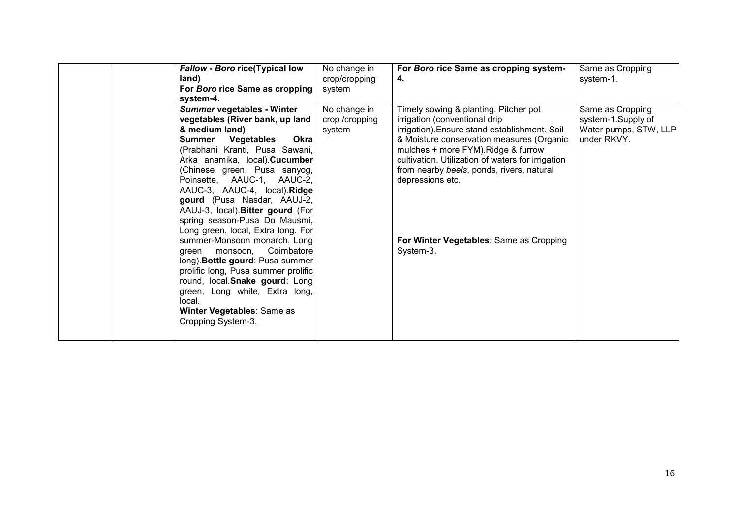| <b>Fallow - Boro rice(Typical low</b><br>land)<br>For Boro rice Same as cropping<br>system-4.                                                                                                                                                                                                                                                                                                                                                                                                                                                                                                                                                                                                              | No change in<br>crop/cropping<br>system  | For Boro rice Same as cropping system-<br>4.                                                                                                                                                                                                                                                                                                                                              | Same as Cropping<br>system-1.                                                  |
|------------------------------------------------------------------------------------------------------------------------------------------------------------------------------------------------------------------------------------------------------------------------------------------------------------------------------------------------------------------------------------------------------------------------------------------------------------------------------------------------------------------------------------------------------------------------------------------------------------------------------------------------------------------------------------------------------------|------------------------------------------|-------------------------------------------------------------------------------------------------------------------------------------------------------------------------------------------------------------------------------------------------------------------------------------------------------------------------------------------------------------------------------------------|--------------------------------------------------------------------------------|
| Summer vegetables - Winter<br>vegetables (River bank, up land<br>& medium land)<br>Vegetables:<br>Okra<br>Summer<br>(Prabhani Kranti, Pusa Sawani,<br>Arka anamika, local). Cucumber<br>(Chinese green, Pusa sanyog,<br>Poinsette, AAUC-1, AAUC-2,<br>AAUC-3, AAUC-4, local).Ridge<br>gourd (Pusa Nasdar, AAUJ-2,<br>AAUJ-3, local). Bitter gourd (For<br>spring season-Pusa Do Mausmi,<br>Long green, local, Extra long. For<br>summer-Monsoon monarch, Long<br>monsoon, Coimbatore<br>green<br>long). Bottle gourd: Pusa summer<br>prolific long, Pusa summer prolific<br>round, local.Snake gourd: Long<br>green, Long white, Extra long,<br>local.<br>Winter Vegetables: Same as<br>Cropping System-3. | No change in<br>crop /cropping<br>system | Timely sowing & planting. Pitcher pot<br>irrigation (conventional drip<br>irrigation). Ensure stand establishment. Soil<br>& Moisture conservation measures (Organic<br>mulches + more FYM). Ridge & furrow<br>cultivation. Utilization of waters for irrigation<br>from nearby beels, ponds, rivers, natural<br>depressions etc.<br>For Winter Vegetables: Same as Cropping<br>System-3. | Same as Cropping<br>system-1.Supply of<br>Water pumps, STW, LLP<br>under RKVY. |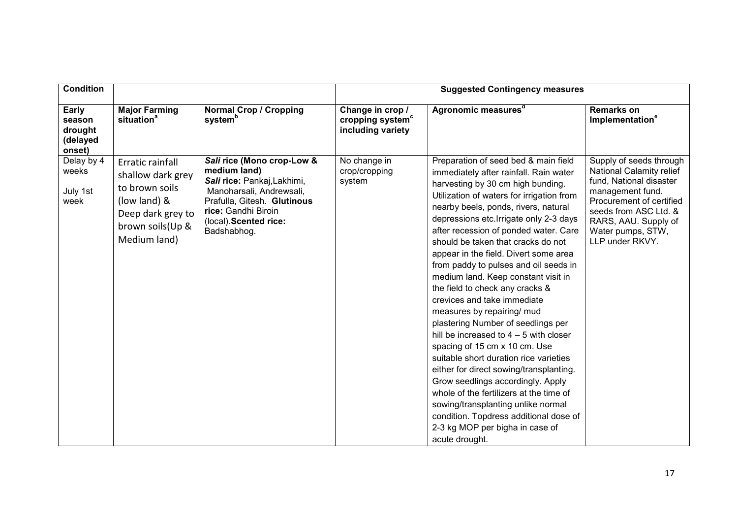| <b>Condition</b>                                 |                                                                                                                                  |                                                                                                                                                                                                      | <b>Suggested Contingency measures</b>                                 |                                                                                                                                                                                                                                                                                                                                                                                                                                                                                                                                                                                                                                                                                                                                                                                                                                                                                                                                                                                          |                                                                                                                                                                                                                         |  |
|--------------------------------------------------|----------------------------------------------------------------------------------------------------------------------------------|------------------------------------------------------------------------------------------------------------------------------------------------------------------------------------------------------|-----------------------------------------------------------------------|------------------------------------------------------------------------------------------------------------------------------------------------------------------------------------------------------------------------------------------------------------------------------------------------------------------------------------------------------------------------------------------------------------------------------------------------------------------------------------------------------------------------------------------------------------------------------------------------------------------------------------------------------------------------------------------------------------------------------------------------------------------------------------------------------------------------------------------------------------------------------------------------------------------------------------------------------------------------------------------|-------------------------------------------------------------------------------------------------------------------------------------------------------------------------------------------------------------------------|--|
| Early<br>season<br>drought<br>(delayed<br>onset) | <b>Major Farming</b><br>situation <sup>a</sup>                                                                                   | <b>Normal Crop / Cropping</b><br>system <sup>b</sup>                                                                                                                                                 | Change in crop /<br>cropping system <sup>c</sup><br>including variety | Agronomic measures <sup>a</sup>                                                                                                                                                                                                                                                                                                                                                                                                                                                                                                                                                                                                                                                                                                                                                                                                                                                                                                                                                          | <b>Remarks on</b><br>Implementation <sup>e</sup>                                                                                                                                                                        |  |
| Delay by 4<br>weeks<br>July 1st<br>week          | Erratic rainfall<br>shallow dark grey<br>to brown soils<br>(low land) &<br>Deep dark grey to<br>brown soils(Up &<br>Medium land) | Sali rice (Mono crop-Low &<br>medium land)<br>Sali rice: Pankaj, Lakhimi,<br>Manoharsali, Andrewsali,<br>Prafulla, Gitesh. Glutinous<br>rice: Gandhi Biroin<br>(local). Scented rice:<br>Badshabhog. | No change in<br>crop/cropping<br>system                               | Preparation of seed bed & main field<br>immediately after rainfall. Rain water<br>harvesting by 30 cm high bunding.<br>Utilization of waters for irrigation from<br>nearby beels, ponds, rivers, natural<br>depressions etc. Irrigate only 2-3 days<br>after recession of ponded water. Care<br>should be taken that cracks do not<br>appear in the field. Divert some area<br>from paddy to pulses and oil seeds in<br>medium land. Keep constant visit in<br>the field to check any cracks &<br>crevices and take immediate<br>measures by repairing/ mud<br>plastering Number of seedlings per<br>hill be increased to $4 - 5$ with closer<br>spacing of 15 cm x 10 cm. Use<br>suitable short duration rice varieties<br>either for direct sowing/transplanting.<br>Grow seedlings accordingly. Apply<br>whole of the fertilizers at the time of<br>sowing/transplanting unlike normal<br>condition. Topdress additional dose of<br>2-3 kg MOP per bigha in case of<br>acute drought. | Supply of seeds through<br>National Calamity relief<br>fund, National disaster<br>management fund.<br>Procurement of certified<br>seeds from ASC Ltd. &<br>RARS, AAU. Supply of<br>Water pumps, STW,<br>LLP under RKVY. |  |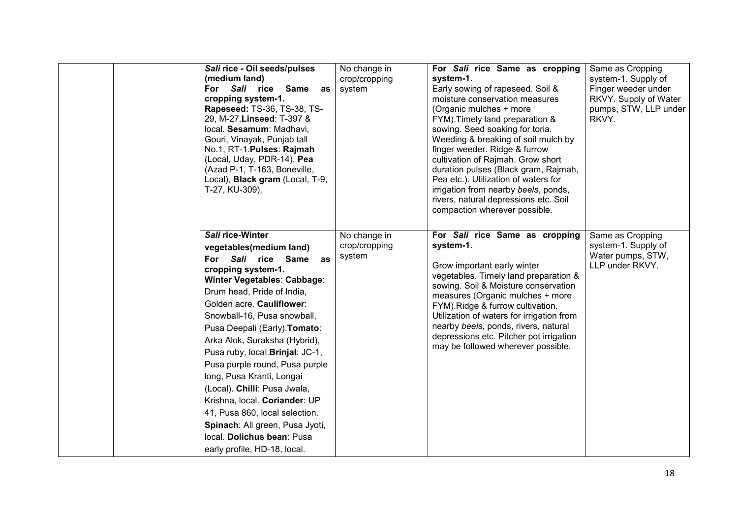| Sali rice - Oil seeds/pulses<br>(medium land)<br>For Sali rice Same<br>as<br>cropping system-1.<br>Rapeseed: TS-36, TS-38, TS-<br>29, M-27. Linseed: T-397 &<br>local. Sesamum: Madhavi,<br>Gouri, Vinayak, Punjab tall<br>No.1, RT-1. Pulses: Rajmah<br>(Local, Uday, PDR-14), Pea<br>(Azad P-1, T-163, Boneville,<br>Local), Black gram (Local, T-9,<br>T-27, KU-309).                                                                                                                                                                                                                        | No change in<br>crop/cropping<br>system | For Sali rice Same as cropping<br>system-1.<br>Early sowing of rapeseed. Soil &<br>moisture conservation measures<br>(Organic mulches + more<br>FYM). Timely land preparation &<br>sowing. Seed soaking for toria.<br>Weeding & breaking of soil mulch by<br>finger weeder. Ridge & furrow<br>cultivation of Rajmah. Grow short<br>duration pulses (Black gram, Rajmah,<br>Pea etc.). Utilization of waters for<br>irrigation from nearby beels, ponds,<br>rivers, natural depressions etc. Soil<br>compaction wherever possible. | Same as Cropping<br>system-1. Supply of<br>Finger weeder under<br>RKVY. Supply of Water<br>pumps, STW, LLP under<br>RKVY. |
|-------------------------------------------------------------------------------------------------------------------------------------------------------------------------------------------------------------------------------------------------------------------------------------------------------------------------------------------------------------------------------------------------------------------------------------------------------------------------------------------------------------------------------------------------------------------------------------------------|-----------------------------------------|-----------------------------------------------------------------------------------------------------------------------------------------------------------------------------------------------------------------------------------------------------------------------------------------------------------------------------------------------------------------------------------------------------------------------------------------------------------------------------------------------------------------------------------|---------------------------------------------------------------------------------------------------------------------------|
| Sali rice-Winter<br>vegetables(medium land)<br>For Sali rice Same<br>as<br>cropping system-1.<br>Winter Vegetables: Cabbage:<br>Drum head, Pride of India,<br>Golden acre. Cauliflower:<br>Snowball-16, Pusa snowball,<br>Pusa Deepali (Early). Tomato:<br>Arka Alok, Suraksha (Hybrid),<br>Pusa ruby, local. Brinjal: JC-1,<br>Pusa purple round, Pusa purple<br>long, Pusa Kranti, Longai<br>(Local). Chilli: Pusa Jwala,<br>Krishna, local. Coriander: UP<br>41, Pusa 860, local selection.<br>Spinach: All green, Pusa Jyoti,<br>local. Dolichus bean: Pusa<br>early profile, HD-18, local. | No change in<br>crop/cropping<br>system | For Sali rice Same as cropping<br>system-1.<br>Grow important early winter<br>vegetables. Timely land preparation &<br>sowing. Soil & Moisture conservation<br>measures (Organic mulches + more<br>FYM). Ridge & furrow cultivation.<br>Utilization of waters for irrigation from<br>nearby beels, ponds, rivers, natural<br>depressions etc. Pitcher pot irrigation<br>may be followed wherever possible.                                                                                                                        | Same as Cropping<br>system-1. Supply of<br>Water pumps, STW,<br>LLP under RKVY.                                           |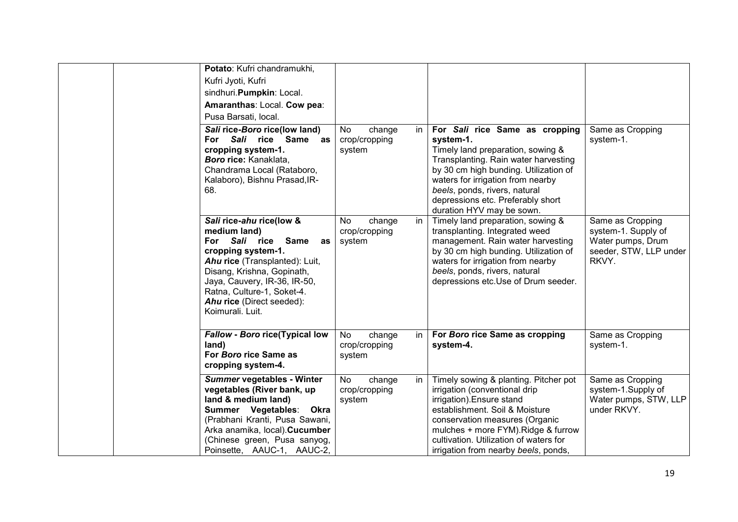| Potato: Kufri chandramukhi,<br>Kufri Jyoti, Kufri<br>sindhuri. Pumpkin: Local.<br>Amaranthas: Local. Cow pea:<br>Pusa Barsati, local.                                                                                                                                     |                                               |                                                                                                                                                                                                                                                                                                           |                                                                                                 |
|---------------------------------------------------------------------------------------------------------------------------------------------------------------------------------------------------------------------------------------------------------------------------|-----------------------------------------------|-----------------------------------------------------------------------------------------------------------------------------------------------------------------------------------------------------------------------------------------------------------------------------------------------------------|-------------------------------------------------------------------------------------------------|
| Sali rice-Boro rice(low land)<br>For Sali rice Same as<br>cropping system-1.<br>Boro rice: Kanaklata,<br>Chandrama Local (Rataboro,<br>Kalaboro), Bishnu Prasad, IR-<br>68.                                                                                               | No<br>change<br>in<br>crop/cropping<br>system | For Sali rice Same as cropping<br>system-1.<br>Timely land preparation, sowing &<br>Transplanting. Rain water harvesting<br>by 30 cm high bunding. Utilization of<br>waters for irrigation from nearby<br>beels, ponds, rivers, natural<br>depressions etc. Preferably short<br>duration HYV may be sown. | Same as Cropping<br>system-1.                                                                   |
| Sali rice-ahu rice(low &<br>medium land)<br>For Sali rice Same<br>as<br>cropping system-1.<br>Ahu rice (Transplanted): Luit,<br>Disang, Krishna, Gopinath,<br>Jaya, Cauvery, IR-36, IR-50,<br>Ratna, Culture-1, Soket-4.<br>Ahu rice (Direct seeded):<br>Koimurali. Luit. | in<br>No<br>change<br>crop/cropping<br>system | Timely land preparation, sowing &<br>transplanting. Integrated weed<br>management. Rain water harvesting<br>by 30 cm high bunding. Utilization of<br>waters for irrigation from nearby<br>beels, ponds, rivers, natural<br>depressions etc.Use of Drum seeder.                                            | Same as Cropping<br>system-1. Supply of<br>Water pumps, Drum<br>seeder, STW, LLP under<br>RKVY. |
| <b>Fallow - Boro rice(Typical low</b><br>land)<br>For Boro rice Same as<br>cropping system-4.                                                                                                                                                                             | No<br>in<br>change<br>crop/cropping<br>system | For Boro rice Same as cropping<br>system-4.                                                                                                                                                                                                                                                               | Same as Cropping<br>system-1.                                                                   |
| Summer vegetables - Winter<br>vegetables (River bank, up<br>land & medium land)<br>Summer Vegetables: Okra<br>(Prabhani Kranti, Pusa Sawani,<br>Arka anamika, local). Cucumber<br>(Chinese green, Pusa sanyog,<br>Poinsette, AAUC-1, AAUC-2,                              | No<br>change<br>in<br>crop/cropping<br>system | Timely sowing & planting. Pitcher pot<br>irrigation (conventional drip<br>irrigation). Ensure stand<br>establishment. Soil & Moisture<br>conservation measures (Organic<br>mulches + more FYM).Ridge & furrow<br>cultivation. Utilization of waters for<br>irrigation from nearby beels, ponds,           | Same as Cropping<br>system-1.Supply of<br>Water pumps, STW, LLP<br>under RKVY.                  |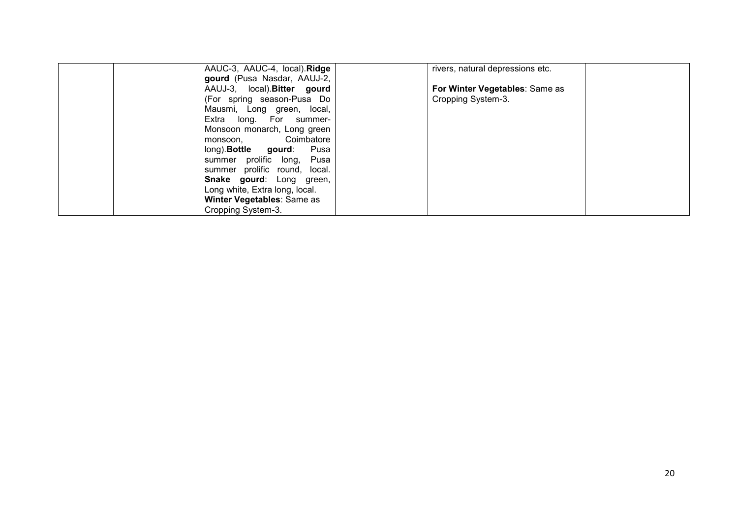| AAUC-3, AAUC-4, local). Ridge    | rivers, natural depressions etc. |  |
|----------------------------------|----------------------------------|--|
| gourd (Pusa Nasdar, AAUJ-2,      |                                  |  |
| AAUJ-3, local). Bitter gourd     | For Winter Vegetables: Same as   |  |
| (For spring season-Pusa Do       | Cropping System-3.               |  |
| Mausmi, Long green, local,       |                                  |  |
| Extra long. For summer-          |                                  |  |
| Monsoon monarch, Long green      |                                  |  |
| Coimbatore<br>monsoon.           |                                  |  |
| long). <b>Bottle</b> gourd: Pusa |                                  |  |
| summer prolific long, Pusa       |                                  |  |
| summer prolific round, local.    |                                  |  |
| <b>Snake gourd:</b> Long green,  |                                  |  |
| Long white, Extra long, local.   |                                  |  |
| Winter Vegetables: Same as       |                                  |  |
| Cropping System-3.               |                                  |  |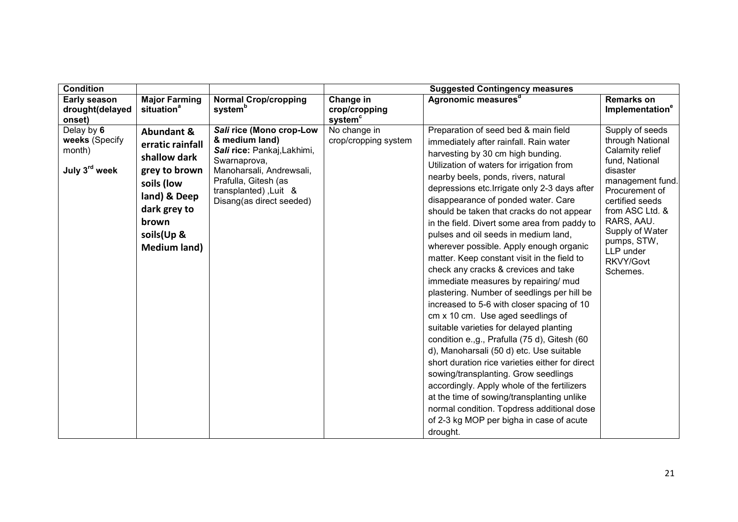| <b>Condition</b>                                                    |                                                                                                                                                                        |                                                                                                                                                                                                    | <b>Suggested Contingency measures</b>             |                                                                                                                                                                                                                                                                                                                                                                                                                                                                                                                                                                                                                                                                                                                                                                                                                                                                                                                                                                                                                                                                                                                                                                                        |                                                                                                                                                                                                                                                        |  |
|---------------------------------------------------------------------|------------------------------------------------------------------------------------------------------------------------------------------------------------------------|----------------------------------------------------------------------------------------------------------------------------------------------------------------------------------------------------|---------------------------------------------------|----------------------------------------------------------------------------------------------------------------------------------------------------------------------------------------------------------------------------------------------------------------------------------------------------------------------------------------------------------------------------------------------------------------------------------------------------------------------------------------------------------------------------------------------------------------------------------------------------------------------------------------------------------------------------------------------------------------------------------------------------------------------------------------------------------------------------------------------------------------------------------------------------------------------------------------------------------------------------------------------------------------------------------------------------------------------------------------------------------------------------------------------------------------------------------------|--------------------------------------------------------------------------------------------------------------------------------------------------------------------------------------------------------------------------------------------------------|--|
| <b>Early season</b><br>drought(delayed<br>onset)                    | <b>Major Farming</b><br>situation <sup>a</sup>                                                                                                                         | <b>Normal Crop/cropping</b><br>system <sup>b</sup>                                                                                                                                                 | Change in<br>crop/cropping<br>system <sup>c</sup> | Agronomic measures <sup>a</sup>                                                                                                                                                                                                                                                                                                                                                                                                                                                                                                                                                                                                                                                                                                                                                                                                                                                                                                                                                                                                                                                                                                                                                        | <b>Remarks on</b><br>Implementation <sup>e</sup>                                                                                                                                                                                                       |  |
| Delay by 6<br>weeks (Specify<br>month)<br>July 3 <sup>rd</sup> week | <b>Abundant &amp;</b><br>erratic rainfall<br>shallow dark<br>grey to brown<br>soils (low<br>land) & Deep<br>dark grey to<br>brown<br>soils(Up &<br><b>Medium land)</b> | Sali rice (Mono crop-Low<br>& medium land)<br>Sali rice: Pankaj, Lakhimi,<br>Swarnaprova,<br>Manoharsali, Andrewsali,<br>Prafulla, Gitesh (as<br>transplanted), Luit &<br>Disang(as direct seeded) | No change in<br>crop/cropping system              | Preparation of seed bed & main field<br>immediately after rainfall. Rain water<br>harvesting by 30 cm high bunding.<br>Utilization of waters for irrigation from<br>nearby beels, ponds, rivers, natural<br>depressions etc. Irrigate only 2-3 days after<br>disappearance of ponded water. Care<br>should be taken that cracks do not appear<br>in the field. Divert some area from paddy to<br>pulses and oil seeds in medium land,<br>wherever possible. Apply enough organic<br>matter. Keep constant visit in the field to<br>check any cracks & crevices and take<br>immediate measures by repairing/ mud<br>plastering. Number of seedlings per hill be<br>increased to 5-6 with closer spacing of 10<br>cm x 10 cm. Use aged seedlings of<br>suitable varieties for delayed planting<br>condition e.,g., Prafulla (75 d), Gitesh (60<br>d), Manoharsali (50 d) etc. Use suitable<br>short duration rice varieties either for direct<br>sowing/transplanting. Grow seedlings<br>accordingly. Apply whole of the fertilizers<br>at the time of sowing/transplanting unlike<br>normal condition. Topdress additional dose<br>of 2-3 kg MOP per bigha in case of acute<br>drought. | Supply of seeds<br>through National<br>Calamity relief<br>fund, National<br>disaster<br>management fund.<br>Procurement of<br>certified seeds<br>from ASC Ltd. &<br>RARS, AAU.<br>Supply of Water<br>pumps, STW,<br>LLP under<br>RKVY/Govt<br>Schemes. |  |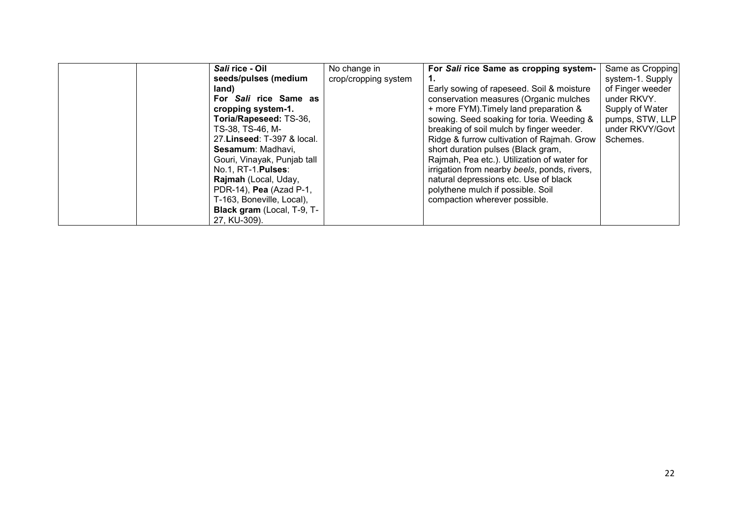| Sali rice - Oil                   | No change in         | For Sali rice Same as cropping system-       | Same as Cropping |
|-----------------------------------|----------------------|----------------------------------------------|------------------|
| seeds/pulses (medium              | crop/cropping system |                                              | system-1. Supply |
| land)                             |                      | Early sowing of rapeseed. Soil & moisture    | of Finger weeder |
| For Sali rice Same as             |                      | conservation measures (Organic mulches       | under RKVY.      |
| cropping system-1.                |                      | + more FYM). Timely land preparation &       | Supply of Water  |
| Toria/Rapeseed: TS-36,            |                      | sowing. Seed soaking for toria. Weeding &    | pumps, STW, LLP  |
| TS-38, TS-46, M-                  |                      | breaking of soil mulch by finger weeder.     | under RKVY/Govt  |
| 27. Linseed: T-397 & local.       |                      | Ridge & furrow cultivation of Rajmah. Grow   | Schemes.         |
| Sesamum: Madhavi,                 |                      | short duration pulses (Black gram,           |                  |
| Gouri, Vinayak, Punjab tall       |                      | Rajmah, Pea etc.). Utilization of water for  |                  |
| No.1, RT-1. <b>Pulses</b> :       |                      | irrigation from nearby beels, ponds, rivers, |                  |
| Rajmah (Local, Uday,              |                      | natural depressions etc. Use of black        |                  |
| PDR-14), Pea (Azad P-1,           |                      | polythene mulch if possible. Soil            |                  |
| T-163, Boneville, Local),         |                      | compaction wherever possible.                |                  |
| <b>Black gram</b> (Local, T-9, T- |                      |                                              |                  |
| 27. KU-309).                      |                      |                                              |                  |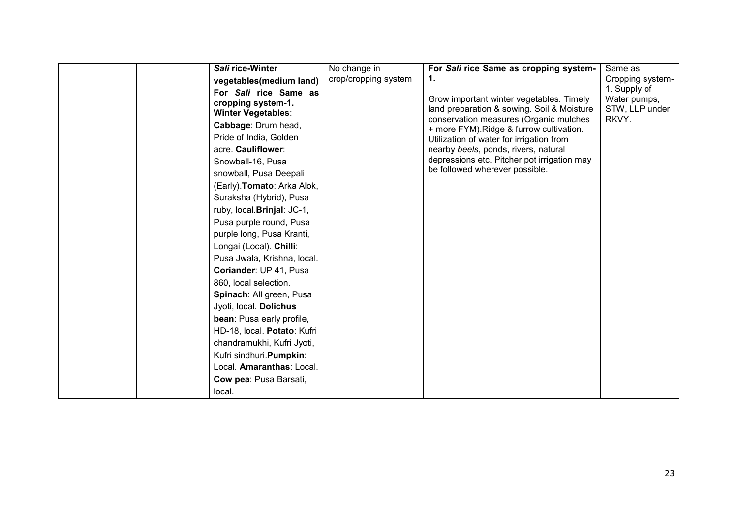| Sali rice-Winter                                                                                                                                                                                                                                                                                                                                                                                                                                                                         | No change in         | For Sali rice Same as cropping system-                                                                                                                                                                                                                                                                                                            | Same as                                                 |
|------------------------------------------------------------------------------------------------------------------------------------------------------------------------------------------------------------------------------------------------------------------------------------------------------------------------------------------------------------------------------------------------------------------------------------------------------------------------------------------|----------------------|---------------------------------------------------------------------------------------------------------------------------------------------------------------------------------------------------------------------------------------------------------------------------------------------------------------------------------------------------|---------------------------------------------------------|
| vegetables(medium land)                                                                                                                                                                                                                                                                                                                                                                                                                                                                  | crop/cropping system | 1.                                                                                                                                                                                                                                                                                                                                                | Cropping system-                                        |
| For Sali rice Same as<br>cropping system-1.<br><b>Winter Vegetables:</b><br>Cabbage: Drum head,<br>Pride of India, Golden<br>acre. Cauliflower:<br>Snowball-16, Pusa<br>snowball, Pusa Deepali<br>(Early). Tomato: Arka Alok,<br>Suraksha (Hybrid), Pusa<br>ruby, local. Brinjal: JC-1,<br>Pusa purple round, Pusa<br>purple long, Pusa Kranti,<br>Longai (Local). Chilli:<br>Pusa Jwala, Krishna, local.<br>Coriander: UP 41, Pusa<br>860, local selection.<br>Spinach: All green, Pusa |                      | Grow important winter vegetables. Timely<br>land preparation & sowing. Soil & Moisture<br>conservation measures (Organic mulches<br>+ more FYM). Ridge & furrow cultivation.<br>Utilization of water for irrigation from<br>nearby beels, ponds, rivers, natural<br>depressions etc. Pitcher pot irrigation may<br>be followed wherever possible. | 1. Supply of<br>Water pumps,<br>STW, LLP under<br>RKVY. |
| Jyoti, local. Dolichus<br>bean: Pusa early profile,                                                                                                                                                                                                                                                                                                                                                                                                                                      |                      |                                                                                                                                                                                                                                                                                                                                                   |                                                         |
| HD-18, local. Potato: Kufri                                                                                                                                                                                                                                                                                                                                                                                                                                                              |                      |                                                                                                                                                                                                                                                                                                                                                   |                                                         |
| chandramukhi, Kufri Jyoti,                                                                                                                                                                                                                                                                                                                                                                                                                                                               |                      |                                                                                                                                                                                                                                                                                                                                                   |                                                         |
| Kufri sindhuri.Pumpkin:                                                                                                                                                                                                                                                                                                                                                                                                                                                                  |                      |                                                                                                                                                                                                                                                                                                                                                   |                                                         |
| Local. Amaranthas: Local.                                                                                                                                                                                                                                                                                                                                                                                                                                                                |                      |                                                                                                                                                                                                                                                                                                                                                   |                                                         |
| Cow pea: Pusa Barsati,                                                                                                                                                                                                                                                                                                                                                                                                                                                                   |                      |                                                                                                                                                                                                                                                                                                                                                   |                                                         |
| local.                                                                                                                                                                                                                                                                                                                                                                                                                                                                                   |                      |                                                                                                                                                                                                                                                                                                                                                   |                                                         |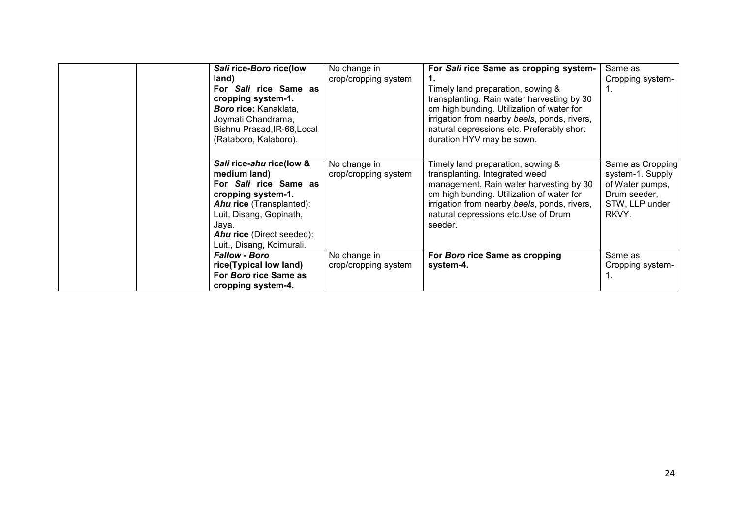| Sali rice-Boro rice(low<br>land)<br>For Sali rice Same as<br>cropping system-1.<br>Boro rice: Kanaklata,<br>Joymati Chandrama,<br>Bishnu Prasad, IR-68, Local<br>(Rataboro, Kalaboro).                                   | No change in<br>crop/cropping system | For Sali rice Same as cropping system-<br>Timely land preparation, sowing &<br>transplanting. Rain water harvesting by 30<br>cm high bunding. Utilization of water for<br>irrigation from nearby beels, ponds, rivers,<br>natural depressions etc. Preferably short<br>duration HYV may be sown. | Same as<br>Cropping system-                                                                        |
|--------------------------------------------------------------------------------------------------------------------------------------------------------------------------------------------------------------------------|--------------------------------------|--------------------------------------------------------------------------------------------------------------------------------------------------------------------------------------------------------------------------------------------------------------------------------------------------|----------------------------------------------------------------------------------------------------|
| Sali rice-ahu rice(low &<br>medium land)<br>For Sali rice Same as<br>cropping system-1.<br>Ahu rice (Transplanted):<br>Luit, Disang, Gopinath,<br>Jaya.<br><b>Ahu rice</b> (Direct seeded):<br>Luit., Disang, Koimurali. | No change in<br>crop/cropping system | Timely land preparation, sowing &<br>transplanting. Integrated weed<br>management. Rain water harvesting by 30<br>cm high bunding. Utilization of water for<br>irrigation from nearby beels, ponds, rivers,<br>natural depressions etc. Use of Drum<br>seeder.                                   | Same as Cropping<br>system-1. Supply<br>of Water pumps,<br>Drum seeder,<br>STW, LLP under<br>RKVY. |
| <b>Fallow - Boro</b><br>rice(Typical low land)<br>For Boro rice Same as<br>cropping system-4.                                                                                                                            | No change in<br>crop/cropping system | For Boro rice Same as cropping<br>system-4.                                                                                                                                                                                                                                                      | Same as<br>Cropping system-<br>1.                                                                  |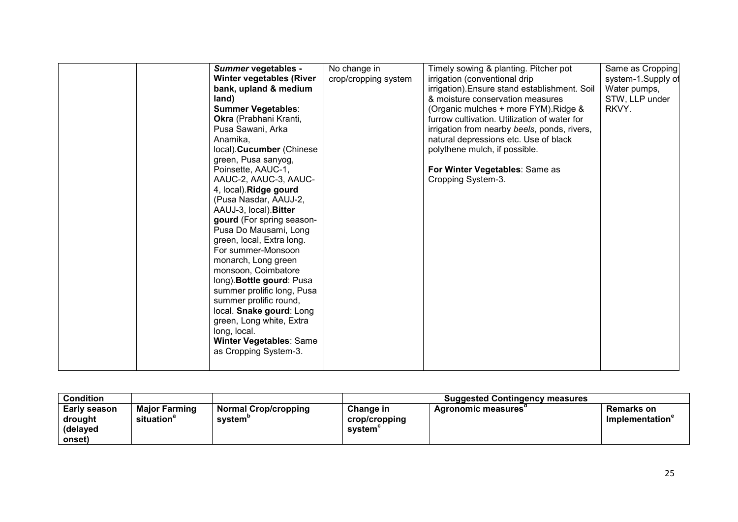|  | Summer vegetables -<br><b>Winter vegetables (River</b><br>bank, upland & medium<br>land)<br><b>Summer Vegetables:</b><br>Okra (Prabhani Kranti,<br>Pusa Sawani, Arka<br>Anamika,<br>local). Cucumber (Chinese<br>green, Pusa sanyog,<br>Poinsette, AAUC-1,<br>AAUC-2, AAUC-3, AAUC-<br>4, local). Ridge gourd<br>(Pusa Nasdar, AAUJ-2,<br>AAUJ-3, local). Bitter<br>gourd (For spring season-<br>Pusa Do Mausami, Long<br>green, local, Extra long.<br>For summer-Monsoon<br>monarch, Long green<br>monsoon, Coimbatore<br>long). <b>Bottle gourd:</b> Pusa<br>summer prolific long, Pusa<br>summer prolific round,<br>local. Snake gourd: Long<br>green, Long white, Extra<br>long, local.<br><b>Winter Vegetables: Same</b><br>as Cropping System-3. | No change in<br>crop/cropping system | Timely sowing & planting. Pitcher pot<br>irrigation (conventional drip<br>irrigation). Ensure stand establishment. Soil<br>& moisture conservation measures<br>(Organic mulches + more FYM). Ridge &<br>furrow cultivation. Utilization of water for<br>irrigation from nearby beels, ponds, rivers,<br>natural depressions etc. Use of black<br>polythene mulch, if possible.<br>For Winter Vegetables: Same as<br>Cropping System-3. | Same as Cropping<br>system-1.Supply of<br>Water pumps,<br>STW, LLP under<br>RKVY. |
|--|--------------------------------------------------------------------------------------------------------------------------------------------------------------------------------------------------------------------------------------------------------------------------------------------------------------------------------------------------------------------------------------------------------------------------------------------------------------------------------------------------------------------------------------------------------------------------------------------------------------------------------------------------------------------------------------------------------------------------------------------------------|--------------------------------------|----------------------------------------------------------------------------------------------------------------------------------------------------------------------------------------------------------------------------------------------------------------------------------------------------------------------------------------------------------------------------------------------------------------------------------------|-----------------------------------------------------------------------------------|
|--|--------------------------------------------------------------------------------------------------------------------------------------------------------------------------------------------------------------------------------------------------------------------------------------------------------------------------------------------------------------------------------------------------------------------------------------------------------------------------------------------------------------------------------------------------------------------------------------------------------------------------------------------------------------------------------------------------------------------------------------------------------|--------------------------------------|----------------------------------------------------------------------------------------------------------------------------------------------------------------------------------------------------------------------------------------------------------------------------------------------------------------------------------------------------------------------------------------------------------------------------------------|-----------------------------------------------------------------------------------|

| <b>Condition</b>                              |                                                |                                 | <b>Suggested Contingency measures</b>       |                           |                                                         |
|-----------------------------------------------|------------------------------------------------|---------------------------------|---------------------------------------------|---------------------------|---------------------------------------------------------|
| Early season<br>drought<br>(delayed<br>onset) | <b>Major Farming</b><br>situation <sup>®</sup> | Normal Crop/cropping<br>svstem' | <b>Change in</b><br>crop/cropping<br>system | <b>Agronomic measures</b> | <b>Remarks on</b><br><b>Implementation</b> <sup>e</sup> |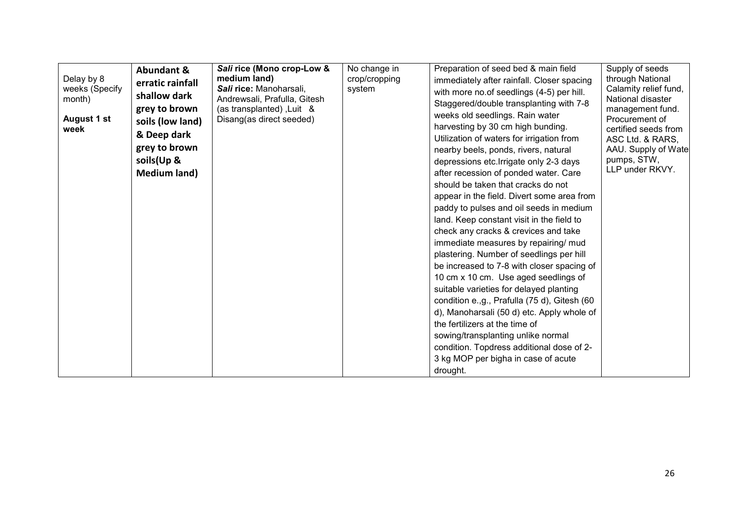| Delay by 8<br>weeks (Specify<br>month)<br>August 1 st<br>week | <b>Abundant &amp;</b><br>erratic rainfall<br>shallow dark<br>grey to brown<br>soils (low land)<br>& Deep dark<br>grey to brown<br>soils(Up &<br><b>Medium land)</b> | Sali rice (Mono crop-Low &<br>medium land)<br>Sali rice: Manoharsali,<br>Andrewsali, Prafulla, Gitesh<br>(as transplanted), Luit &<br>Disang(as direct seeded) | No change in<br>crop/cropping<br>system | Preparation of seed bed & main field<br>immediately after rainfall. Closer spacing<br>with more no.of seedlings (4-5) per hill.<br>Staggered/double transplanting with 7-8<br>weeks old seedlings. Rain water<br>harvesting by 30 cm high bunding.<br>Utilization of waters for irrigation from<br>nearby beels, ponds, rivers, natural<br>depressions etc. Irrigate only 2-3 days<br>after recession of ponded water. Care<br>should be taken that cracks do not<br>appear in the field. Divert some area from<br>paddy to pulses and oil seeds in medium<br>land. Keep constant visit in the field to<br>check any cracks & crevices and take<br>immediate measures by repairing/ mud<br>plastering. Number of seedlings per hill<br>be increased to 7-8 with closer spacing of<br>10 cm x 10 cm. Use aged seedlings of<br>suitable varieties for delayed planting<br>condition e.,g., Prafulla (75 d), Gitesh (60<br>d), Manoharsali (50 d) etc. Apply whole of<br>the fertilizers at the time of<br>sowing/transplanting unlike normal<br>condition. Topdress additional dose of 2-<br>3 kg MOP per bigha in case of acute<br>drought. | Supply of seeds<br>through National<br>Calamity relief fund,<br>National disaster<br>management fund.<br>Procurement of<br>certified seeds from<br>ASC Ltd. & RARS,<br>AAU. Supply of Watel<br>pumps, STW,<br>LLP under RKVY. |
|---------------------------------------------------------------|---------------------------------------------------------------------------------------------------------------------------------------------------------------------|----------------------------------------------------------------------------------------------------------------------------------------------------------------|-----------------------------------------|--------------------------------------------------------------------------------------------------------------------------------------------------------------------------------------------------------------------------------------------------------------------------------------------------------------------------------------------------------------------------------------------------------------------------------------------------------------------------------------------------------------------------------------------------------------------------------------------------------------------------------------------------------------------------------------------------------------------------------------------------------------------------------------------------------------------------------------------------------------------------------------------------------------------------------------------------------------------------------------------------------------------------------------------------------------------------------------------------------------------------------------------|-------------------------------------------------------------------------------------------------------------------------------------------------------------------------------------------------------------------------------|
|---------------------------------------------------------------|---------------------------------------------------------------------------------------------------------------------------------------------------------------------|----------------------------------------------------------------------------------------------------------------------------------------------------------------|-----------------------------------------|--------------------------------------------------------------------------------------------------------------------------------------------------------------------------------------------------------------------------------------------------------------------------------------------------------------------------------------------------------------------------------------------------------------------------------------------------------------------------------------------------------------------------------------------------------------------------------------------------------------------------------------------------------------------------------------------------------------------------------------------------------------------------------------------------------------------------------------------------------------------------------------------------------------------------------------------------------------------------------------------------------------------------------------------------------------------------------------------------------------------------------------------|-------------------------------------------------------------------------------------------------------------------------------------------------------------------------------------------------------------------------------|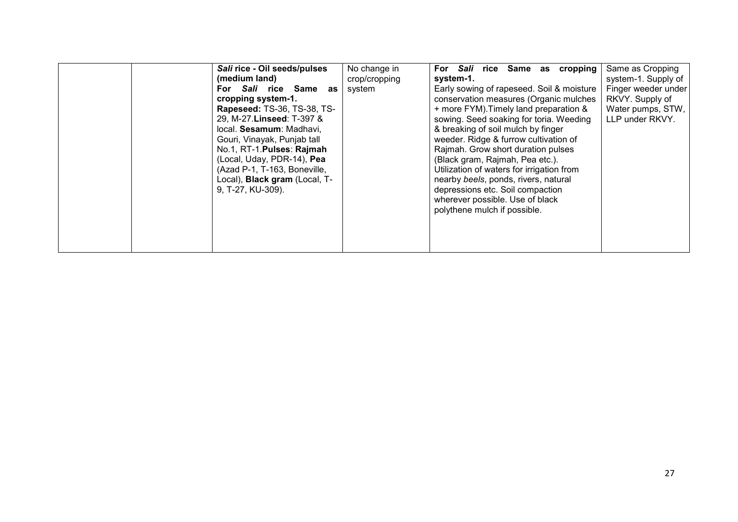| Sali rice - Oil seeds/pulses<br>(medium land)<br>For Sali rice Same<br>as<br>cropping system-1.<br><b>Rapeseed: TS-36, TS-38, TS-</b><br>29, M-27. Linseed: T-397 &<br>local. Sesamum: Madhavi,<br>Gouri, Vinayak, Punjab tall | No change in<br>crop/cropping<br>system | For Sali rice Same as cropping<br>system-1.<br>Early sowing of rapeseed. Soil & moisture<br>conservation measures (Organic mulches<br>+ more FYM). Timely land preparation &<br>sowing. Seed soaking for toria. Weeding<br>& breaking of soil mulch by finger<br>weeder. Ridge & furrow cultivation of | Same as Cropping<br>system-1. Supply of<br>Finger weeder under<br>RKVY. Supply of<br>Water pumps, STW,<br>LLP under RKVY. |
|--------------------------------------------------------------------------------------------------------------------------------------------------------------------------------------------------------------------------------|-----------------------------------------|--------------------------------------------------------------------------------------------------------------------------------------------------------------------------------------------------------------------------------------------------------------------------------------------------------|---------------------------------------------------------------------------------------------------------------------------|
| (Local, Uday, PDR-14), Pea<br>(Azad P-1, T-163, Boneville,<br>Local), <b>Black gram</b> (Local, T-<br>9, T-27, KU-309).                                                                                                        |                                         | (Black gram, Rajmah, Pea etc.).<br>Utilization of waters for irrigation from<br>nearby beels, ponds, rivers, natural<br>depressions etc. Soil compaction<br>wherever possible. Use of black<br>polythene mulch if possible.                                                                            |                                                                                                                           |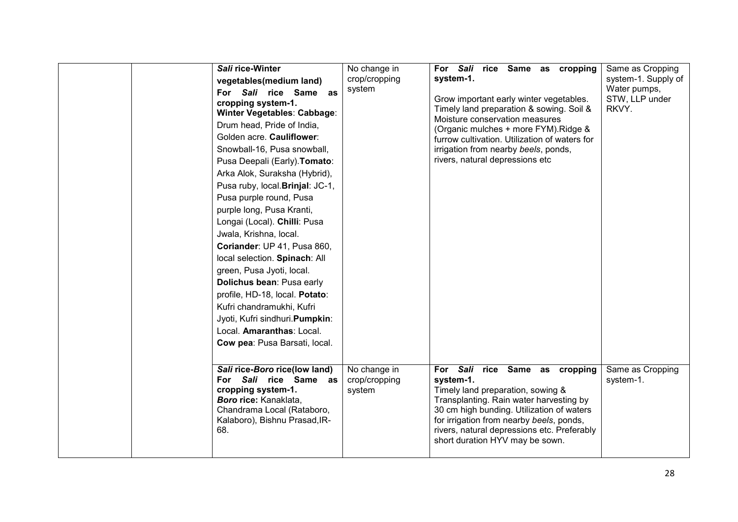| Sali rice-Winter<br>vegetables(medium land)<br>For Sali rice Same as<br>cropping system-1.<br>Winter Vegetables: Cabbage:<br>Drum head, Pride of India,<br>Golden acre. Cauliflower:<br>Snowball-16, Pusa snowball,<br>Pusa Deepali (Early). Tomato:<br>Arka Alok, Suraksha (Hybrid),<br>Pusa ruby, local. Brinjal: JC-1,<br>Pusa purple round, Pusa<br>purple long, Pusa Kranti,<br>Longai (Local). Chilli: Pusa<br>Jwala, Krishna, local.<br>Coriander: UP 41, Pusa 860,<br>local selection. Spinach: All<br>green, Pusa Jyoti, local.<br>Dolichus bean: Pusa early<br>profile, HD-18, local. Potato:<br>Kufri chandramukhi, Kufri<br>Jyoti, Kufri sindhuri. Pumpkin:<br>Local. Amaranthas: Local.<br>Cow pea: Pusa Barsati, local. | No change in<br>crop/cropping<br>system | For Sali rice Same as cropping<br>system-1.<br>Grow important early winter vegetables.<br>Timely land preparation & sowing. Soil &<br>Moisture conservation measures<br>(Organic mulches + more FYM). Ridge &<br>furrow cultivation. Utilization of waters for<br>irrigation from nearby beels, ponds,<br>rivers, natural depressions etc | Same as Cropping<br>system-1. Supply of<br>Water pumps,<br>STW, LLP under<br>RKVY. |
|---------------------------------------------------------------------------------------------------------------------------------------------------------------------------------------------------------------------------------------------------------------------------------------------------------------------------------------------------------------------------------------------------------------------------------------------------------------------------------------------------------------------------------------------------------------------------------------------------------------------------------------------------------------------------------------------------------------------------------------|-----------------------------------------|-------------------------------------------------------------------------------------------------------------------------------------------------------------------------------------------------------------------------------------------------------------------------------------------------------------------------------------------|------------------------------------------------------------------------------------|
| Sali rice-Boro rice(low land)<br>For Sali rice Same as<br>cropping system-1.<br>Boro rice: Kanaklata,<br>Chandrama Local (Rataboro,<br>Kalaboro), Bishnu Prasad, IR-<br>68.                                                                                                                                                                                                                                                                                                                                                                                                                                                                                                                                                           | No change in<br>crop/cropping<br>system | For Sali rice Same as cropping<br>system-1.<br>Timely land preparation, sowing &<br>Transplanting. Rain water harvesting by<br>30 cm high bunding. Utilization of waters<br>for irrigation from nearby beels, ponds,<br>rivers, natural depressions etc. Preferably<br>short duration HYV may be sown.                                    | Same as Cropping<br>system-1.                                                      |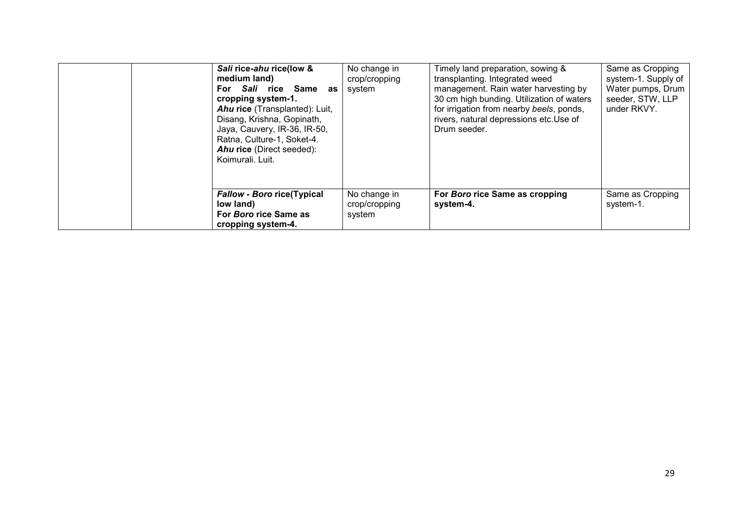| Sali rice-ahu rice(low &<br>medium land)<br>For Sali rice Same<br>as<br>cropping system-1.<br><b>Ahu rice</b> (Transplanted): Luit,<br>Disang, Krishna, Gopinath,<br>Jaya, Cauvery, IR-36, IR-50,<br>Ratna, Culture-1, Soket-4.<br><b>Ahu rice</b> (Direct seeded):<br>Koimurali, Luit. | No change in<br>crop/cropping<br>system | Timely land preparation, sowing &<br>transplanting. Integrated weed<br>management. Rain water harvesting by<br>30 cm high bunding. Utilization of waters<br>for irrigation from nearby beels, ponds,<br>rivers, natural depressions etc.Use of<br>Drum seeder. | Same as Cropping<br>system-1. Supply of<br>Water pumps, Drum<br>seeder, STW, LLP<br>under RKVY. |
|-----------------------------------------------------------------------------------------------------------------------------------------------------------------------------------------------------------------------------------------------------------------------------------------|-----------------------------------------|----------------------------------------------------------------------------------------------------------------------------------------------------------------------------------------------------------------------------------------------------------------|-------------------------------------------------------------------------------------------------|
| <b>Fallow - Boro rice(Typical</b><br>low land)<br>For Boro rice Same as<br>cropping system-4.                                                                                                                                                                                           | No change in<br>crop/cropping<br>system | For Boro rice Same as cropping<br>system-4.                                                                                                                                                                                                                    | Same as Cropping<br>system-1.                                                                   |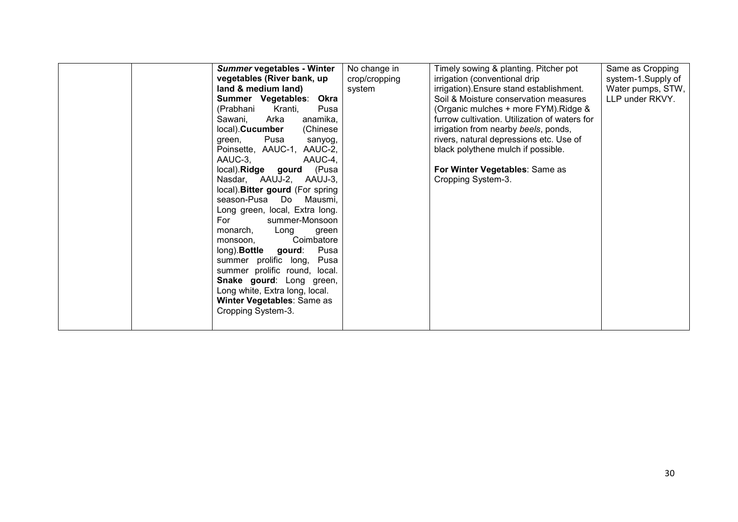| Summer vegetables - Winter             | No change in  | Timely sowing & planting. Pitcher pot         | Same as Cropping   |
|----------------------------------------|---------------|-----------------------------------------------|--------------------|
| vegetables (River bank, up             | crop/cropping | irrigation (conventional drip                 | system-1.Supply of |
| land & medium land)                    | system        | irrigation). Ensure stand establishment.      | Water pumps, STW,  |
| Summer Vegetables:<br>Okra             |               | Soil & Moisture conservation measures         | LLP under RKVY.    |
| (Prabhani<br>Kranti,<br>Pusa           |               | (Organic mulches + more FYM). Ridge &         |                    |
| anamika,<br>Sawani,<br>Arka            |               | furrow cultivation. Utilization of waters for |                    |
| local). Cucumber<br>(Chinese           |               | irrigation from nearby beels, ponds,          |                    |
| Pusa<br>green,<br>sanyog,              |               | rivers, natural depressions etc. Use of       |                    |
| Poinsette, AAUC-1, AAUC-2,             |               | black polythene mulch if possible.            |                    |
| AAUC-3.<br>AAUC-4,                     |               |                                               |                    |
| local). Ridge gourd (Pusa              |               | For Winter Vegetables: Same as                |                    |
| Nasdar, AAUJ-2, AAUJ-3,                |               | Cropping System-3.                            |                    |
| local). Bitter gourd (For spring       |               |                                               |                    |
| season-Pusa Do Mausmi,                 |               |                                               |                    |
| Long green, local, Extra long.         |               |                                               |                    |
| summer-Monsoon<br>For                  |               |                                               |                    |
| monarch,<br>Long<br>green              |               |                                               |                    |
| Coimbatore<br>monsoon.                 |               |                                               |                    |
| long). <b>Bottle</b><br>Pusa<br>gourd: |               |                                               |                    |
| summer prolific long,<br>Pusa          |               |                                               |                    |
| summer prolific round, local.          |               |                                               |                    |
| Snake gourd: Long green,               |               |                                               |                    |
| Long white, Extra long, local.         |               |                                               |                    |
| Winter Vegetables: Same as             |               |                                               |                    |
| Cropping System-3.                     |               |                                               |                    |
|                                        |               |                                               |                    |
|                                        |               |                                               |                    |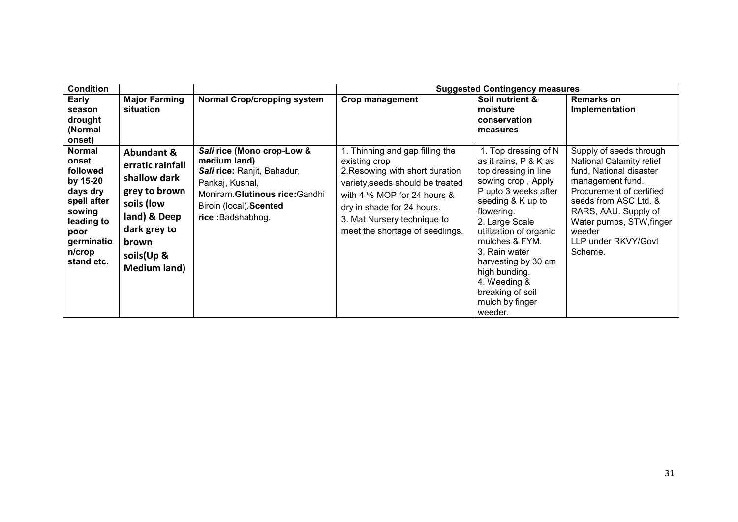| <b>Condition</b>                                                                                                                                |                                                                                                                                                             |                                                                                                                                                                               |                                                                                                                                                                                                                                                        | <b>Suggested Contingency measures</b>                                                                                                                                                                                                                                                                                                           |                                                                                                                                                                                                                                                                |
|-------------------------------------------------------------------------------------------------------------------------------------------------|-------------------------------------------------------------------------------------------------------------------------------------------------------------|-------------------------------------------------------------------------------------------------------------------------------------------------------------------------------|--------------------------------------------------------------------------------------------------------------------------------------------------------------------------------------------------------------------------------------------------------|-------------------------------------------------------------------------------------------------------------------------------------------------------------------------------------------------------------------------------------------------------------------------------------------------------------------------------------------------|----------------------------------------------------------------------------------------------------------------------------------------------------------------------------------------------------------------------------------------------------------------|
| Early<br>season<br>drought<br>(Normal<br>onset)                                                                                                 | <b>Major Farming</b><br>situation                                                                                                                           | <b>Normal Crop/cropping system</b>                                                                                                                                            | Crop management                                                                                                                                                                                                                                        | Soil nutrient &<br>moisture<br>conservation<br>measures                                                                                                                                                                                                                                                                                         | <b>Remarks on</b><br>Implementation                                                                                                                                                                                                                            |
| <b>Normal</b><br>onset<br>followed<br>by 15-20<br>days dry<br>spell after<br>sowing<br>leading to<br>poor<br>germinatio<br>n/crop<br>stand etc. | Abundant &<br>erratic rainfall<br>shallow dark<br>grey to brown<br>soils (low<br>land) & Deep<br>dark grey to<br>brown<br>soils(Up &<br><b>Medium land)</b> | Sali rice (Mono crop-Low &<br>medium land)<br>Sali rice: Ranjit, Bahadur,<br>Pankaj, Kushal,<br>Moniram.Glutinous rice:Gandhi<br>Biroin (local). Scented<br>rice: Badshabhog. | 1. Thinning and gap filling the<br>existing crop<br>2. Resowing with short duration<br>variety, seeds should be treated<br>with 4 % MOP for 24 hours &<br>dry in shade for 24 hours.<br>3. Mat Nursery technique to<br>meet the shortage of seedlings. | 1. Top dressing of N<br>as it rains, P & K as<br>top dressing in line<br>sowing crop, Apply<br>P upto 3 weeks after<br>seeding & K up to<br>flowering.<br>2. Large Scale<br>utilization of organic<br>mulches & FYM.<br>3. Rain water<br>harvesting by 30 cm<br>high bunding.<br>4. Weeding &<br>breaking of soil<br>mulch by finger<br>weeder. | Supply of seeds through<br><b>National Calamity relief</b><br>fund, National disaster<br>management fund.<br>Procurement of certified<br>seeds from ASC Ltd. &<br>RARS, AAU. Supply of<br>Water pumps, STW, finger<br>weeder<br>LLP under RKVY/Govt<br>Scheme. |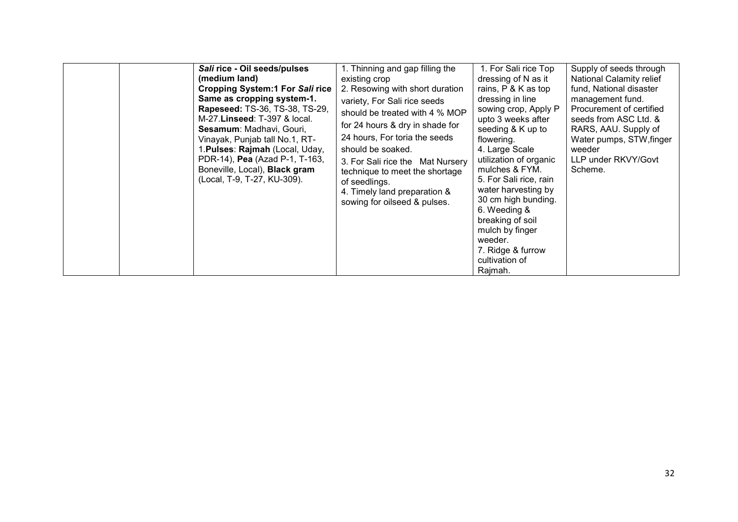| Sali rice - Oil seeds/pulses<br>(medium land)<br><b>Cropping System:1 For Sali rice</b><br>Same as cropping system-1.<br>Rapeseed: TS-36, TS-38, TS-29,<br>M-27. Linseed: T-397 & local.<br>Sesamum: Madhavi, Gouri,<br>Vinayak, Punjab tall No.1, RT-<br>1. Pulses: Rajmah (Local, Uday,<br>PDR-14), Pea (Azad P-1, T-163,<br>Boneville, Local), Black gram<br>(Local, T-9, T-27, KU-309). | 1. Thinning and gap filling the<br>existing crop<br>2. Resowing with short duration<br>variety, For Sali rice seeds<br>should be treated with 4 % MOP<br>for 24 hours & dry in shade for<br>24 hours, For toria the seeds<br>should be soaked.<br>3. For Sali rice the Mat Nursery<br>technique to meet the shortage<br>of seedlings.<br>4. Timely land preparation &<br>sowing for oilseed & pulses. | 1. For Sali rice Top<br>dressing of N as it<br>rains, P & K as top<br>dressing in line<br>sowing crop, Apply P<br>upto 3 weeks after<br>seeding & K up to<br>flowering.<br>4. Large Scale<br>utilization of organic<br>mulches & FYM.<br>5. For Sali rice, rain<br>water harvesting by<br>30 cm high bunding.<br>6. Weeding &<br>breaking of soil<br>mulch by finger<br>weeder.<br>7. Ridge & furrow<br>cultivation of | Supply of seeds through<br>National Calamity relief<br>fund, National disaster<br>management fund.<br>Procurement of certified<br>seeds from ASC Ltd. &<br>RARS, AAU. Supply of<br>Water pumps, STW, finger<br>weeder<br>LLP under RKVY/Govt<br>Scheme. |
|---------------------------------------------------------------------------------------------------------------------------------------------------------------------------------------------------------------------------------------------------------------------------------------------------------------------------------------------------------------------------------------------|-------------------------------------------------------------------------------------------------------------------------------------------------------------------------------------------------------------------------------------------------------------------------------------------------------------------------------------------------------------------------------------------------------|------------------------------------------------------------------------------------------------------------------------------------------------------------------------------------------------------------------------------------------------------------------------------------------------------------------------------------------------------------------------------------------------------------------------|---------------------------------------------------------------------------------------------------------------------------------------------------------------------------------------------------------------------------------------------------------|
|---------------------------------------------------------------------------------------------------------------------------------------------------------------------------------------------------------------------------------------------------------------------------------------------------------------------------------------------------------------------------------------------|-------------------------------------------------------------------------------------------------------------------------------------------------------------------------------------------------------------------------------------------------------------------------------------------------------------------------------------------------------------------------------------------------------|------------------------------------------------------------------------------------------------------------------------------------------------------------------------------------------------------------------------------------------------------------------------------------------------------------------------------------------------------------------------------------------------------------------------|---------------------------------------------------------------------------------------------------------------------------------------------------------------------------------------------------------------------------------------------------------|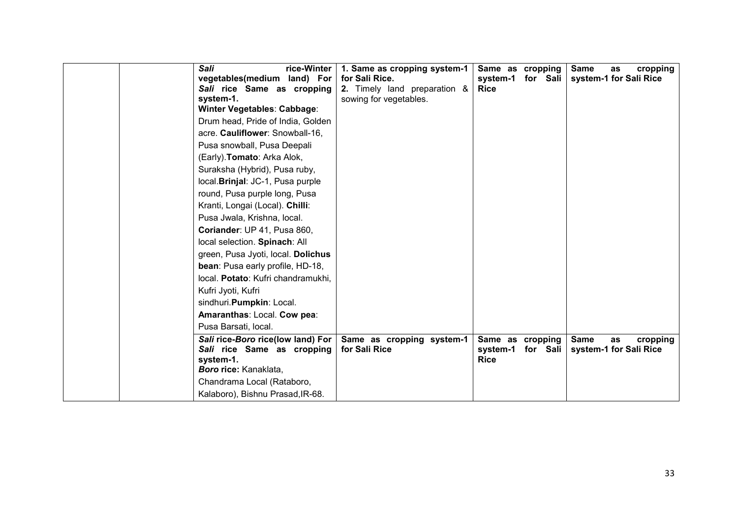| <b>Sali</b><br>rice-Winter<br>vegetables(medium land) For<br>Sali rice Same as cropping<br>system-1.<br>Winter Vegetables: Cabbage:<br>Drum head, Pride of India, Golden<br>acre. Cauliflower: Snowball-16,<br>Pusa snowball, Pusa Deepali<br>(Early). Tomato: Arka Alok,<br>Suraksha (Hybrid), Pusa ruby,<br>local. Brinjal: JC-1, Pusa purple<br>round, Pusa purple long, Pusa<br>Kranti, Longai (Local). Chilli:<br>Pusa Jwala, Krishna, local.<br>Coriander: UP 41, Pusa 860,<br>local selection. Spinach: All<br>green, Pusa Jyoti, local. Dolichus<br>bean: Pusa early profile, HD-18,<br>local. Potato: Kufri chandramukhi,<br>Kufri Jyoti, Kufri<br>sindhuri. Pumpkin: Local.<br>Amaranthas: Local. Cow pea: | 1. Same as cropping system-1<br>for Sali Rice.<br>2. Timely land preparation &<br>sowing for vegetables. | Same as cropping<br>system-1<br>for Sali<br><b>Rice</b> | <b>Same</b><br>cropping<br>as<br>system-1 for Sali Rice |
|----------------------------------------------------------------------------------------------------------------------------------------------------------------------------------------------------------------------------------------------------------------------------------------------------------------------------------------------------------------------------------------------------------------------------------------------------------------------------------------------------------------------------------------------------------------------------------------------------------------------------------------------------------------------------------------------------------------------|----------------------------------------------------------------------------------------------------------|---------------------------------------------------------|---------------------------------------------------------|
| Pusa Barsati, local.                                                                                                                                                                                                                                                                                                                                                                                                                                                                                                                                                                                                                                                                                                 |                                                                                                          |                                                         |                                                         |
| Sali rice-Boro rice(low land) For<br>Sali rice Same as cropping<br>system-1.<br>Boro rice: Kanaklata,<br>Chandrama Local (Rataboro,<br>Kalaboro), Bishnu Prasad, IR-68.                                                                                                                                                                                                                                                                                                                                                                                                                                                                                                                                              | Same as cropping system-1<br>for Sali Rice                                                               | Same as cropping<br>system-1<br>for Sali<br><b>Rice</b> | <b>Same</b><br>cropping<br>as<br>system-1 for Sali Rice |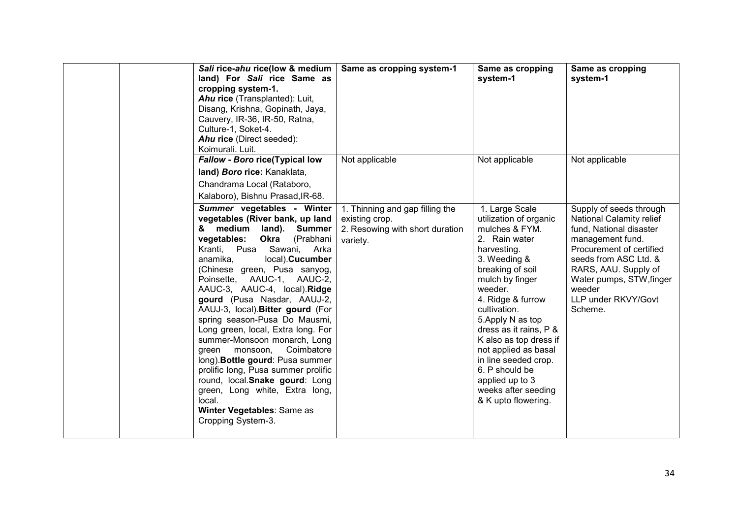| Sali rice-ahu rice(low & medium<br>land) For Sali rice Same as<br>cropping system-1.<br>Ahu rice (Transplanted): Luit,<br>Disang, Krishna, Gopinath, Jaya,<br>Cauvery, IR-36, IR-50, Ratna,<br>Culture-1, Soket-4.<br>Ahu rice (Direct seeded):<br>Koimurali. Luit.                                                                                                                                                                                                                                                                                                                                                                                                                                                                    | Same as cropping system-1                                                                        | Same as cropping<br>system-1                                                                                                                                                                                                                                                                                                                                                                                  | Same as cropping<br>system-1                                                                                                                                                                                                                            |
|----------------------------------------------------------------------------------------------------------------------------------------------------------------------------------------------------------------------------------------------------------------------------------------------------------------------------------------------------------------------------------------------------------------------------------------------------------------------------------------------------------------------------------------------------------------------------------------------------------------------------------------------------------------------------------------------------------------------------------------|--------------------------------------------------------------------------------------------------|---------------------------------------------------------------------------------------------------------------------------------------------------------------------------------------------------------------------------------------------------------------------------------------------------------------------------------------------------------------------------------------------------------------|---------------------------------------------------------------------------------------------------------------------------------------------------------------------------------------------------------------------------------------------------------|
| Fallow - Boro rice(Typical low<br>land) Boro rice: Kanaklata,<br>Chandrama Local (Rataboro,<br>Kalaboro), Bishnu Prasad, IR-68.                                                                                                                                                                                                                                                                                                                                                                                                                                                                                                                                                                                                        | Not applicable                                                                                   | Not applicable                                                                                                                                                                                                                                                                                                                                                                                                | Not applicable                                                                                                                                                                                                                                          |
| Summer vegetables - Winter<br>vegetables (River bank, up land<br>medium<br>land).<br><b>Summer</b><br>&<br>vegetables:<br>(Prabhani<br><b>Okra</b><br>Kranti, Pusa Sawani, Arka<br>local). Cucumber<br>anamika,<br>(Chinese green, Pusa sanyog,<br>Poinsette, AAUC-1, AAUC-2,<br>AAUC-3, AAUC-4, local).Ridge<br>gourd (Pusa Nasdar, AAUJ-2,<br>AAUJ-3, local). Bitter gourd (For<br>spring season-Pusa Do Mausmi,<br>Long green, local, Extra long. For<br>summer-Monsoon monarch, Long<br>Coimbatore<br>green monsoon,<br>long). Bottle gourd: Pusa summer<br>prolific long, Pusa summer prolific<br>round, local. Snake gourd: Long<br>green, Long white, Extra long,<br>local.<br>Winter Vegetables: Same as<br>Cropping System-3. | 1. Thinning and gap filling the<br>existing crop.<br>2. Resowing with short duration<br>variety. | 1. Large Scale<br>utilization of organic<br>mulches & FYM.<br>2. Rain water<br>harvesting.<br>3. Weeding &<br>breaking of soil<br>mulch by finger<br>weeder.<br>4. Ridge & furrow<br>cultivation.<br>5. Apply N as top<br>dress as it rains, P &<br>K also as top dress if<br>not applied as basal<br>in line seeded crop.<br>6. P should be<br>applied up to 3<br>weeks after seeding<br>& K upto flowering. | Supply of seeds through<br>National Calamity relief<br>fund, National disaster<br>management fund.<br>Procurement of certified<br>seeds from ASC Ltd. &<br>RARS, AAU. Supply of<br>Water pumps, STW, finger<br>weeder<br>LLP under RKVY/Govt<br>Scheme. |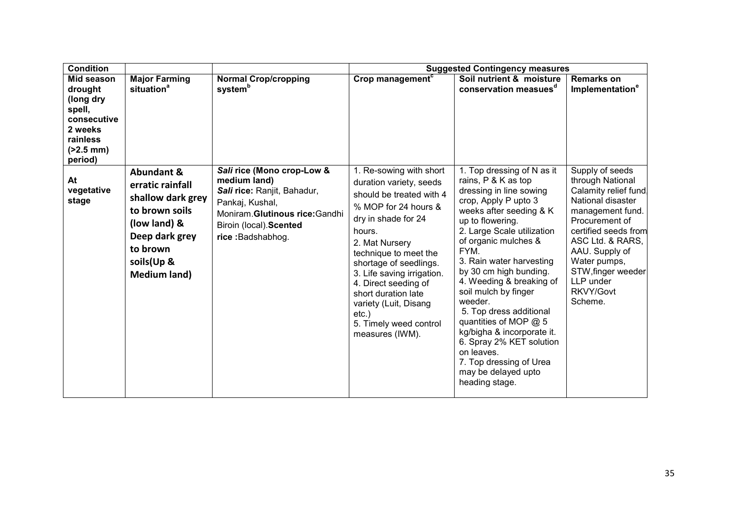| <b>Condition</b>                                                                                              |                                                                                                                                                                     |                                                                                                                                                                                 |                                                                                                                                                                                                                                                                                                                                                                             | <b>Suggested Contingency measures</b>                                                                                                                                                                                                                                                                                                                                                                                                                                                                                                  |                                                                                                                                                                                                                                                                 |
|---------------------------------------------------------------------------------------------------------------|---------------------------------------------------------------------------------------------------------------------------------------------------------------------|---------------------------------------------------------------------------------------------------------------------------------------------------------------------------------|-----------------------------------------------------------------------------------------------------------------------------------------------------------------------------------------------------------------------------------------------------------------------------------------------------------------------------------------------------------------------------|----------------------------------------------------------------------------------------------------------------------------------------------------------------------------------------------------------------------------------------------------------------------------------------------------------------------------------------------------------------------------------------------------------------------------------------------------------------------------------------------------------------------------------------|-----------------------------------------------------------------------------------------------------------------------------------------------------------------------------------------------------------------------------------------------------------------|
| Mid season<br>drought<br>(long dry<br>spell,<br>consecutive<br>2 weeks<br>rainless<br>$( >2.5$ mm)<br>period) | <b>Major Farming</b><br>situation <sup>a</sup>                                                                                                                      | <b>Normal Crop/cropping</b><br>system <sup>b</sup>                                                                                                                              | Crop management <sup>c</sup>                                                                                                                                                                                                                                                                                                                                                | Soil nutrient & moisture<br>conservation measues <sup>d</sup>                                                                                                                                                                                                                                                                                                                                                                                                                                                                          | <b>Remarks on</b><br>Implementation <sup>e</sup>                                                                                                                                                                                                                |
| At<br>vegetative<br>stage                                                                                     | <b>Abundant &amp;</b><br>erratic rainfall<br>shallow dark grey<br>to brown soils<br>(low land) &<br>Deep dark grey<br>to brown<br>soils(Up &<br><b>Medium land)</b> | Sali rice (Mono crop-Low &<br>medium land)<br>Sali rice: Ranjit, Bahadur,<br>Pankaj, Kushal,<br>Moniram. Glutinous rice: Gandhi<br>Biroin (local). Scented<br>rice: Badshabhog. | 1. Re-sowing with short<br>duration variety, seeds<br>should be treated with 4<br>% MOP for 24 hours &<br>dry in shade for 24<br>hours.<br>2. Mat Nursery<br>technique to meet the<br>shortage of seedlings.<br>3. Life saving irrigation.<br>4. Direct seeding of<br>short duration late<br>variety (Luit, Disang<br>$etc.$ )<br>5. Timely weed control<br>measures (IWM). | 1. Top dressing of N as it<br>rains, P & K as top<br>dressing in line sowing<br>crop, Apply P upto 3<br>weeks after seeding & K<br>up to flowering.<br>2. Large Scale utilization<br>of organic mulches &<br>FYM.<br>3. Rain water harvesting<br>by 30 cm high bunding.<br>4. Weeding & breaking of<br>soil mulch by finger<br>weeder.<br>5. Top dress additional<br>quantities of MOP @ 5<br>kg/bigha & incorporate it.<br>6. Spray 2% KET solution<br>on leaves.<br>7. Top dressing of Urea<br>may be delayed upto<br>heading stage. | Supply of seeds<br>through National<br>Calamity relief fund<br>National disaster<br>management fund.<br>Procurement of<br>certified seeds from<br>ASC Ltd. & RARS,<br>AAU. Supply of<br>Water pumps,<br>STW, finger weeder<br>LLP under<br>RKVY/Govt<br>Scheme. |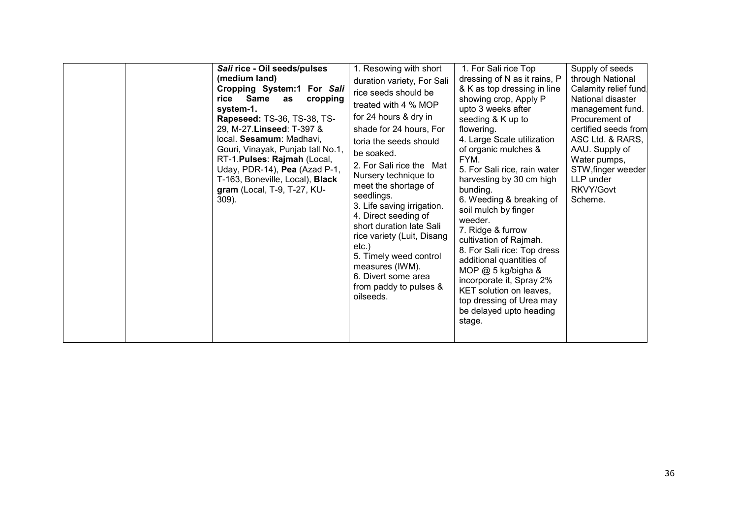| Sali rice - Oil seeds/pulses<br>(medium land)<br>Cropping System:1 For Sali<br>Same<br>rice<br>cropping<br>as<br>system-1.<br>Rapeseed: TS-36, TS-38, TS-<br>29, M-27. Linseed: T-397 &<br>local. Sesamum: Madhavi,<br>Gouri, Vinayak, Punjab tall No.1,<br>RT-1. Pulses: Rajmah (Local,<br>Uday, PDR-14), Pea (Azad P-1,<br>T-163, Boneville, Local), Black<br>gram (Local, T-9, T-27, KU-<br>$309$ ). | 1. Resowing with short<br>duration variety, For Sali<br>rice seeds should be<br>treated with 4 % MOP<br>for 24 hours & dry in<br>shade for 24 hours, For<br>toria the seeds should<br>be soaked.<br>2. For Sali rice the Mat<br>Nursery technique to<br>meet the shortage of<br>seedlings.<br>3. Life saving irrigation.<br>4. Direct seeding of<br>short duration late Sali<br>rice variety (Luit, Disang<br>etc.)<br>5. Timely weed control<br>measures (IWM).<br>6. Divert some area<br>from paddy to pulses &<br>oilseeds. | 1. For Sali rice Top<br>dressing of N as it rains, P<br>& K as top dressing in line<br>showing crop, Apply P<br>upto 3 weeks after<br>seeding & K up to<br>flowering.<br>4. Large Scale utilization<br>of organic mulches &<br>FYM.<br>5. For Sali rice, rain water<br>harvesting by 30 cm high<br>bunding.<br>6. Weeding & breaking of<br>soil mulch by finger<br>weeder.<br>7. Ridge & furrow<br>cultivation of Rajmah.<br>8. For Sali rice: Top dress<br>additional quantities of<br>MOP @ 5 kg/bigha &<br>incorporate it, Spray 2%<br>KET solution on leaves,<br>top dressing of Urea may<br>be delayed upto heading<br>stage. | Supply of seeds<br>through National<br>Calamity relief fund<br>National disaster<br>management fund.<br>Procurement of<br>certified seeds from<br>ASC Ltd. & RARS,<br>AAU. Supply of<br>Water pumps,<br>STW, finger weeder<br>LLP under<br>RKVY/Govt<br>Scheme. |
|---------------------------------------------------------------------------------------------------------------------------------------------------------------------------------------------------------------------------------------------------------------------------------------------------------------------------------------------------------------------------------------------------------|--------------------------------------------------------------------------------------------------------------------------------------------------------------------------------------------------------------------------------------------------------------------------------------------------------------------------------------------------------------------------------------------------------------------------------------------------------------------------------------------------------------------------------|------------------------------------------------------------------------------------------------------------------------------------------------------------------------------------------------------------------------------------------------------------------------------------------------------------------------------------------------------------------------------------------------------------------------------------------------------------------------------------------------------------------------------------------------------------------------------------------------------------------------------------|-----------------------------------------------------------------------------------------------------------------------------------------------------------------------------------------------------------------------------------------------------------------|
|                                                                                                                                                                                                                                                                                                                                                                                                         |                                                                                                                                                                                                                                                                                                                                                                                                                                                                                                                                |                                                                                                                                                                                                                                                                                                                                                                                                                                                                                                                                                                                                                                    |                                                                                                                                                                                                                                                                 |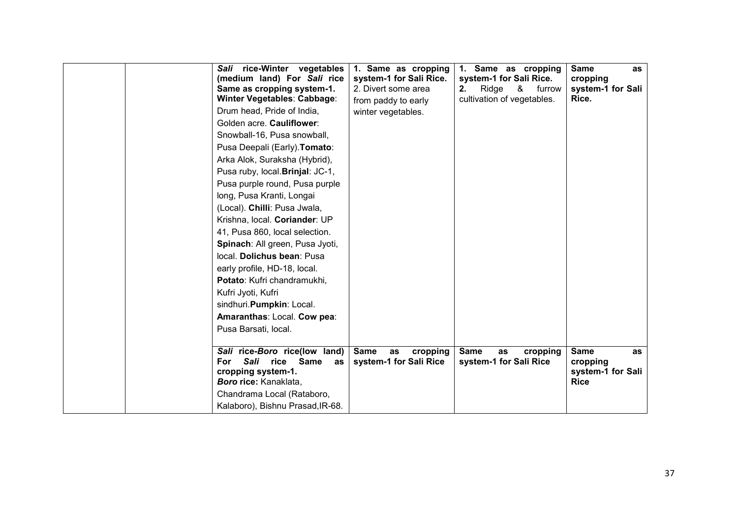| Sali rice-Winter vegetables<br>(medium land) For Sali rice<br>Same as cropping system-1.<br>Winter Vegetables: Cabbage:<br>Drum head, Pride of India,<br>Golden acre. Cauliflower:<br>Snowball-16, Pusa snowball,<br>Pusa Deepali (Early). Tomato:<br>Arka Alok, Suraksha (Hybrid),<br>Pusa ruby, local. Brinjal: JC-1,<br>Pusa purple round, Pusa purple<br>long, Pusa Kranti, Longai<br>(Local). Chilli: Pusa Jwala,<br>Krishna, local. Coriander: UP<br>41, Pusa 860, local selection.<br>Spinach: All green, Pusa Jyoti,<br>local. Dolichus bean: Pusa<br>early profile, HD-18, local.<br>Potato: Kufri chandramukhi,<br>Kufri Jyoti, Kufri<br>sindhuri. Pumpkin: Local.<br>Amaranthas: Local. Cow pea:<br>Pusa Barsati, local. | 1. Same as cropping<br>system-1 for Sali Rice.<br>2. Divert some area<br>from paddy to early<br>winter vegetables. | 1. Same as cropping<br>system-1 for Sali Rice.<br>&<br>2.<br>Ridge<br>furrow<br>cultivation of vegetables. | <b>Same</b><br>as<br>cropping<br>system-1 for Sali<br>Rice.       |
|-------------------------------------------------------------------------------------------------------------------------------------------------------------------------------------------------------------------------------------------------------------------------------------------------------------------------------------------------------------------------------------------------------------------------------------------------------------------------------------------------------------------------------------------------------------------------------------------------------------------------------------------------------------------------------------------------------------------------------------|--------------------------------------------------------------------------------------------------------------------|------------------------------------------------------------------------------------------------------------|-------------------------------------------------------------------|
| Sali rice-Boro rice(low land)<br>Sali<br>For<br>rice<br>Same<br>as<br>cropping system-1.<br>Boro rice: Kanaklata,<br>Chandrama Local (Rataboro,<br>Kalaboro), Bishnu Prasad, IR-68.                                                                                                                                                                                                                                                                                                                                                                                                                                                                                                                                                 | <b>Same</b><br>cropping<br>as<br>system-1 for Sali Rice                                                            | <b>Same</b><br>cropping<br>as<br>system-1 for Sali Rice                                                    | <b>Same</b><br>as<br>cropping<br>system-1 for Sali<br><b>Rice</b> |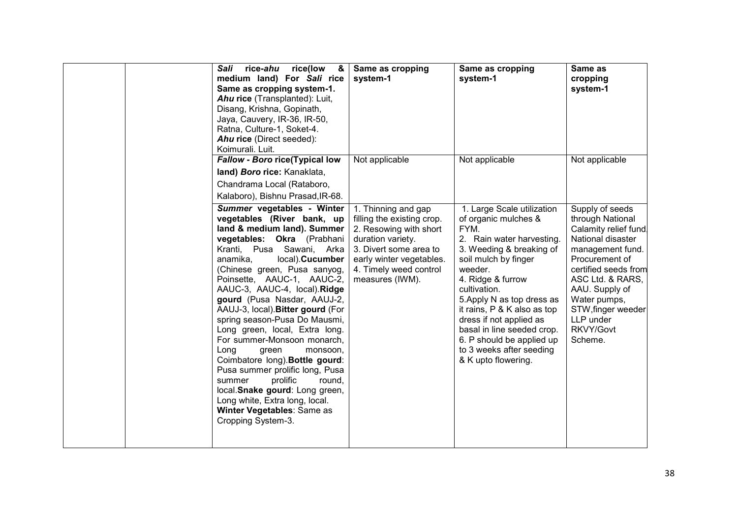| rice(low<br>Sali<br>rice-ahu<br>8.<br>medium land) For Sali rice<br>Same as cropping system-1.<br>Ahu rice (Transplanted): Luit,<br>Disang, Krishna, Gopinath,<br>Jaya, Cauvery, IR-36, IR-50,<br>Ratna, Culture-1, Soket-4.<br>Ahu rice (Direct seeded):<br>Koimurali. Luit.                                                                                                                                                                                                                                                                                                                                                                                                                                     | Same as cropping<br>system-1                                                                                                                                                                        | Same as cropping<br>system-1                                                                                                                                                                                                                                                                                                                                                                      | Same as<br>cropping<br>system-1                                                                                                                                                                                                                                 |
|-------------------------------------------------------------------------------------------------------------------------------------------------------------------------------------------------------------------------------------------------------------------------------------------------------------------------------------------------------------------------------------------------------------------------------------------------------------------------------------------------------------------------------------------------------------------------------------------------------------------------------------------------------------------------------------------------------------------|-----------------------------------------------------------------------------------------------------------------------------------------------------------------------------------------------------|---------------------------------------------------------------------------------------------------------------------------------------------------------------------------------------------------------------------------------------------------------------------------------------------------------------------------------------------------------------------------------------------------|-----------------------------------------------------------------------------------------------------------------------------------------------------------------------------------------------------------------------------------------------------------------|
| Fallow - Boro rice(Typical low<br>land) Boro rice: Kanaklata,<br>Chandrama Local (Rataboro,<br>Kalaboro), Bishnu Prasad, IR-68.                                                                                                                                                                                                                                                                                                                                                                                                                                                                                                                                                                                   | Not applicable                                                                                                                                                                                      | Not applicable                                                                                                                                                                                                                                                                                                                                                                                    | Not applicable                                                                                                                                                                                                                                                  |
| Summer vegetables - Winter<br>vegetables (River bank, up<br>land & medium land). Summer<br>vegetables: Okra (Prabhani<br>Kranti, Pusa Sawani, Arka<br>local). Cucumber<br>anamika,<br>(Chinese green, Pusa sanyog,<br>Poinsette, AAUC-1, AAUC-2,<br>AAUC-3, AAUC-4, local).Ridge<br>gourd (Pusa Nasdar, AAUJ-2,<br>AAUJ-3, local). Bitter gourd (For<br>spring season-Pusa Do Mausmi,<br>Long green, local, Extra long.<br>For summer-Monsoon monarch,<br>Long<br>green<br>monsoon,<br>Coimbatore long). Bottle gourd:<br>Pusa summer prolific long, Pusa<br>prolific<br>round.<br>summer<br>local.Snake gourd: Long green,<br>Long white, Extra long, local.<br>Winter Vegetables: Same as<br>Cropping System-3. | 1. Thinning and gap<br>filling the existing crop.<br>2. Resowing with short<br>duration variety.<br>3. Divert some area to<br>early winter vegetables.<br>4. Timely weed control<br>measures (IWM). | 1. Large Scale utilization<br>of organic mulches &<br>FYM.<br>2. Rain water harvesting.<br>3. Weeding & breaking of<br>soil mulch by finger<br>weeder.<br>4. Ridge & furrow<br>cultivation.<br>5. Apply N as top dress as<br>it rains, P & K also as top<br>dress if not applied as<br>basal in line seeded crop.<br>6. P should be applied up<br>to 3 weeks after seeding<br>& K upto flowering. | Supply of seeds<br>through National<br>Calamity relief fund<br>National disaster<br>management fund.<br>Procurement of<br>certified seeds from<br>ASC Ltd. & RARS,<br>AAU. Supply of<br>Water pumps,<br>STW, finger weeder<br>LLP under<br>RKVY/Govt<br>Scheme. |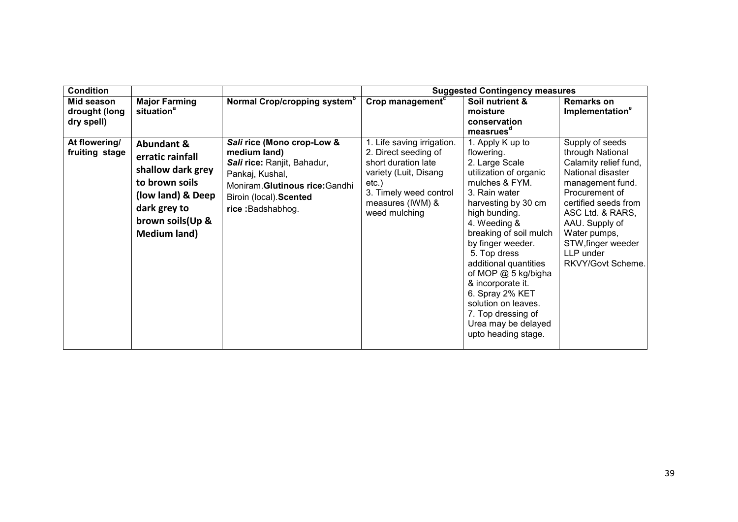| <b>Condition</b>                          |                                                                                                                                                                   |                                                                                                                                                                                 | <b>Suggested Contingency measures</b>                                                                                                                                         |                                                                                                                                                                                                                                                                                                                                                                                                                         |                                                                                                                                                                                                                                                               |  |
|-------------------------------------------|-------------------------------------------------------------------------------------------------------------------------------------------------------------------|---------------------------------------------------------------------------------------------------------------------------------------------------------------------------------|-------------------------------------------------------------------------------------------------------------------------------------------------------------------------------|-------------------------------------------------------------------------------------------------------------------------------------------------------------------------------------------------------------------------------------------------------------------------------------------------------------------------------------------------------------------------------------------------------------------------|---------------------------------------------------------------------------------------------------------------------------------------------------------------------------------------------------------------------------------------------------------------|--|
| Mid season<br>drought (long<br>dry spell) | <b>Major Farming</b><br>situation <sup>a</sup>                                                                                                                    | Normal Crop/cropping system <sup>b</sup>                                                                                                                                        | Crop management <sup>c</sup>                                                                                                                                                  | Soil nutrient &<br>moisture<br>conservation<br>measrues <sup>d</sup>                                                                                                                                                                                                                                                                                                                                                    | <b>Remarks on</b><br>Implementation <sup>e</sup>                                                                                                                                                                                                              |  |
| At flowering/<br>fruiting stage           | <b>Abundant &amp;</b><br>erratic rainfall<br>shallow dark grey<br>to brown soils<br>(low land) & Deep<br>dark grey to<br>brown soils (Up &<br><b>Medium land)</b> | Sali rice (Mono crop-Low &<br>medium land)<br>Sali rice: Ranjit, Bahadur,<br>Pankaj, Kushal,<br>Moniram. Glutinous rice: Gandhi<br>Biroin (local). Scented<br>rice: Badshabhog. | 1. Life saving irrigation.<br>2. Direct seeding of<br>short duration late<br>variety (Luit, Disang<br>$etc.$ )<br>3. Timely weed control<br>measures (IWM) &<br>weed mulching | 1. Apply K up to<br>flowering.<br>2. Large Scale<br>utilization of organic<br>mulches & FYM.<br>3. Rain water<br>harvesting by 30 cm<br>high bunding.<br>4. Weeding &<br>breaking of soil mulch<br>by finger weeder.<br>5. Top dress<br>additional quantities<br>of MOP @ 5 kg/bigha<br>& incorporate it.<br>6. Spray 2% KET<br>solution on leaves.<br>7. Top dressing of<br>Urea may be delayed<br>upto heading stage. | Supply of seeds<br>through National<br>Calamity relief fund,<br>National disaster<br>management fund.<br>Procurement of<br>certified seeds from<br>ASC Ltd. & RARS,<br>AAU. Supply of<br>Water pumps,<br>STW, finger weeder<br>LLP under<br>RKVY/Govt Scheme. |  |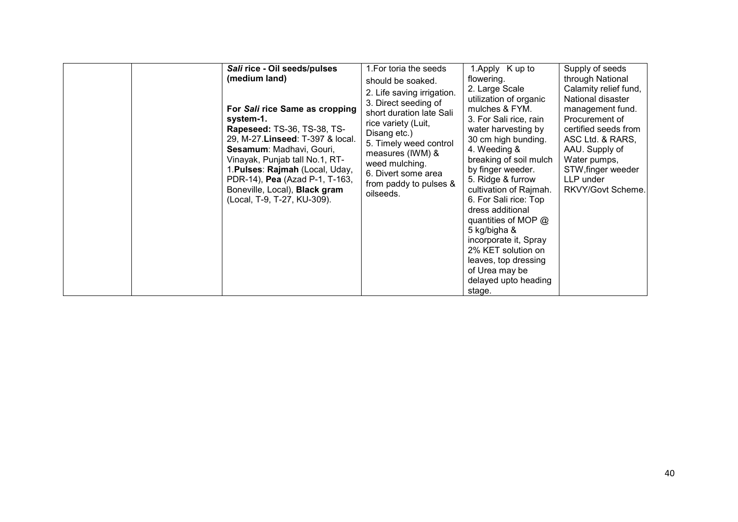| Sali rice - Oil seeds/pulses                                                                                                                                                                                                                                                                                                     | 1. For toria the seeds                                                                                                                                                                                                                              | 1.Apply K up to                                                                                                                                                                                                                                                                                                                                                                                                                                                   | Supply of seeds                                                                                                                                                                                                        |
|----------------------------------------------------------------------------------------------------------------------------------------------------------------------------------------------------------------------------------------------------------------------------------------------------------------------------------|-----------------------------------------------------------------------------------------------------------------------------------------------------------------------------------------------------------------------------------------------------|-------------------------------------------------------------------------------------------------------------------------------------------------------------------------------------------------------------------------------------------------------------------------------------------------------------------------------------------------------------------------------------------------------------------------------------------------------------------|------------------------------------------------------------------------------------------------------------------------------------------------------------------------------------------------------------------------|
| (medium land)                                                                                                                                                                                                                                                                                                                    | should be soaked.                                                                                                                                                                                                                                   | flowering.                                                                                                                                                                                                                                                                                                                                                                                                                                                        | through National                                                                                                                                                                                                       |
| For Sali rice Same as cropping<br>system-1.<br><b>Rapeseed: TS-36, TS-38, TS-</b><br>29, M-27. Linseed: T-397 & local.<br>Sesamum: Madhavi, Gouri,<br>Vinayak, Punjab tall No.1, RT-<br>1. Pulses: Rajmah (Local, Uday,<br>PDR-14), Pea (Azad P-1, T-163,<br>Boneville, Local), <b>Black gram</b><br>(Local, T-9, T-27, KU-309). | 2. Life saving irrigation.<br>3. Direct seeding of<br>short duration late Sali<br>rice variety (Luit,<br>Disang etc.)<br>5. Timely weed control<br>measures (IWM) &<br>weed mulching.<br>6. Divert some area<br>from paddy to pulses &<br>oilseeds. | 2. Large Scale<br>utilization of organic<br>mulches & FYM.<br>3. For Sali rice, rain<br>water harvesting by<br>30 cm high bunding.<br>4. Weeding &<br>breaking of soil mulch<br>by finger weeder.<br>5. Ridge & furrow<br>cultivation of Rajmah.<br>6. For Sali rice: Top<br>dress additional<br>quantities of MOP $@$<br>5 kg/bigha &<br>incorporate it, Spray<br>2% KET solution on<br>leaves, top dressing<br>of Urea may be<br>delayed upto heading<br>stage. | Calamity relief fund,<br>National disaster<br>management fund.<br>Procurement of<br>certified seeds from<br>ASC Ltd. & RARS,<br>AAU. Supply of<br>Water pumps,<br>STW, finger weeder<br>LLP under<br>RKVY/Govt Scheme. |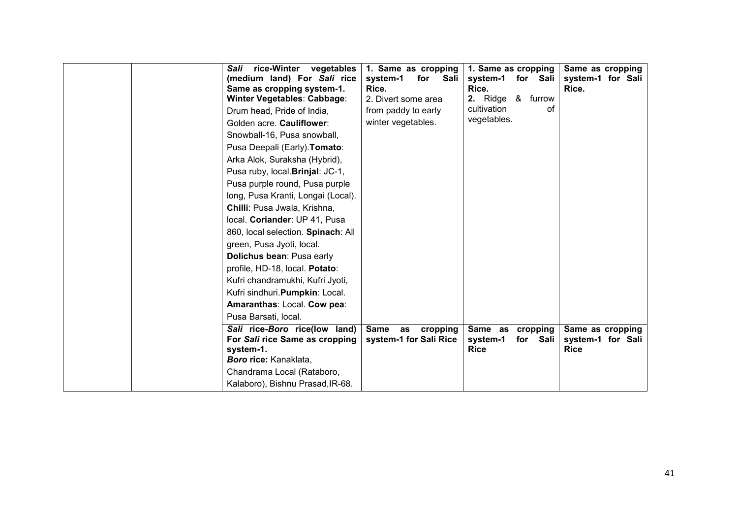| Sali<br>(medium land) For Sali rice<br>Same as cropping system-1.<br>Winter Vegetables: Cabbage:<br>Drum head, Pride of India,<br>Golden acre. Cauliflower:<br>Snowball-16, Pusa snowball,<br>Pusa Deepali (Early). Tomato:<br>Arka Alok, Suraksha (Hybrid),<br>Pusa ruby, local. Brinjal: JC-1,<br>Pusa purple round, Pusa purple<br>long, Pusa Kranti, Longai (Local).<br>Chilli: Pusa Jwala, Krishna,<br>local. Coriander: UP 41, Pusa<br>860, local selection. Spinach: All<br>green, Pusa Jyoti, local.<br>Dolichus bean: Pusa early<br>profile, HD-18, local. Potato:<br>Kufri chandramukhi, Kufri Jyoti,<br>Kufri sindhuri.Pumpkin: Local.<br>Amaranthas: Local. Cow pea:<br>Pusa Barsati, local. | rice-Winter vegetables<br>system-1<br>Rice.<br>2. Divert some area<br>from paddy to early<br>winter vegetables. | 1. Same as cropping<br>for<br>Sali<br>system-1<br>Rice.<br>2. Ridge $\&$<br>cultivation<br>vegetables. | 1. Same as cropping<br>for Sali<br>furrow<br>οf | Same as cropping<br>system-1 for Sali<br>Rice.       |
|----------------------------------------------------------------------------------------------------------------------------------------------------------------------------------------------------------------------------------------------------------------------------------------------------------------------------------------------------------------------------------------------------------------------------------------------------------------------------------------------------------------------------------------------------------------------------------------------------------------------------------------------------------------------------------------------------------|-----------------------------------------------------------------------------------------------------------------|--------------------------------------------------------------------------------------------------------|-------------------------------------------------|------------------------------------------------------|
| Sali rice-Boro rice(low land)<br>For Sali rice Same as cropping<br>system-1.<br>Boro rice: Kanaklata,<br>Chandrama Local (Rataboro,<br>Kalaboro), Bishnu Prasad, IR-68.                                                                                                                                                                                                                                                                                                                                                                                                                                                                                                                                  | <b>Same</b><br>as<br>system-1 for Sali Rice                                                                     | cropping<br>system-1<br><b>Rice</b>                                                                    | Same as cropping<br>for Sali                    | Same as cropping<br>system-1 for Sali<br><b>Rice</b> |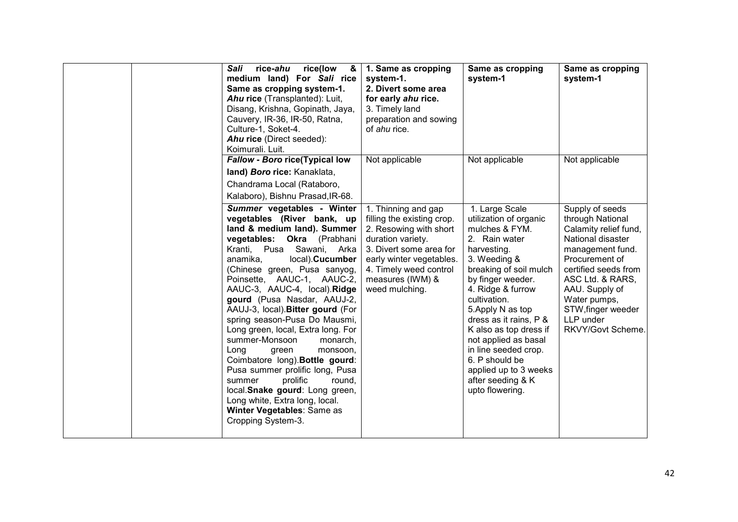| rice(low<br>Sali<br>rice-ahu<br>&<br>medium land) For Sali rice<br>Same as cropping system-1.<br>Ahu rice (Transplanted): Luit,<br>Disang, Krishna, Gopinath, Jaya,<br>Cauvery, IR-36, IR-50, Ratna,<br>Culture-1, Soket-4.<br>Ahu rice (Direct seeded):<br>Koimurali. Luit.                                                                                                                                                                                                                                                                                                                                                                                                                                             | 1. Same as cropping<br>system-1.<br>2. Divert some area<br>for early ahu rice.<br>3. Timely land<br>preparation and sowing<br>of ahu rice.                                                                              | Same as cropping<br>system-1                                                                                                                                                                                                                                                                                                                                                                               | Same as cropping<br>system-1                                                                                                                                                                                                                                  |
|--------------------------------------------------------------------------------------------------------------------------------------------------------------------------------------------------------------------------------------------------------------------------------------------------------------------------------------------------------------------------------------------------------------------------------------------------------------------------------------------------------------------------------------------------------------------------------------------------------------------------------------------------------------------------------------------------------------------------|-------------------------------------------------------------------------------------------------------------------------------------------------------------------------------------------------------------------------|------------------------------------------------------------------------------------------------------------------------------------------------------------------------------------------------------------------------------------------------------------------------------------------------------------------------------------------------------------------------------------------------------------|---------------------------------------------------------------------------------------------------------------------------------------------------------------------------------------------------------------------------------------------------------------|
| Fallow - Boro rice(Typical low<br>land) Boro rice: Kanaklata,<br>Chandrama Local (Rataboro,<br>Kalaboro), Bishnu Prasad, IR-68.                                                                                                                                                                                                                                                                                                                                                                                                                                                                                                                                                                                          | Not applicable                                                                                                                                                                                                          | Not applicable                                                                                                                                                                                                                                                                                                                                                                                             | Not applicable                                                                                                                                                                                                                                                |
| Summer vegetables - Winter<br>vegetables (River bank, up<br>land & medium land). Summer<br>vegetables: Okra (Prabhani<br>Kranti, Pusa<br>Sawani, Arka<br>local). Cucumber<br>anamika,<br>(Chinese green, Pusa sanyog,<br>Poinsette, AAUC-1, AAUC-2,<br>AAUC-3, AAUC-4, local). Ridge<br>gourd (Pusa Nasdar, AAUJ-2,<br>AAUJ-3, local). Bitter gourd (For<br>spring season-Pusa Do Mausmi,<br>Long green, local, Extra long. For<br>summer-Monsoon<br>monarch.<br>Long<br>green<br>monsoon,<br>Coimbatore long). Bottle gourd:<br>Pusa summer prolific long, Pusa<br>prolific<br>round,<br>summer<br>local.Snake gourd: Long green,<br>Long white, Extra long, local.<br>Winter Vegetables: Same as<br>Cropping System-3. | 1. Thinning and gap<br>filling the existing crop.<br>2. Resowing with short<br>duration variety.<br>3. Divert some area for<br>early winter vegetables.<br>4. Timely weed control<br>measures (IWM) &<br>weed mulching. | 1. Large Scale<br>utilization of organic<br>mulches & FYM.<br>2. Rain water<br>harvesting.<br>3. Weeding &<br>breaking of soil mulch<br>by finger weeder.<br>4. Ridge & furrow<br>cultivation.<br>5. Apply N as top<br>dress as it rains, P &<br>K also as top dress if<br>not applied as basal<br>in line seeded crop.<br>6. P should be<br>applied up to 3 weeks<br>after seeding & K<br>upto flowering. | Supply of seeds<br>through National<br>Calamity relief fund,<br>National disaster<br>management fund.<br>Procurement of<br>certified seeds from<br>ASC Ltd. & RARS,<br>AAU. Supply of<br>Water pumps,<br>STW, finger weeder<br>LLP under<br>RKVY/Govt Scheme. |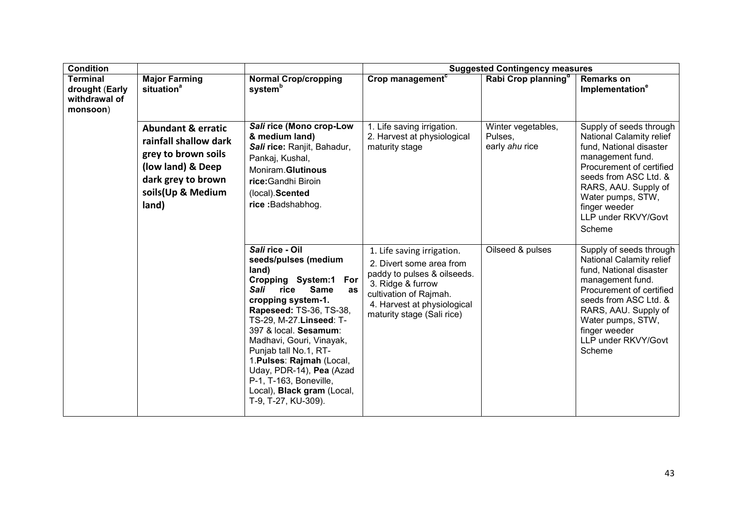| <b>Condition</b>                                               |                                                                                                                                                        | <b>Suggested Contingency measures</b>                                                                                                                                                                                                                                                                                                                                                                             |                                                                                                                                                                                                   |                                                 |                                                                                                                                                                                                                                                        |
|----------------------------------------------------------------|--------------------------------------------------------------------------------------------------------------------------------------------------------|-------------------------------------------------------------------------------------------------------------------------------------------------------------------------------------------------------------------------------------------------------------------------------------------------------------------------------------------------------------------------------------------------------------------|---------------------------------------------------------------------------------------------------------------------------------------------------------------------------------------------------|-------------------------------------------------|--------------------------------------------------------------------------------------------------------------------------------------------------------------------------------------------------------------------------------------------------------|
| <b>Terminal</b><br>drought (Early<br>withdrawal of<br>monsoon) | <b>Major Farming</b><br>situation <sup>a</sup>                                                                                                         | <b>Normal Crop/cropping</b><br>system <sup>b</sup>                                                                                                                                                                                                                                                                                                                                                                | Crop management <sup>c</sup>                                                                                                                                                                      | Rabi Crop planning <sup>a</sup>                 | <b>Remarks on</b><br>Implementation <sup>e</sup>                                                                                                                                                                                                       |
|                                                                | <b>Abundant &amp; erratic</b><br>rainfall shallow dark<br>grey to brown soils<br>(low land) & Deep<br>dark grey to brown<br>soils(Up & Medium<br>land) | Sali rice (Mono crop-Low<br>& medium land)<br>Sali rice: Ranjit, Bahadur,<br>Pankaj, Kushal,<br>Moniram.Glutinous<br>rice: Gandhi Biroin<br>(local). Scented<br>rice: Badshabhog.                                                                                                                                                                                                                                 | 1. Life saving irrigation.<br>2. Harvest at physiological<br>maturity stage                                                                                                                       | Winter vegetables,<br>Pulses,<br>early ahu rice | Supply of seeds through<br>National Calamity relief<br>fund, National disaster<br>management fund.<br>Procurement of certified<br>seeds from ASC Ltd. &<br>RARS, AAU. Supply of<br>Water pumps, STW,<br>finger weeder<br>LLP under RKVY/Govt<br>Scheme |
|                                                                |                                                                                                                                                        | Sali rice - Oil<br>seeds/pulses (medium<br>land)<br>Cropping System:1 For<br>Sali<br>rice<br><b>Same</b><br>as<br>cropping system-1.<br>Rapeseed: TS-36, TS-38,<br>TS-29, M-27. Linseed: T-<br>397 & local. Sesamum:<br>Madhavi, Gouri, Vinayak,<br>Punjab tall No.1, RT-<br>1. Pulses: Rajmah (Local,<br>Uday, PDR-14), Pea (Azad<br>P-1, T-163, Boneville,<br>Local), Black gram (Local,<br>T-9, T-27, KU-309). | 1. Life saving irrigation.<br>2. Divert some area from<br>paddy to pulses & oilseeds.<br>3. Ridge & furrow<br>cultivation of Rajmah.<br>4. Harvest at physiological<br>maturity stage (Sali rice) | Oilseed & pulses                                | Supply of seeds through<br>National Calamity relief<br>fund, National disaster<br>management fund.<br>Procurement of certified<br>seeds from ASC Ltd. &<br>RARS, AAU. Supply of<br>Water pumps, STW,<br>finger weeder<br>LLP under RKVY/Govt<br>Scheme |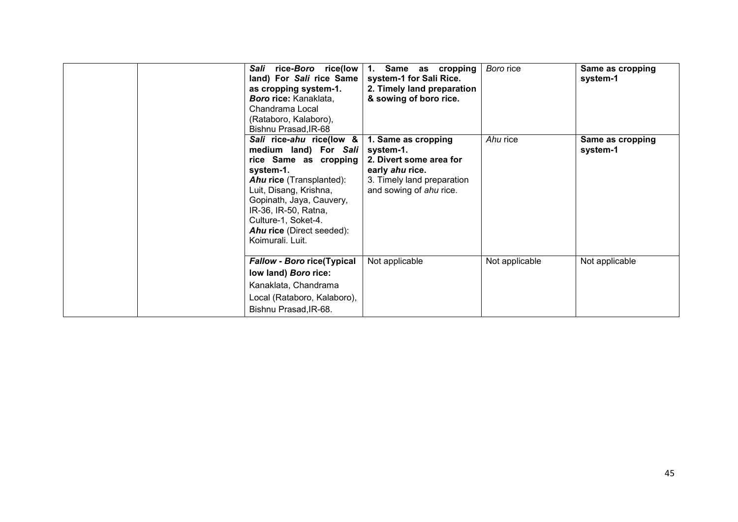| rice-Boro rice(low<br>Sali<br>land) For Sali rice Same<br>as cropping system-1.<br><b>Boro rice:</b> Kanaklata,<br>Chandrama Local<br>(Rataboro, Kalaboro),<br>Bishnu Prasad, IR-68                                                                                              | Same as cropping<br>1.<br>system-1 for Sali Rice.<br>2. Timely land preparation<br>& sowing of boro rice.                               | Boro rice      | Same as cropping<br>system-1 |
|----------------------------------------------------------------------------------------------------------------------------------------------------------------------------------------------------------------------------------------------------------------------------------|-----------------------------------------------------------------------------------------------------------------------------------------|----------------|------------------------------|
| Sali rice-ahu rice(low &<br>medium land) For Sali<br>rice Same as cropping<br>system-1.<br><b>Ahu rice</b> (Transplanted):<br>Luit, Disang, Krishna,<br>Gopinath, Jaya, Cauvery,<br>IR-36, IR-50, Ratna,<br>Culture-1, Soket-4.<br>Ahu rice (Direct seeded):<br>Koimurali, Luit. | 1. Same as cropping<br>system-1.<br>2. Divert some area for<br>early ahu rice.<br>3. Timely land preparation<br>and sowing of ahu rice. | Ahu rice       | Same as cropping<br>system-1 |
| <b>Fallow - Boro rice(Typical</b><br>low land) Boro rice:<br>Kanaklata, Chandrama<br>Local (Rataboro, Kalaboro),<br>Bishnu Prasad, IR-68.                                                                                                                                        | Not applicable                                                                                                                          | Not applicable | Not applicable               |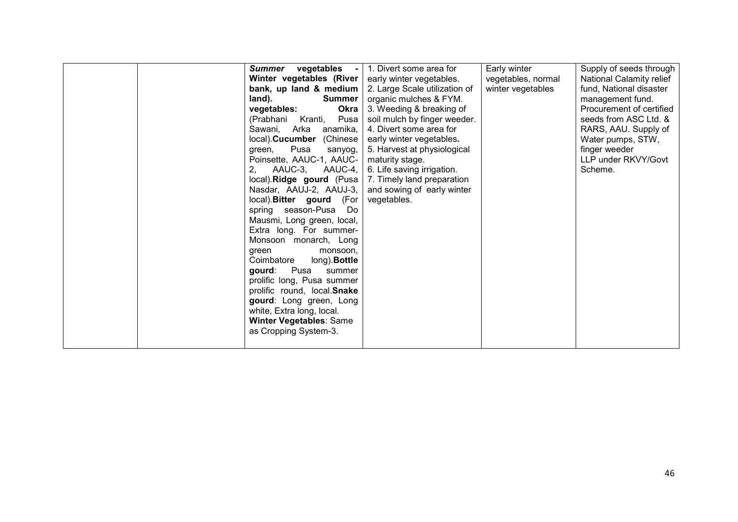| vegetables -<br>Summer<br>Winter vegetables (River<br>bank, up land & medium<br><b>Summer</b><br>land).<br>vegetables:<br>Okra<br>(Prabhani Kranti,<br>Pusa<br>Sawani, Arka anamika,<br>local). Cucumber (Chinese<br>Pusa<br>green,<br>sanyog,<br>Poinsette, AAUC-1, AAUC-<br>AAUC-3, AAUC-4,<br>2.<br>local). Ridge gourd (Pusa<br>Nasdar, AAUJ-2, AAUJ-3,<br>local). Bitter gourd (For<br>spring season-Pusa Do<br>Mausmi, Long green, local,<br>Extra long. For summer-<br>Monsoon monarch, Long<br>monsoon,<br>green<br>Coimbatore<br>long). Bottle<br>Pusa<br>aourd:<br>summer<br>prolific long, Pusa summer<br>prolific round, local.Snake<br>gourd: Long green, Long<br>white, Extra long, local.<br><b>Winter Vegetables: Same</b> | 1. Divert some area for<br>early winter vegetables.<br>2. Large Scale utilization of<br>organic mulches & FYM.<br>3. Weeding & breaking of<br>soil mulch by finger weeder.<br>4. Divert some area for<br>early winter vegetables.<br>5. Harvest at physiological<br>maturity stage.<br>6. Life saving irrigation.<br>7. Timely land preparation<br>and sowing of early winter<br>vegetables. | Early winter<br>vegetables, normal<br>winter vegetables | Supply of seeds through<br>National Calamity relief<br>fund, National disaster<br>management fund.<br>Procurement of certified<br>seeds from ASC Ltd. &<br>RARS, AAU. Supply of<br>Water pumps, STW,<br>finger weeder<br>LLP under RKVY/Govt<br>Scheme. |
|--------------------------------------------------------------------------------------------------------------------------------------------------------------------------------------------------------------------------------------------------------------------------------------------------------------------------------------------------------------------------------------------------------------------------------------------------------------------------------------------------------------------------------------------------------------------------------------------------------------------------------------------------------------------------------------------------------------------------------------------|----------------------------------------------------------------------------------------------------------------------------------------------------------------------------------------------------------------------------------------------------------------------------------------------------------------------------------------------------------------------------------------------|---------------------------------------------------------|---------------------------------------------------------------------------------------------------------------------------------------------------------------------------------------------------------------------------------------------------------|
| as Cropping System-3.                                                                                                                                                                                                                                                                                                                                                                                                                                                                                                                                                                                                                                                                                                                      |                                                                                                                                                                                                                                                                                                                                                                                              |                                                         |                                                                                                                                                                                                                                                         |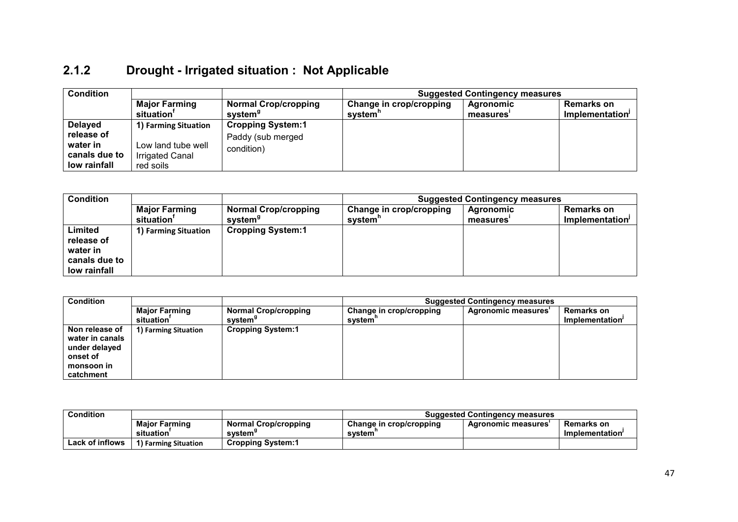#### 2.1.2 Drought - Irrigated situation : Not Applicable

| <b>Condition</b>                                                          |                                                                                   |                                                             | <b>Suggested Contingency measures</b> |                       |                                      |  |
|---------------------------------------------------------------------------|-----------------------------------------------------------------------------------|-------------------------------------------------------------|---------------------------------------|-----------------------|--------------------------------------|--|
|                                                                           | <b>Major Farming</b><br>situation'                                                | <b>Normal Crop/cropping</b><br>system <sup>9</sup>          | Change in crop/cropping<br>system'    | Agronomic<br>measures | <b>Remarks on</b><br>Implementation' |  |
| <b>Delayed</b><br>release of<br>water in<br>canals due to<br>low rainfall | 1) Farming Situation<br>Low land tube well<br><b>Irrigated Canal</b><br>red soils | <b>Cropping System:1</b><br>Paddy (sub merged<br>condition) |                                       |                       |                                      |  |

| <b>Condition</b>                                                   |                                                |                                                    | <b>Suggested Contingency measures</b> |                       |                                      |  |
|--------------------------------------------------------------------|------------------------------------------------|----------------------------------------------------|---------------------------------------|-----------------------|--------------------------------------|--|
|                                                                    | <b>Major Farming</b><br>situation <sup>'</sup> | <b>Normal Crop/cropping</b><br>system <sup>9</sup> | Change in crop/cropping<br>svstem"    | Agronomic<br>measures | <b>Remarks on</b><br>Implementation' |  |
| Limited<br>release of<br>water in<br>canals due to<br>low rainfall | 1) Farming Situation                           | <b>Cropping System:1</b>                           |                                       |                       |                                      |  |

| <b>Condition</b>                                                                          |                                                |                                                    | <b>Suggested Contingency measures</b> |                     |                                      |  |
|-------------------------------------------------------------------------------------------|------------------------------------------------|----------------------------------------------------|---------------------------------------|---------------------|--------------------------------------|--|
|                                                                                           | <b>Major Farming</b><br>situation <sup>'</sup> | <b>Normal Crop/cropping</b><br>system <sup>9</sup> | Change in crop/cropping<br>system"    | Agronomic measures' | <b>Remarks on</b><br>Implementation' |  |
| Non release of<br>water in canals<br>under delayed<br>onset of<br>monsoon in<br>catchment | 1) Farming Situation                           | <b>Cropping System:1</b>                           |                                       |                     |                                      |  |

| <b>Condition</b>       |                                   |                                                    | <b>Suggested Contingency measures</b>    |                           |                               |
|------------------------|-----------------------------------|----------------------------------------------------|------------------------------------------|---------------------------|-------------------------------|
|                        | <b>Maior Farming</b><br>situation | <b>Normal Crop/cropping</b><br>svstem <sup>s</sup> | <b>Change in crop/cropping</b><br>svstem | <b>Agronomic measures</b> | Remarks on<br>Implementation' |
| <b>Lack of inflows</b> | 1) Farming Situation              | <b>Cropping System:1</b>                           |                                          |                           |                               |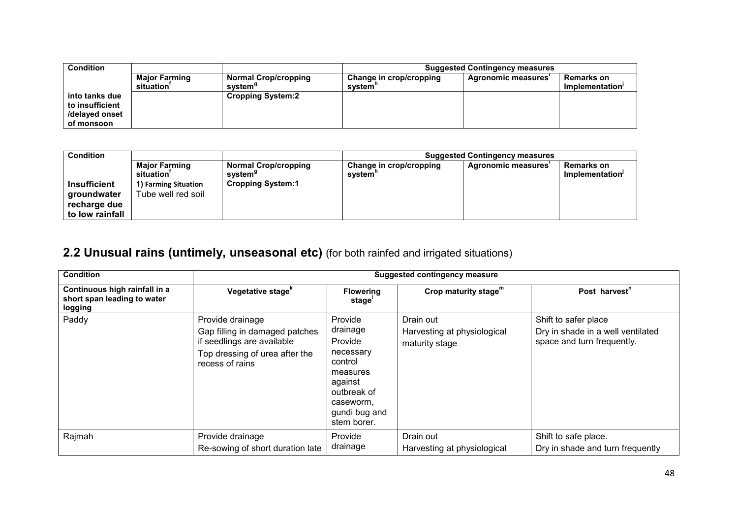| <b>Condition</b> |               |                             | <b>Suggested Contingency measures</b> |                    |                   |  |
|------------------|---------------|-----------------------------|---------------------------------------|--------------------|-------------------|--|
|                  | Major Farming | <b>Normal Crop/cropping</b> | Change in crop/cropping               | Agronomic measures | <b>Remarks on</b> |  |
|                  | situation'    | system <sup>9</sup>         | svstem'                               |                    | Implementation'   |  |
| into tanks due   |               | <b>Cropping System:2</b>    |                                       |                    |                   |  |
| to insufficient  |               |                             |                                       |                    |                   |  |
| /delaved onset   |               |                             |                                       |                    |                   |  |
| of monsoon       |               |                             |                                       |                    |                   |  |

| <b>Condition</b>                                                      |                                            |                                                    | <b>Suggested Contingency measures</b> |                    |                                      |
|-----------------------------------------------------------------------|--------------------------------------------|----------------------------------------------------|---------------------------------------|--------------------|--------------------------------------|
|                                                                       | <b>Major Farming</b><br>situation'         | <b>Normal Crop/cropping</b><br>system <sup>9</sup> | Change in crop/cropping<br>system'    | Agronomic measures | <b>Remarks on</b><br>Implementation' |
| <b>Insufficient</b><br>groundwater<br>recharge due<br>to low rainfall | 1) Farming Situation<br>Tube well red soil | <b>Cropping System:1</b>                           |                                       |                    |                                      |

#### **2.2 Unusual rains (untimely, unseasonal etc)** (for both rainfed and irrigated situations)

| <b>Condition</b>                                                        | <b>Suggested contingency measure</b>                                                                                                  |                                                                                                                                           |                                                            |                                                                                         |  |
|-------------------------------------------------------------------------|---------------------------------------------------------------------------------------------------------------------------------------|-------------------------------------------------------------------------------------------------------------------------------------------|------------------------------------------------------------|-----------------------------------------------------------------------------------------|--|
| Continuous high rainfall in a<br>short span leading to water<br>logging | Vegetative stage <sup>k</sup>                                                                                                         | <b>Flowering</b><br>stage <sup>'</sup>                                                                                                    | Crop maturity stage <sup>m</sup>                           | Post harvest <sup>"</sup>                                                               |  |
| Paddy                                                                   | Provide drainage<br>Gap filling in damaged patches<br>if seedlings are available<br>Top dressing of urea after the<br>recess of rains | Provide<br>drainage<br>Provide<br>necessary<br>control<br>measures<br>against<br>outbreak of<br>caseworm,<br>gundi bug and<br>stem borer. | Drain out<br>Harvesting at physiological<br>maturity stage | Shift to safer place<br>Dry in shade in a well ventilated<br>space and turn frequently. |  |
| Rajmah                                                                  | Provide drainage<br>Re-sowing of short duration late                                                                                  | Provide<br>drainage                                                                                                                       | Drain out<br>Harvesting at physiological                   | Shift to safe place.<br>Dry in shade and turn frequently                                |  |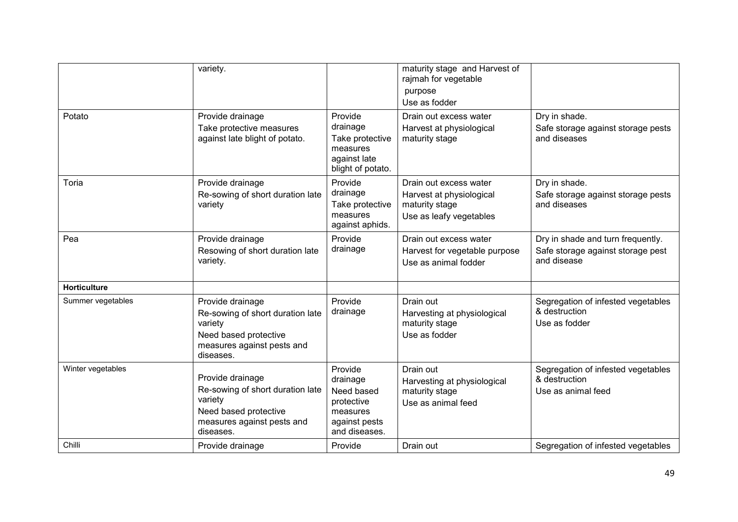|                     | variety.                                                                                                                            |                                                                                               | maturity stage and Harvest of<br>rajmah for vegetable<br>purpose<br>Use as fodder               |                                                                                       |
|---------------------|-------------------------------------------------------------------------------------------------------------------------------------|-----------------------------------------------------------------------------------------------|-------------------------------------------------------------------------------------------------|---------------------------------------------------------------------------------------|
| Potato              | Provide drainage<br>Take protective measures<br>against late blight of potato.                                                      | Provide<br>drainage<br>Take protective<br>measures<br>against late<br>blight of potato.       | Drain out excess water<br>Harvest at physiological<br>maturity stage                            | Dry in shade.<br>Safe storage against storage pests<br>and diseases                   |
| Toria               | Provide drainage<br>Re-sowing of short duration late<br>variety                                                                     | Provide<br>drainage<br>Take protective<br>measures<br>against aphids.                         | Drain out excess water<br>Harvest at physiological<br>maturity stage<br>Use as leafy vegetables | Dry in shade.<br>Safe storage against storage pests<br>and diseases                   |
| Pea                 | Provide drainage<br>Resowing of short duration late<br>variety.                                                                     | Provide<br>drainage                                                                           | Drain out excess water<br>Harvest for vegetable purpose<br>Use as animal fodder                 | Dry in shade and turn frequently.<br>Safe storage against storage pest<br>and disease |
| <b>Horticulture</b> |                                                                                                                                     |                                                                                               |                                                                                                 |                                                                                       |
| Summer vegetables   | Provide drainage<br>Re-sowing of short duration late<br>variety<br>Need based protective<br>measures against pests and<br>diseases. | Provide<br>drainage                                                                           | Drain out<br>Harvesting at physiological<br>maturity stage<br>Use as fodder                     | Segregation of infested vegetables<br>& destruction<br>Use as fodder                  |
| Winter vegetables   | Provide drainage<br>Re-sowing of short duration late<br>variety<br>Need based protective<br>measures against pests and<br>diseases. | Provide<br>drainage<br>Need based<br>protective<br>measures<br>against pests<br>and diseases. | Drain out<br>Harvesting at physiological<br>maturity stage<br>Use as animal feed                | Segregation of infested vegetables<br>& destruction<br>Use as animal feed             |
| Chilli              | Provide drainage                                                                                                                    | Provide                                                                                       | Drain out                                                                                       | Segregation of infested vegetables                                                    |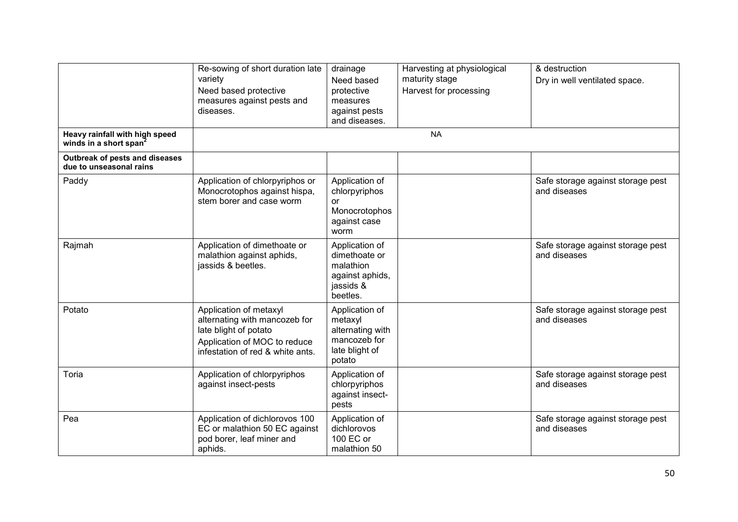|                                                                      | Re-sowing of short duration late<br>variety<br>Need based protective<br>measures against pests and<br>diseases.                                      | drainage<br>Need based<br>protective<br>measures<br>against pests<br>and diseases.        | Harvesting at physiological<br>maturity stage<br>Harvest for processing | & destruction<br>Dry in well ventilated space.    |
|----------------------------------------------------------------------|------------------------------------------------------------------------------------------------------------------------------------------------------|-------------------------------------------------------------------------------------------|-------------------------------------------------------------------------|---------------------------------------------------|
| Heavy rainfall with high speed<br>winds in a short span <sup>2</sup> |                                                                                                                                                      |                                                                                           | <b>NA</b>                                                               |                                                   |
| Outbreak of pests and diseases<br>due to unseasonal rains            |                                                                                                                                                      |                                                                                           |                                                                         |                                                   |
| Paddy                                                                | Application of chlorpyriphos or<br>Monocrotophos against hispa,<br>stem borer and case worm                                                          | Application of<br>chlorpyriphos<br>or<br>Monocrotophos<br>against case<br>worm            |                                                                         | Safe storage against storage pest<br>and diseases |
| Rajmah                                                               | Application of dimethoate or<br>malathion against aphids,<br>jassids & beetles.                                                                      | Application of<br>dimethoate or<br>malathion<br>against aphids,<br>jassids &<br>beetles.  |                                                                         | Safe storage against storage pest<br>and diseases |
| Potato                                                               | Application of metaxyl<br>alternating with mancozeb for<br>late blight of potato<br>Application of MOC to reduce<br>infestation of red & white ants. | Application of<br>metaxyl<br>alternating with<br>mancozeb for<br>late blight of<br>potato |                                                                         | Safe storage against storage pest<br>and diseases |
| Toria                                                                | Application of chlorpyriphos<br>against insect-pests                                                                                                 | Application of<br>chlorpyriphos<br>against insect-<br>pests                               |                                                                         | Safe storage against storage pest<br>and diseases |
| Pea                                                                  | Application of dichlorovos 100<br>EC or malathion 50 EC against<br>pod borer, leaf miner and<br>aphids.                                              | Application of<br>dichlorovos<br>100 EC or<br>malathion 50                                |                                                                         | Safe storage against storage pest<br>and diseases |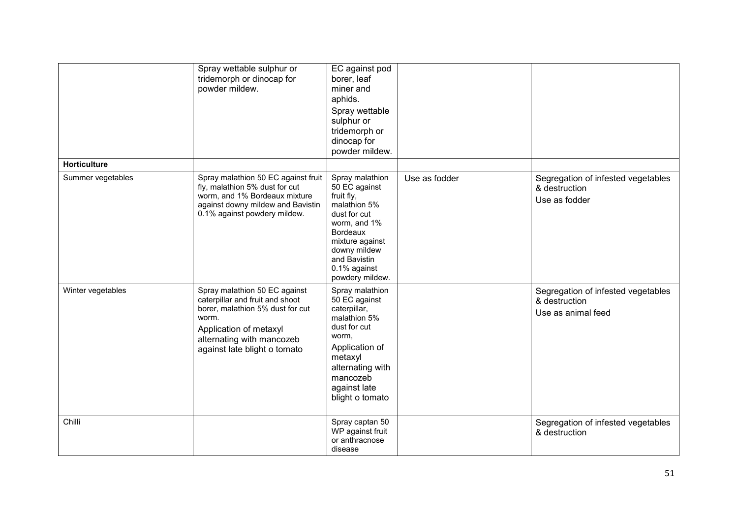|                     | Spray wettable sulphur or<br>tridemorph or dinocap for<br>powder mildew.                                                                                                                             | EC against pod<br>borer, leaf<br>miner and<br>aphids.<br>Spray wettable<br>sulphur or<br>tridemorph or<br>dinocap for<br>powder mildew.                                                                 |               |                                                                           |
|---------------------|------------------------------------------------------------------------------------------------------------------------------------------------------------------------------------------------------|---------------------------------------------------------------------------------------------------------------------------------------------------------------------------------------------------------|---------------|---------------------------------------------------------------------------|
| <b>Horticulture</b> |                                                                                                                                                                                                      |                                                                                                                                                                                                         |               |                                                                           |
| Summer vegetables   | Spray malathion 50 EC against fruit<br>fly, malathion 5% dust for cut<br>worm, and 1% Bordeaux mixture<br>against downy mildew and Bavistin<br>0.1% against powdery mildew.                          | Spray malathion<br>50 EC against<br>fruit fly,<br>malathion 5%<br>dust for cut<br>worm, and 1%<br><b>Bordeaux</b><br>mixture against<br>downy mildew<br>and Bavistin<br>0.1% against<br>powdery mildew. | Use as fodder | Segregation of infested vegetables<br>& destruction<br>Use as fodder      |
| Winter vegetables   | Spray malathion 50 EC against<br>caterpillar and fruit and shoot<br>borer, malathion 5% dust for cut<br>worm.<br>Application of metaxyl<br>alternating with mancozeb<br>against late blight o tomato | Spray malathion<br>50 EC against<br>caterpillar,<br>malathion 5%<br>dust for cut<br>worm,<br>Application of<br>metaxyl<br>alternating with<br>mancozeb<br>against late<br>blight o tomato               |               | Segregation of infested vegetables<br>& destruction<br>Use as animal feed |
| Chilli              |                                                                                                                                                                                                      | Spray captan 50<br>WP against fruit<br>or anthracnose<br>disease                                                                                                                                        |               | Segregation of infested vegetables<br>& destruction                       |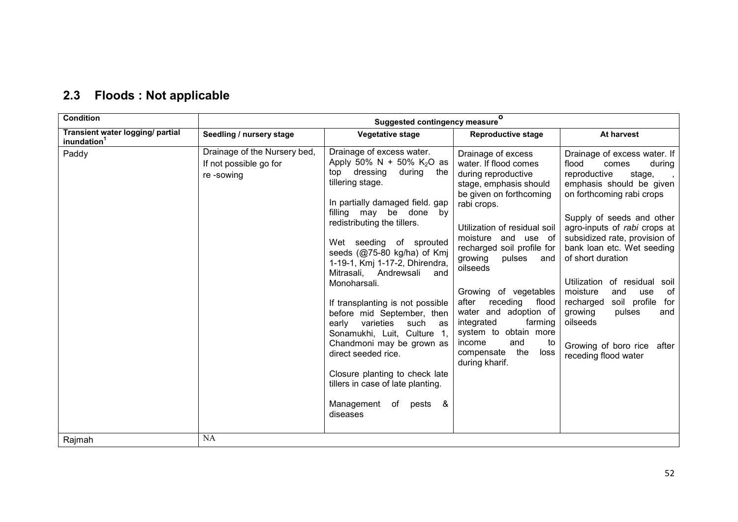| 2.3 Floods: Not applicable |  |  |  |  |
|----------------------------|--|--|--|--|
|----------------------------|--|--|--|--|

| <b>Condition</b>                                            |                                                                     | <b>Suggested contingency measure</b>                                                                                                                                                                                                                                                                                                                                                                                                                                                                                                                                                                                                                                          | $\mathbf{o}$                                                                                                                                                                                                                                                                                                                                                                                                                                                                |                                                                                                                                                                                                                                                                                                                                                                                                                                                                                                         |
|-------------------------------------------------------------|---------------------------------------------------------------------|-------------------------------------------------------------------------------------------------------------------------------------------------------------------------------------------------------------------------------------------------------------------------------------------------------------------------------------------------------------------------------------------------------------------------------------------------------------------------------------------------------------------------------------------------------------------------------------------------------------------------------------------------------------------------------|-----------------------------------------------------------------------------------------------------------------------------------------------------------------------------------------------------------------------------------------------------------------------------------------------------------------------------------------------------------------------------------------------------------------------------------------------------------------------------|---------------------------------------------------------------------------------------------------------------------------------------------------------------------------------------------------------------------------------------------------------------------------------------------------------------------------------------------------------------------------------------------------------------------------------------------------------------------------------------------------------|
| Transient water logging/ partial<br>inundation <sup>1</sup> | Seedling / nursery stage                                            | Vegetative stage                                                                                                                                                                                                                                                                                                                                                                                                                                                                                                                                                                                                                                                              | <b>Reproductive stage</b>                                                                                                                                                                                                                                                                                                                                                                                                                                                   | At harvest                                                                                                                                                                                                                                                                                                                                                                                                                                                                                              |
| Paddy                                                       | Drainage of the Nursery bed,<br>If not possible go for<br>re-sowing | Drainage of excess water.<br>Apply 50% N + 50% K <sub>2</sub> O as<br>top dressing<br>during<br>the<br>tillering stage.<br>In partially damaged field. gap<br>filling may be done by<br>redistributing the tillers.<br>Wet seeding of sprouted<br>seeds (@75-80 kg/ha) of Kmj<br>1-19-1, Kmj 1-17-2, Dhirendra,<br>Mitrasali,<br>Andrewsali<br>and<br>Monoharsali.<br>If transplanting is not possible<br>before mid September, then<br>varieties<br>such<br>early<br>as<br>Sonamukhi, Luit, Culture 1,<br>Chandmoni may be grown as<br>direct seeded rice.<br>Closure planting to check late<br>tillers in case of late planting.<br>Management<br>of pests<br>&<br>diseases | Drainage of excess<br>water. If flood comes<br>during reproductive<br>stage, emphasis should<br>be given on forthcoming<br>rabi crops.<br>Utilization of residual soil<br>moisture and use of<br>recharged soil profile for<br>growing<br>pulses<br>and<br>oilseeds<br>Growing of vegetables<br>after<br>receding<br>flood<br>water and adoption of<br>farming<br>integrated<br>system to obtain more<br>income<br>and<br>to<br>the<br>compensate<br>loss<br>during kharif. | Drainage of excess water. If<br>flood<br>comes<br>during<br>reproductive<br>stage,<br>emphasis should be given<br>on forthcoming rabi crops<br>Supply of seeds and other<br>agro-inputs of rabi crops at<br>subsidized rate, provision of<br>bank loan etc. Wet seeding<br>of short duration<br>Utilization<br>of residual<br>soil<br>moisture<br>of<br>and<br>use<br>recharged<br>soil profile<br>for<br>growing<br>pulses<br>and<br>oilseeds<br>Growing of boro rice<br>after<br>receding flood water |
| Rajmah                                                      | NA                                                                  |                                                                                                                                                                                                                                                                                                                                                                                                                                                                                                                                                                                                                                                                               |                                                                                                                                                                                                                                                                                                                                                                                                                                                                             |                                                                                                                                                                                                                                                                                                                                                                                                                                                                                                         |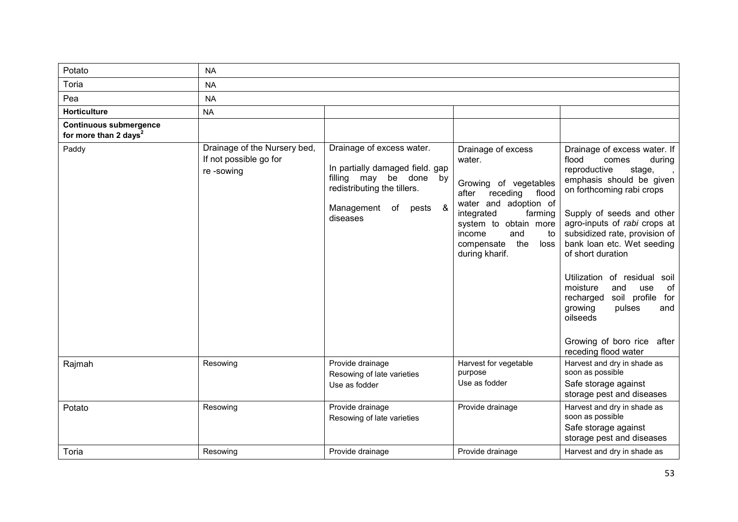| Potato                                                             | <b>NA</b>                                                           |                                                                                                                                                            |                                                                                                                                                                                                                                      |                                                                                                                                                                                                                                                                                                                                                                                                                                                                                                   |  |  |
|--------------------------------------------------------------------|---------------------------------------------------------------------|------------------------------------------------------------------------------------------------------------------------------------------------------------|--------------------------------------------------------------------------------------------------------------------------------------------------------------------------------------------------------------------------------------|---------------------------------------------------------------------------------------------------------------------------------------------------------------------------------------------------------------------------------------------------------------------------------------------------------------------------------------------------------------------------------------------------------------------------------------------------------------------------------------------------|--|--|
| Toria                                                              | <b>NA</b>                                                           |                                                                                                                                                            |                                                                                                                                                                                                                                      |                                                                                                                                                                                                                                                                                                                                                                                                                                                                                                   |  |  |
| Pea                                                                | <b>NA</b>                                                           |                                                                                                                                                            |                                                                                                                                                                                                                                      |                                                                                                                                                                                                                                                                                                                                                                                                                                                                                                   |  |  |
| <b>Horticulture</b>                                                | <b>NA</b>                                                           |                                                                                                                                                            |                                                                                                                                                                                                                                      |                                                                                                                                                                                                                                                                                                                                                                                                                                                                                                   |  |  |
| <b>Continuous submergence</b><br>for more than 2 days <sup>2</sup> |                                                                     |                                                                                                                                                            |                                                                                                                                                                                                                                      |                                                                                                                                                                                                                                                                                                                                                                                                                                                                                                   |  |  |
| Paddy                                                              | Drainage of the Nursery bed,<br>If not possible go for<br>re-sowing | Drainage of excess water.<br>In partially damaged field. gap<br>filling may be done by<br>redistributing the tillers.<br>Management of pests &<br>diseases | Drainage of excess<br>water.<br>Growing of vegetables<br>receding<br>flood<br>after<br>water and adoption of<br>farming<br>integrated<br>system to obtain more<br>income<br>and<br>to<br>the<br>compensate<br>loss<br>during kharif. | Drainage of excess water. If<br>flood<br>comes<br>during<br>reproductive<br>stage,<br>emphasis should be given<br>on forthcoming rabi crops<br>Supply of seeds and other<br>agro-inputs of rabi crops at<br>subsidized rate, provision of<br>bank loan etc. Wet seeding<br>of short duration<br>Utilization of residual<br>soil<br>moisture<br>and<br>of<br>use<br>recharged<br>soil profile<br>for<br>growing<br>pulses<br>and<br>oilseeds<br>Growing of boro rice after<br>receding flood water |  |  |
| Rajmah                                                             | Resowing                                                            | Provide drainage<br>Resowing of late varieties<br>Use as fodder                                                                                            | Harvest for vegetable<br>purpose<br>Use as fodder                                                                                                                                                                                    | Harvest and dry in shade as<br>soon as possible<br>Safe storage against<br>storage pest and diseases                                                                                                                                                                                                                                                                                                                                                                                              |  |  |
| Potato                                                             | Resowing                                                            | Provide drainage<br>Resowing of late varieties                                                                                                             | Provide drainage                                                                                                                                                                                                                     | Harvest and dry in shade as<br>soon as possible<br>Safe storage against<br>storage pest and diseases                                                                                                                                                                                                                                                                                                                                                                                              |  |  |
| Toria                                                              | Resowing                                                            | Provide drainage                                                                                                                                           | Provide drainage                                                                                                                                                                                                                     | Harvest and dry in shade as                                                                                                                                                                                                                                                                                                                                                                                                                                                                       |  |  |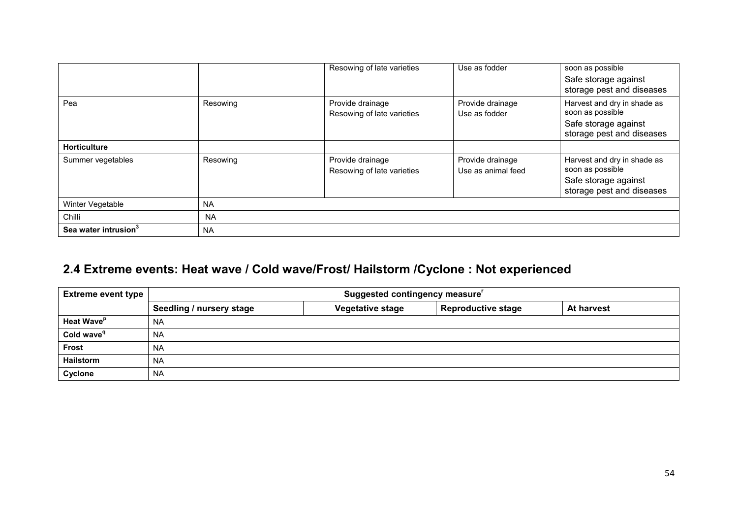|                                  |           | Resowing of late varieties                     | Use as fodder                          | soon as possible<br>Safe storage against<br>storage pest and diseases                                |
|----------------------------------|-----------|------------------------------------------------|----------------------------------------|------------------------------------------------------------------------------------------------------|
| Pea                              | Resowing  | Provide drainage<br>Resowing of late varieties | Provide drainage<br>Use as fodder      | Harvest and dry in shade as<br>soon as possible<br>Safe storage against<br>storage pest and diseases |
| <b>Horticulture</b>              |           |                                                |                                        |                                                                                                      |
| Summer vegetables                | Resowing  | Provide drainage<br>Resowing of late varieties | Provide drainage<br>Use as animal feed | Harvest and dry in shade as<br>soon as possible<br>Safe storage against<br>storage pest and diseases |
| Winter Vegetable                 | <b>NA</b> |                                                |                                        |                                                                                                      |
| Chilli                           | <b>NA</b> |                                                |                                        |                                                                                                      |
| Sea water intrusion <sup>3</sup> | <b>NA</b> |                                                |                                        |                                                                                                      |

#### 2.4 Extreme events: Heat wave / Cold wave/Frost/ Hailstorm /Cyclone : Not experienced

| <b>Extreme event type</b>     | Suggested contingency measure' |                         |                           |                   |  |
|-------------------------------|--------------------------------|-------------------------|---------------------------|-------------------|--|
|                               | Seedling / nursery stage       | <b>Vegetative stage</b> | <b>Reproductive stage</b> | <b>At harvest</b> |  |
| <b>Heat Wave</b> <sup>p</sup> | <b>NA</b>                      |                         |                           |                   |  |
| Cold wave <sup>q</sup>        | <b>NA</b>                      |                         |                           |                   |  |
| <b>Frost</b>                  | <b>NA</b>                      |                         |                           |                   |  |
| <b>Hailstorm</b>              | <b>NA</b>                      |                         |                           |                   |  |
| Cyclone                       | <b>NA</b>                      |                         |                           |                   |  |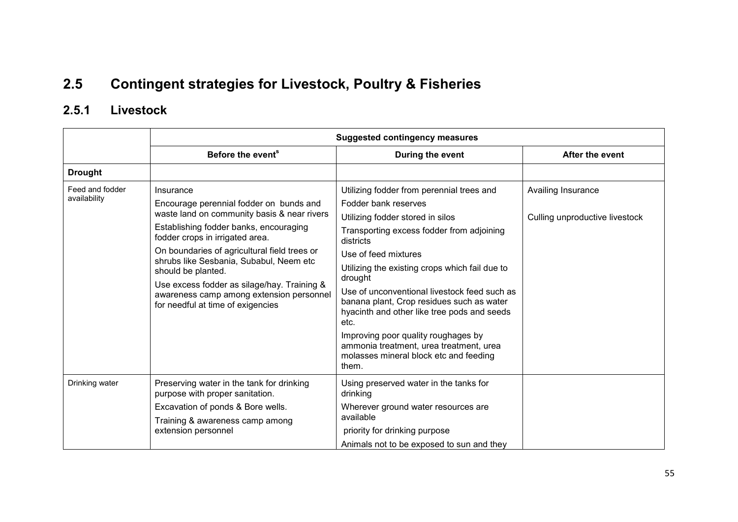## 2.5 Contingent strategies for Livestock, Poultry & Fisheries

#### 2.5.1 Livestock

|                                 | <b>Suggested contingency measures</b>                                                                                                                                                                                                                                                                                                                                                                                             |                                                                                                                                                                                                                                                                                                                                                                                                                                                                                                                                               |                                                      |  |
|---------------------------------|-----------------------------------------------------------------------------------------------------------------------------------------------------------------------------------------------------------------------------------------------------------------------------------------------------------------------------------------------------------------------------------------------------------------------------------|-----------------------------------------------------------------------------------------------------------------------------------------------------------------------------------------------------------------------------------------------------------------------------------------------------------------------------------------------------------------------------------------------------------------------------------------------------------------------------------------------------------------------------------------------|------------------------------------------------------|--|
|                                 | Before the event <sup>s</sup>                                                                                                                                                                                                                                                                                                                                                                                                     | During the event                                                                                                                                                                                                                                                                                                                                                                                                                                                                                                                              | After the event                                      |  |
| <b>Drought</b>                  |                                                                                                                                                                                                                                                                                                                                                                                                                                   |                                                                                                                                                                                                                                                                                                                                                                                                                                                                                                                                               |                                                      |  |
| Feed and fodder<br>availability | Insurance<br>Encourage perennial fodder on bunds and<br>waste land on community basis & near rivers<br>Establishing fodder banks, encouraging<br>fodder crops in irrigated area.<br>On boundaries of agricultural field trees or<br>shrubs like Sesbania, Subabul, Neem etc<br>should be planted.<br>Use excess fodder as silage/hay. Training &<br>awareness camp among extension personnel<br>for needful at time of exigencies | Utilizing fodder from perennial trees and<br>Fodder bank reserves<br>Utilizing fodder stored in silos<br>Transporting excess fodder from adjoining<br>districts<br>Use of feed mixtures<br>Utilizing the existing crops which fail due to<br>drought<br>Use of unconventional livestock feed such as<br>banana plant, Crop residues such as water<br>hyacinth and other like tree pods and seeds<br>etc.<br>Improving poor quality roughages by<br>ammonia treatment, urea treatment, urea<br>molasses mineral block etc and feeding<br>them. | Availing Insurance<br>Culling unproductive livestock |  |
| Drinking water                  | Preserving water in the tank for drinking<br>purpose with proper sanitation.<br>Excavation of ponds & Bore wells.<br>Training & awareness camp among<br>extension personnel                                                                                                                                                                                                                                                       | Using preserved water in the tanks for<br>drinking<br>Wherever ground water resources are<br>available<br>priority for drinking purpose<br>Animals not to be exposed to sun and they                                                                                                                                                                                                                                                                                                                                                          |                                                      |  |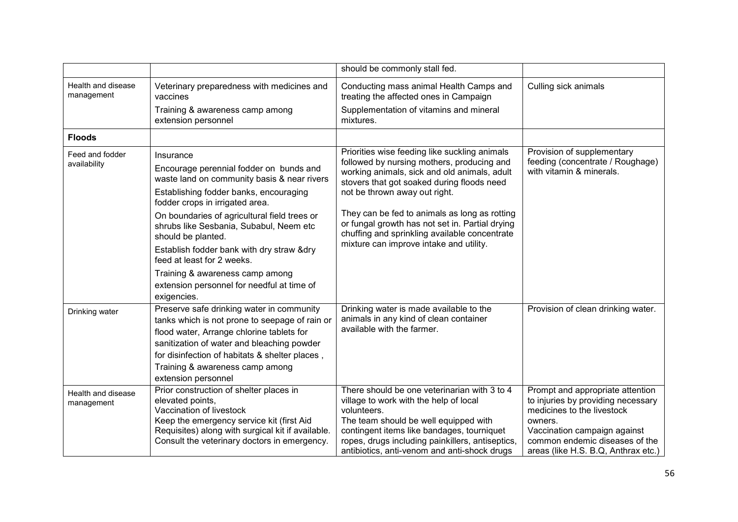|                                  |                                                                                                                                                                                                                                                                                                    | should be commonly stall fed.                                                                                                                                                                                                                                                                                                  |                                                                                                                                                                                                                          |
|----------------------------------|----------------------------------------------------------------------------------------------------------------------------------------------------------------------------------------------------------------------------------------------------------------------------------------------------|--------------------------------------------------------------------------------------------------------------------------------------------------------------------------------------------------------------------------------------------------------------------------------------------------------------------------------|--------------------------------------------------------------------------------------------------------------------------------------------------------------------------------------------------------------------------|
| Health and disease<br>management | Veterinary preparedness with medicines and<br>vaccines                                                                                                                                                                                                                                             | Conducting mass animal Health Camps and<br>treating the affected ones in Campaign                                                                                                                                                                                                                                              | Culling sick animals                                                                                                                                                                                                     |
|                                  | Training & awareness camp among<br>extension personnel                                                                                                                                                                                                                                             | Supplementation of vitamins and mineral<br>mixtures.                                                                                                                                                                                                                                                                           |                                                                                                                                                                                                                          |
| <b>Floods</b>                    |                                                                                                                                                                                                                                                                                                    |                                                                                                                                                                                                                                                                                                                                |                                                                                                                                                                                                                          |
| Feed and fodder<br>availability  | Insurance<br>Encourage perennial fodder on bunds and<br>waste land on community basis & near rivers<br>Establishing fodder banks, encouraging<br>fodder crops in irrigated area.<br>On boundaries of agricultural field trees or<br>shrubs like Sesbania, Subabul, Neem etc                        | Priorities wise feeding like suckling animals<br>followed by nursing mothers, producing and<br>working animals, sick and old animals, adult<br>stovers that got soaked during floods need<br>not be thrown away out right.<br>They can be fed to animals as long as rotting<br>or fungal growth has not set in. Partial drying | Provision of supplementary<br>feeding (concentrate / Roughage)<br>with vitamin & minerals.                                                                                                                               |
|                                  | should be planted.<br>Establish fodder bank with dry straw &dry<br>feed at least for 2 weeks.<br>Training & awareness camp among<br>extension personnel for needful at time of<br>exigencies.                                                                                                      | chuffing and sprinkling available concentrate<br>mixture can improve intake and utility.                                                                                                                                                                                                                                       |                                                                                                                                                                                                                          |
| Drinking water                   | Preserve safe drinking water in community<br>tanks which is not prone to seepage of rain or<br>flood water, Arrange chlorine tablets for<br>sanitization of water and bleaching powder<br>for disinfection of habitats & shelter places,<br>Training & awareness camp among<br>extension personnel | Drinking water is made available to the<br>animals in any kind of clean container<br>available with the farmer.                                                                                                                                                                                                                | Provision of clean drinking water.                                                                                                                                                                                       |
| Health and disease<br>management | Prior construction of shelter places in<br>elevated points,<br>Vaccination of livestock<br>Keep the emergency service kit (first Aid<br>Requisites) along with surgical kit if available.<br>Consult the veterinary doctors in emergency.                                                          | There should be one veterinarian with 3 to 4<br>village to work with the help of local<br>volunteers.<br>The team should be well equipped with<br>contingent items like bandages, tourniquet<br>ropes, drugs including painkillers, antiseptics,<br>antibiotics, anti-venom and anti-shock drugs                               | Prompt and appropriate attention<br>to injuries by providing necessary<br>medicines to the livestock<br>owners.<br>Vaccination campaign against<br>common endemic diseases of the<br>areas (like H.S. B.Q, Anthrax etc.) |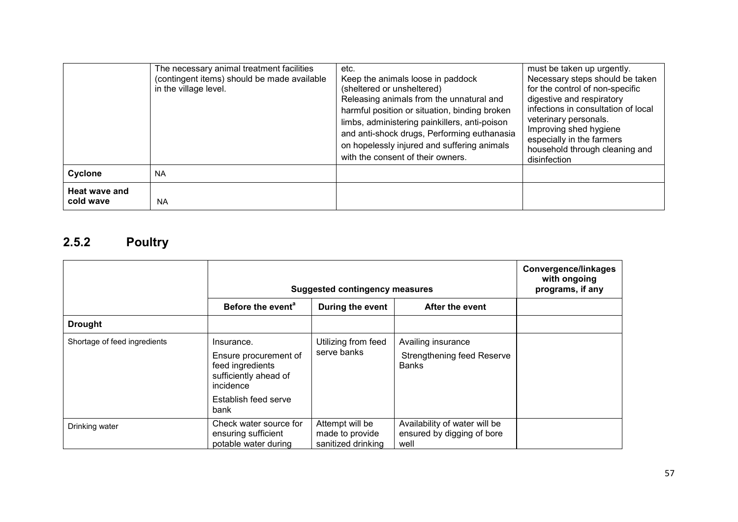|                            | The necessary animal treatment facilities<br>(contingent items) should be made available<br>in the village level. | etc.<br>Keep the animals loose in paddock<br>(sheltered or unsheltered)<br>Releasing animals from the unnatural and<br>harmful position or situation, binding broken<br>limbs, administering painkillers, anti-poison<br>and anti-shock drugs, Performing euthanasia<br>on hopelessly injured and suffering animals<br>with the consent of their owners. | must be taken up urgently.<br>Necessary steps should be taken<br>for the control of non-specific<br>digestive and respiratory<br>infections in consultation of local<br>veterinary personals.<br>Improving shed hygiene<br>especially in the farmers<br>household through cleaning and<br>disinfection |
|----------------------------|-------------------------------------------------------------------------------------------------------------------|----------------------------------------------------------------------------------------------------------------------------------------------------------------------------------------------------------------------------------------------------------------------------------------------------------------------------------------------------------|--------------------------------------------------------------------------------------------------------------------------------------------------------------------------------------------------------------------------------------------------------------------------------------------------------|
| Cyclone                    | <b>NA</b>                                                                                                         |                                                                                                                                                                                                                                                                                                                                                          |                                                                                                                                                                                                                                                                                                        |
| Heat wave and<br>cold wave | <b>NA</b>                                                                                                         |                                                                                                                                                                                                                                                                                                                                                          |                                                                                                                                                                                                                                                                                                        |

#### 2.5.2 Poultry

|                              | <b>Suggested contingency measures</b>                                                                                         | <b>Convergence/linkages</b><br>with ongoing<br>programs, if any |                                                                         |  |
|------------------------------|-------------------------------------------------------------------------------------------------------------------------------|-----------------------------------------------------------------|-------------------------------------------------------------------------|--|
|                              | Before the event <sup>a</sup><br>During the event<br>After the event                                                          |                                                                 |                                                                         |  |
| <b>Drought</b>               |                                                                                                                               |                                                                 |                                                                         |  |
| Shortage of feed ingredients | Insurance.<br>Ensure procurement of<br>feed ingredients<br>sufficiently ahead of<br>incidence<br>Establish feed serve<br>bank | Utilizing from feed<br>serve banks                              | Availing insurance<br><b>Strengthening feed Reserve</b><br><b>Banks</b> |  |
| Drinking water               | Check water source for<br>ensuring sufficient<br>potable water during                                                         | Attempt will be<br>made to provide<br>sanitized drinking        | Availability of water will be<br>ensured by digging of bore<br>well     |  |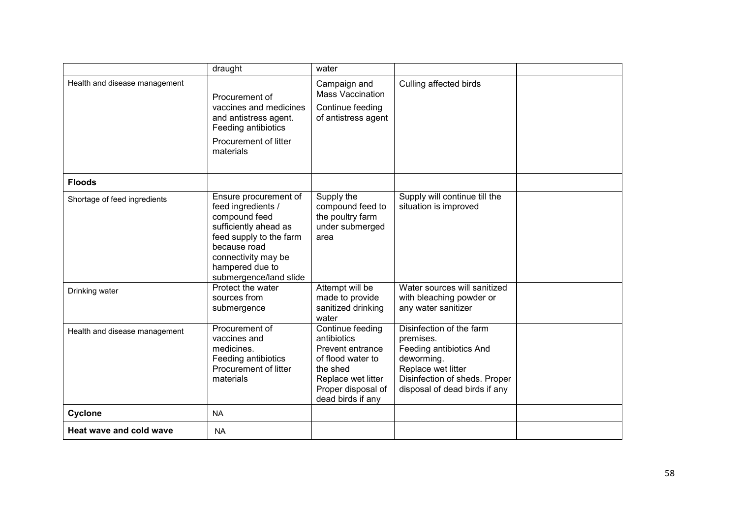|                               | draught                                                                                                                                                                                              | water                                                                                                                                                 |                                                                                                                                                                        |  |
|-------------------------------|------------------------------------------------------------------------------------------------------------------------------------------------------------------------------------------------------|-------------------------------------------------------------------------------------------------------------------------------------------------------|------------------------------------------------------------------------------------------------------------------------------------------------------------------------|--|
| Health and disease management | Procurement of<br>vaccines and medicines<br>and antistress agent.<br>Feeding antibiotics<br>Procurement of litter<br>materials                                                                       | Campaign and<br><b>Mass Vaccination</b><br>Continue feeding<br>of antistress agent                                                                    | Culling affected birds                                                                                                                                                 |  |
| <b>Floods</b>                 |                                                                                                                                                                                                      |                                                                                                                                                       |                                                                                                                                                                        |  |
| Shortage of feed ingredients  | Ensure procurement of<br>feed ingredients /<br>compound feed<br>sufficiently ahead as<br>feed supply to the farm<br>because road<br>connectivity may be<br>hampered due to<br>submergence/land slide | Supply the<br>compound feed to<br>the poultry farm<br>under submerged<br>area                                                                         | Supply will continue till the<br>situation is improved                                                                                                                 |  |
| Drinking water                | Protect the water<br>sources from<br>submergence                                                                                                                                                     | Attempt will be<br>made to provide<br>sanitized drinking<br>water                                                                                     | Water sources will sanitized<br>with bleaching powder or<br>any water sanitizer                                                                                        |  |
| Health and disease management | Procurement of<br>vaccines and<br>medicines.<br>Feeding antibiotics<br>Procurement of litter<br>materials                                                                                            | Continue feeding<br>antibiotics<br>Prevent entrance<br>of flood water to<br>the shed<br>Replace wet litter<br>Proper disposal of<br>dead birds if any | Disinfection of the farm<br>premises.<br>Feeding antibiotics And<br>deworming.<br>Replace wet litter<br>Disinfection of sheds. Proper<br>disposal of dead birds if any |  |
| Cyclone                       | <b>NA</b>                                                                                                                                                                                            |                                                                                                                                                       |                                                                                                                                                                        |  |
| Heat wave and cold wave       | <b>NA</b>                                                                                                                                                                                            |                                                                                                                                                       |                                                                                                                                                                        |  |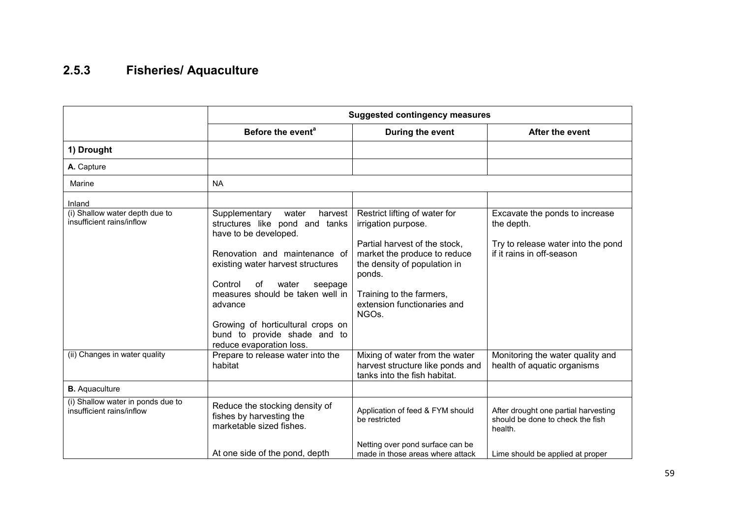#### 2.5.3 Fisheries/ Aquaculture

|                                                                | <b>Suggested contingency measures</b>                                                         |                                                                                                         |                                                                                     |  |  |
|----------------------------------------------------------------|-----------------------------------------------------------------------------------------------|---------------------------------------------------------------------------------------------------------|-------------------------------------------------------------------------------------|--|--|
|                                                                | Before the event <sup>a</sup>                                                                 | During the event                                                                                        | After the event                                                                     |  |  |
| 1) Drought                                                     |                                                                                               |                                                                                                         |                                                                                     |  |  |
| A. Capture                                                     |                                                                                               |                                                                                                         |                                                                                     |  |  |
| Marine                                                         | <b>NA</b>                                                                                     |                                                                                                         |                                                                                     |  |  |
| Inland                                                         |                                                                                               |                                                                                                         |                                                                                     |  |  |
| (i) Shallow water depth due to<br>insufficient rains/inflow    | harvest<br>Supplementary<br>water<br>structures like pond and tanks<br>have to be developed.  | Restrict lifting of water for<br>irrigation purpose.                                                    | Excavate the ponds to increase<br>the depth.                                        |  |  |
|                                                                | Renovation and maintenance of<br>existing water harvest structures                            | Partial harvest of the stock,<br>market the produce to reduce<br>the density of population in<br>ponds. | Try to release water into the pond<br>if it rains in off-season                     |  |  |
|                                                                | Control<br>of<br>water<br>seepage<br>measures should be taken well in<br>advance              | Training to the farmers,<br>extension functionaries and<br>NGO <sub>s</sub> .                           |                                                                                     |  |  |
|                                                                | Growing of horticultural crops on<br>bund to provide shade and to<br>reduce evaporation loss. |                                                                                                         |                                                                                     |  |  |
| (ii) Changes in water quality                                  | Prepare to release water into the<br>habitat                                                  | Mixing of water from the water<br>harvest structure like ponds and<br>tanks into the fish habitat.      | Monitoring the water quality and<br>health of aquatic organisms                     |  |  |
| <b>B.</b> Aquaculture                                          |                                                                                               |                                                                                                         |                                                                                     |  |  |
| (i) Shallow water in ponds due to<br>insufficient rains/inflow | Reduce the stocking density of<br>fishes by harvesting the<br>marketable sized fishes.        | Application of feed & FYM should<br>be restricted                                                       | After drought one partial harvesting<br>should be done to check the fish<br>health. |  |  |
|                                                                | At one side of the pond, depth                                                                | Netting over pond surface can be<br>made in those areas where attack                                    | Lime should be applied at proper                                                    |  |  |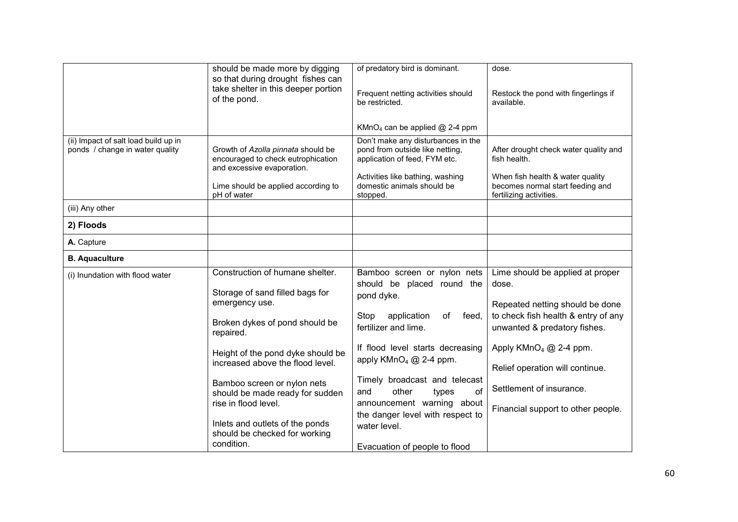|                                                                         | should be made more by digging<br>so that during drought fishes can<br>take shelter in this deeper portion<br>of the pond. | of predatory bird is dominant.<br>Frequent netting activities should<br>be restricted.                 | dose.<br>Restock the pond with fingerlings if<br>available.                                     |
|-------------------------------------------------------------------------|----------------------------------------------------------------------------------------------------------------------------|--------------------------------------------------------------------------------------------------------|-------------------------------------------------------------------------------------------------|
|                                                                         |                                                                                                                            | KMnO <sub>4</sub> can be applied @ 2-4 ppm                                                             |                                                                                                 |
| (ii) Impact of salt load build up in<br>ponds / change in water quality | Growth of Azolla pinnata should be<br>encouraged to check eutrophication<br>and excessive evaporation.                     | Don't make any disturbances in the<br>pond from outside like netting,<br>application of feed, FYM etc. | After drought check water quality and<br>fish health.                                           |
|                                                                         | Lime should be applied according to<br>pH of water                                                                         | Activities like bathing, washing<br>domestic animals should be<br>stopped.                             | When fish health & water quality<br>becomes normal start feeding and<br>fertilizing activities. |
| (iii) Any other                                                         |                                                                                                                            |                                                                                                        |                                                                                                 |
| 2) Floods                                                               |                                                                                                                            |                                                                                                        |                                                                                                 |
| A. Capture                                                              |                                                                                                                            |                                                                                                        |                                                                                                 |
| <b>B.</b> Aquaculture                                                   |                                                                                                                            |                                                                                                        |                                                                                                 |
| (i) Inundation with flood water                                         | Construction of humane shelter.                                                                                            | Bamboo screen or nylon nets                                                                            | Lime should be applied at proper                                                                |
|                                                                         | Storage of sand filled bags for<br>emergency use.                                                                          | should be placed round the<br>pond dyke.                                                               | dose.<br>Repeated netting should be done                                                        |
|                                                                         | Broken dykes of pond should be<br>repaired.                                                                                | Stop<br>application<br>of<br>feed,<br>fertilizer and lime.                                             | to check fish health & entry of any<br>unwanted & predatory fishes.                             |
|                                                                         | Height of the pond dyke should be                                                                                          | If flood level starts decreasing<br>apply $KMnO4 @ 2-4 ppm.$                                           | Apply $KMnO4 @ 2-4 ppm.$                                                                        |
|                                                                         | increased above the flood level.                                                                                           |                                                                                                        | Relief operation will continue.                                                                 |
|                                                                         | Bamboo screen or nylon nets<br>should be made ready for sudden                                                             | Timely broadcast and telecast<br>of<br>and<br>other<br>types                                           | Settlement of insurance.                                                                        |
|                                                                         | rise in flood level.                                                                                                       | announcement warning about<br>the danger level with respect to                                         | Financial support to other people.                                                              |
|                                                                         | Inlets and outlets of the ponds<br>should be checked for working<br>condition.                                             | water level.<br>Evacuation of people to flood                                                          |                                                                                                 |